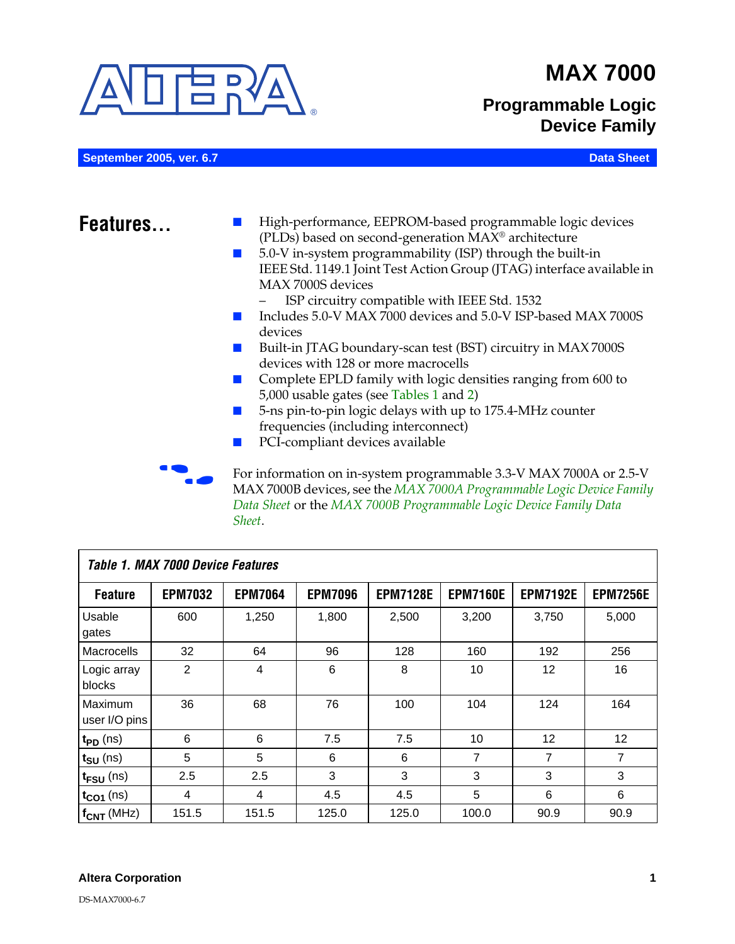

*Sheet*.

# **MAX 7000**

# **Programmable Logic Device Family**

| September 2005, ver. 6.7 | <b>Data Sheet</b>                                                                                                                                                                                                                                                                                                                                                                                                                                                                                                                                                                                                                                                                                                                                                                 |
|--------------------------|-----------------------------------------------------------------------------------------------------------------------------------------------------------------------------------------------------------------------------------------------------------------------------------------------------------------------------------------------------------------------------------------------------------------------------------------------------------------------------------------------------------------------------------------------------------------------------------------------------------------------------------------------------------------------------------------------------------------------------------------------------------------------------------|
| Features                 | High-performance, EEPROM-based programmable logic devices<br>(PLDs) based on second-generation MAX <sup>®</sup> architecture<br>5.0-V in-system programmability (ISP) through the built-in<br>IEEE Std. 1149.1 Joint Test Action Group (JTAG) interface available in<br>MAX 7000S devices<br>ISP circuitry compatible with IEEE Std. 1532<br>Includes 5.0-V MAX 7000 devices and 5.0-V ISP-based MAX 7000S<br>devices<br>Built-in JTAG boundary-scan test (BST) circuitry in MAX 7000S<br>devices with 128 or more macrocells<br>Complete EPLD family with logic densities ranging from 600 to<br>5,000 usable gates (see Tables 1 and 2)<br>5-ns pin-to-pin logic delays with up to 175.4-MHz counter<br>frequencies (including interconnect)<br>PCI-compliant devices available |
|                          | For information on in-system programmable 3.3-V MAX 7000A or 2.5-V<br>MAX 7000B devices, see the MAX 7000A Programmable Logic Device Family<br>Data Sheet or the MAX 7000B Programmable Logic Device Family Data                                                                                                                                                                                                                                                                                                                                                                                                                                                                                                                                                                  |

<span id="page-0-0"></span>

| <b>Table 1. MAX 7000 Device Features</b> |                |                |                |                 |                 |                 |                 |
|------------------------------------------|----------------|----------------|----------------|-----------------|-----------------|-----------------|-----------------|
| <b>Feature</b>                           | <b>EPM7032</b> | <b>EPM7064</b> | <b>EPM7096</b> | <b>EPM7128E</b> | <b>EPM7160E</b> | <b>EPM7192E</b> | <b>EPM7256E</b> |
| <b>Usable</b><br>gates                   | 600            | 1,250          | 1,800          | 2,500           | 3,200           | 3,750           | 5,000           |
| Macrocells                               | 32             | 64             | 96             | 128             | 160             | 192             | 256             |
| Logic array<br>blocks                    | $\overline{2}$ | 4              | 6              | 8               | 10              | 12              | 16              |
| Maximum<br>user I/O pins                 | 36             | 68             | 76             | 100             | 104             | 124             | 164             |
| $t_{PD}$ (ns)                            | 6              | 6              | 7.5            | 7.5             | 10              | 12              | 12              |
| t <sub>SU</sub> (ns)                     | 5              | 5              | 6              | 6               | 7               | 7               | 7               |
| $t_{\text{FSU}}$ (ns)                    | 2.5            | 2.5            | 3              | 3               | 3               | 3               | 3               |
| $t_{CO1}$ (ns)                           | 4              | 4              | 4.5            | 4.5             | 5               | 6               | 6               |
| $f_{CNT}$ (MHz)                          | 151.5          | 151.5          | 125.0          | 125.0           | 100.0           | 90.9            | 90.9            |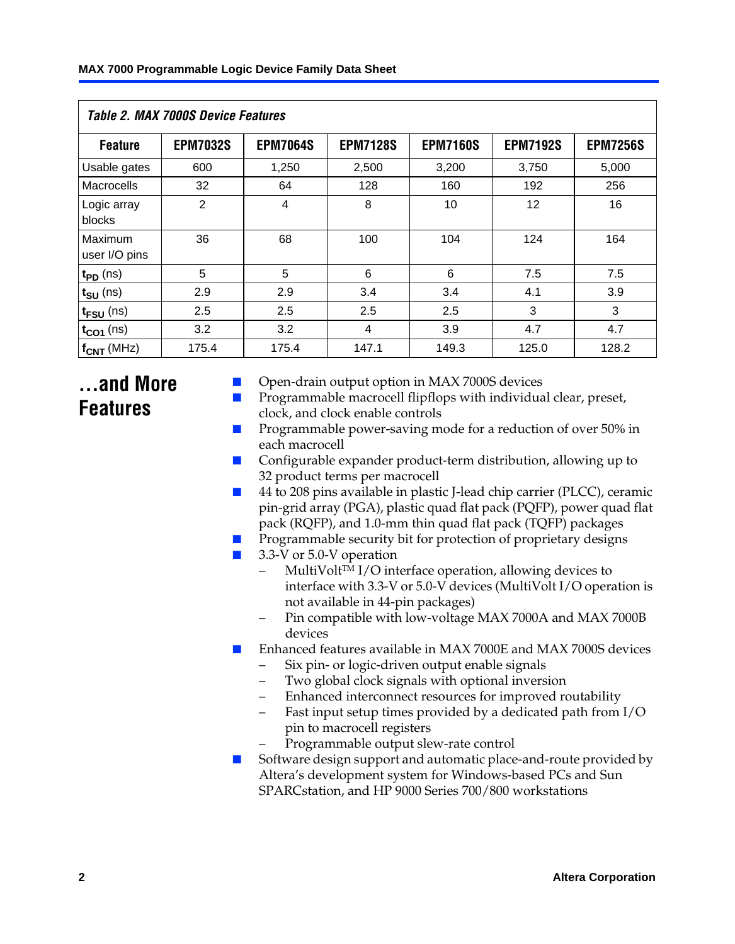<span id="page-1-0"></span>

| Table 2. MAX 7000S Device Features |                 |                 |                 |                 |                 |                 |  |  |
|------------------------------------|-----------------|-----------------|-----------------|-----------------|-----------------|-----------------|--|--|
| <b>Feature</b>                     | <b>EPM7032S</b> | <b>EPM7064S</b> | <b>EPM7128S</b> | <b>EPM7160S</b> | <b>EPM7192S</b> | <b>EPM7256S</b> |  |  |
| Usable gates                       | 600             | 1,250           | 2,500           | 3,200           | 3,750           | 5,000           |  |  |
| Macrocells                         | 32              | 64              | 128             | 160             | 192             | 256             |  |  |
| Logic array<br>blocks              | $\overline{2}$  | $\overline{4}$  | 8               | 10              | 12              | 16              |  |  |
| Maximum<br>user I/O pins           | 36              | 68              | 100             | 104             | 124             | 164             |  |  |
| $t_{PD}$ (ns)                      | 5               | 5               | 6               | 6               | 7.5             | 7.5             |  |  |
| $t_{\text{SU}}$ (ns)               | 2.9             | 2.9             | 3.4             | 3.4             | 4.1             | 3.9             |  |  |
| $t_{\text{FSU}}$ (ns)              | 2.5             | 2.5             | 2.5             | 2.5             | 3               | 3               |  |  |
| $t_{CO1}$ (ns)                     | 3.2             | 3.2             | 4               | 3.9             | 4.7             | 4.7             |  |  |
| $f_{CNT}$ (MHz)                    | 175.4           | 175.4           | 147.1           | 149.3           | 125.0           | 128.2           |  |  |

# **...and More Features**

- Open-drain output option in MAX 7000S devices
- Programmable macrocell flipflops with individual clear, preset, clock, and clock enable controls
- Programmable power-saving mode for a reduction of over 50% in each macrocell
- Configurable expander product-term distribution, allowing up to 32 product terms per macrocell
- 44 to 208 pins available in plastic J-lead chip carrier (PLCC), ceramic pin-grid array (PGA), plastic quad flat pack (PQFP), power quad flat pack (RQFP), and 1.0-mm thin quad flat pack (TQFP) packages
- Programmable security bit for protection of proprietary designs
- 3.3-V or 5.0-V operation
	- MultiVolt<sup>™</sup> I/O interface operation, allowing devices to interface with 3.3-V or 5.0-V devices (MultiVolt I/O operation is not available in 44-pin packages)
	- Pin compatible with low-voltage MAX 7000A and MAX 7000B devices
- Enhanced features available in MAX 7000E and MAX 7000S devices
	- Six pin- or logic-driven output enable signals
	- Two global clock signals with optional inversion
	- Enhanced interconnect resources for improved routability
	- Fast input setup times provided by a dedicated path from I/O pin to macrocell registers
	- Programmable output slew-rate control
- Software design support and automatic place-and-route provided by Altera's development system for Windows-based PCs and Sun SPARCstation, and HP 9000 Series 700/800 workstations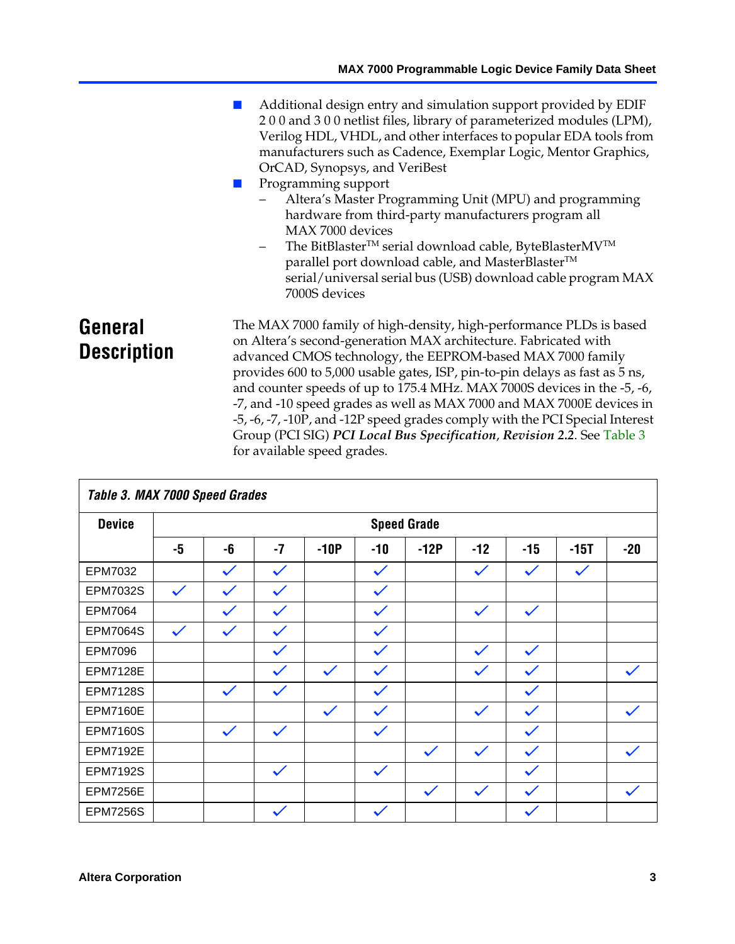■ Additional design entry and simulation support provided by EDIF 2 0 0 and 3 0 0 netlist files, library of parameterized modules (LPM), Verilog HDL, VHDL, and other interfaces to popular EDA tools from manufacturers such as Cadence, Exemplar Logic, Mentor Graphics, OrCAD, Synopsys, and VeriBest Programming support – Altera's Master Programming Unit (MPU) and programming hardware from third-party manufacturers program all MAX 7000 devices The BitBlaster™ serial download cable, ByteBlasterMV™ parallel port download cable, and MasterBlaster<sup>™</sup> serial/universal serial bus (USB) download cable program MAX 7000S devices **General Description** The MAX 7000 family of high-density, high-performance PLDs [is based](#page-2-0) on Altera's second-generation MAX architecture. Fabricated with advanced CMOS technology, the EEPROM-based MAX 7000 family provides 600 to 5,000 usable gates, ISP, pin-to-pin delays as fast as 5 ns,

and counter speeds of up to 175.4 MHz. MAX 7000S devices in the -5, -6, -7, and -10 speed grades as well as MAX 7000 and MAX 7000E devices in -5, -6, -7, -10P, and -12P speed grades comply with the PCI Special Interest Group (PCI SIG) *PCI Local Bus Specification*, *Revision 2.2*. See Table 3 for available speed grades.

<span id="page-2-0"></span>

|                 | Table 3. MAX 7000 Speed Grades |              |              |              |              |                    |              |              |              |              |
|-----------------|--------------------------------|--------------|--------------|--------------|--------------|--------------------|--------------|--------------|--------------|--------------|
| <b>Device</b>   |                                |              |              |              |              | <b>Speed Grade</b> |              |              |              |              |
|                 | -5                             | -6           | $-7$         | $-10P$       | $-10$        | $-12P$             | $-12$        | $-15$        | -15T         | $-20$        |
| EPM7032         |                                | $\checkmark$ | $\checkmark$ |              | $\checkmark$ |                    | $\checkmark$ | $\checkmark$ | $\checkmark$ |              |
| EPM7032S        | $\checkmark$                   | $\checkmark$ | $\checkmark$ |              | $\checkmark$ |                    |              |              |              |              |
| <b>EPM7064</b>  |                                | $\checkmark$ | $\checkmark$ |              | $\checkmark$ |                    | $\checkmark$ | $\checkmark$ |              |              |
| <b>EPM7064S</b> | $\checkmark$                   | $\checkmark$ | $\checkmark$ |              | $\checkmark$ |                    |              |              |              |              |
| <b>EPM7096</b>  |                                |              | $\checkmark$ |              | $\checkmark$ |                    | $\checkmark$ | $\checkmark$ |              |              |
| <b>EPM7128E</b> |                                |              | $\checkmark$ | $\checkmark$ | $\checkmark$ |                    | $\checkmark$ | $\checkmark$ |              | $\checkmark$ |
| <b>EPM7128S</b> |                                | $\checkmark$ | $\checkmark$ |              | $\checkmark$ |                    |              | $\checkmark$ |              |              |
| <b>EPM7160E</b> |                                |              |              | $\checkmark$ | $\checkmark$ |                    | $\checkmark$ | $\checkmark$ |              | $\checkmark$ |
| <b>EPM7160S</b> |                                | $\checkmark$ | $\checkmark$ |              | $\checkmark$ |                    |              | $\checkmark$ |              |              |
| <b>EPM7192E</b> |                                |              |              |              |              | $\checkmark$       | $\checkmark$ | $\checkmark$ |              | $\checkmark$ |
| <b>EPM7192S</b> |                                |              | $\checkmark$ |              | $\checkmark$ |                    |              | $\checkmark$ |              |              |
| <b>EPM7256E</b> |                                |              |              |              |              | $\checkmark$       | $\checkmark$ | $\checkmark$ |              | $\checkmark$ |
| <b>EPM7256S</b> |                                |              | $\checkmark$ |              | $\checkmark$ |                    |              | $\checkmark$ |              |              |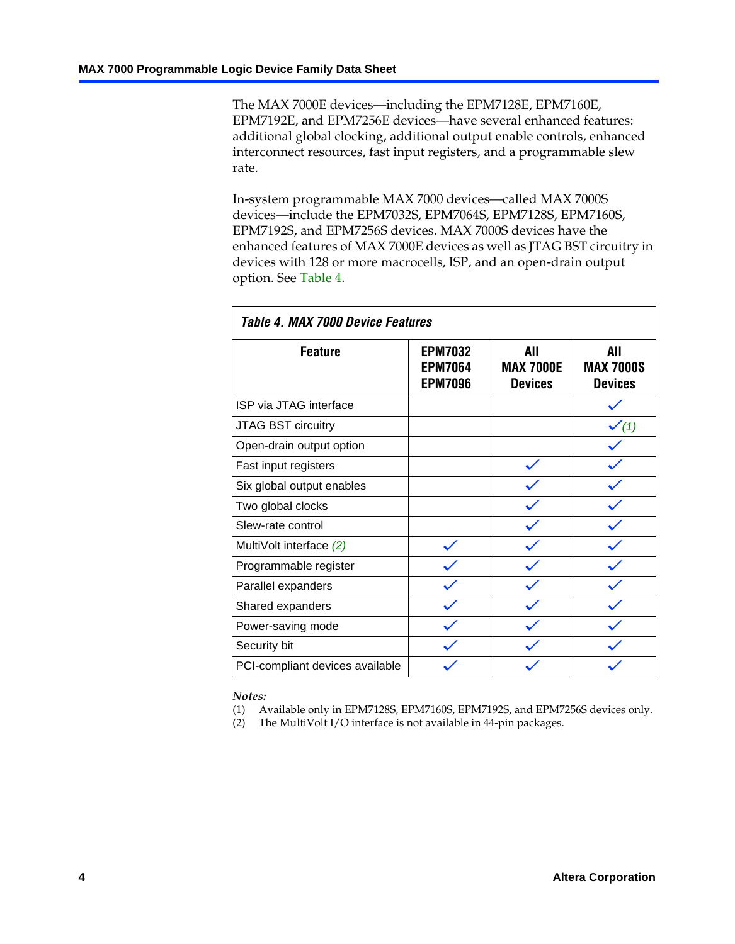The MAX 7000E devices—including the EPM7128E, EPM7160E, EPM7192E, and EPM7256E devices—have several enhanced features: additional global clocking, additional output enable controls, enhanced interconnect resources, fast input registers, and a programmable slew rate.

In-system programmable MAX 7000 devices—called MAX 7000S devices—include the EPM7032S, EPM7064S, EPM7128S, EPM7160S, EPM7192S, and EPM7256S devices. MAX 7000S devices have the enhanced features of MAX 7000E devices as well as JTAG BST circuitry in devices with 128 or more macrocells, ISP, and an open-drain output option. See Table 4.

| Table 4. MAX 7000 Device Features |                                                    |                                           |                                           |  |  |  |  |
|-----------------------------------|----------------------------------------------------|-------------------------------------------|-------------------------------------------|--|--|--|--|
| <b>Feature</b>                    | <b>EPM7032</b><br><b>EPM7064</b><br><b>EPM7096</b> | All<br><b>MAX 7000E</b><br><b>Devices</b> | All<br><b>MAX 7000S</b><br><b>Devices</b> |  |  |  |  |
| ISP via JTAG interface            |                                                    |                                           |                                           |  |  |  |  |
| JTAG BST circuitry                |                                                    |                                           | $\checkmark$ (1)                          |  |  |  |  |
| Open-drain output option          |                                                    |                                           |                                           |  |  |  |  |
| Fast input registers              |                                                    |                                           |                                           |  |  |  |  |
| Six global output enables         |                                                    |                                           |                                           |  |  |  |  |
| Two global clocks                 |                                                    |                                           |                                           |  |  |  |  |
| Slew-rate control                 |                                                    |                                           |                                           |  |  |  |  |
| MultiVolt interface (2)           |                                                    |                                           |                                           |  |  |  |  |
| Programmable register             |                                                    |                                           |                                           |  |  |  |  |
| Parallel expanders                |                                                    |                                           |                                           |  |  |  |  |
| Shared expanders                  |                                                    |                                           |                                           |  |  |  |  |
| Power-saving mode                 |                                                    |                                           |                                           |  |  |  |  |
| Security bit                      |                                                    |                                           |                                           |  |  |  |  |
| PCI-compliant devices available   |                                                    |                                           |                                           |  |  |  |  |

<span id="page-3-0"></span>*Notes:*

(1) Available only in EPM7128S, EPM7160S, EPM7192S, and EPM7256S devices only.

(2) The MultiVolt I/O interface is not available in 44-pin packages.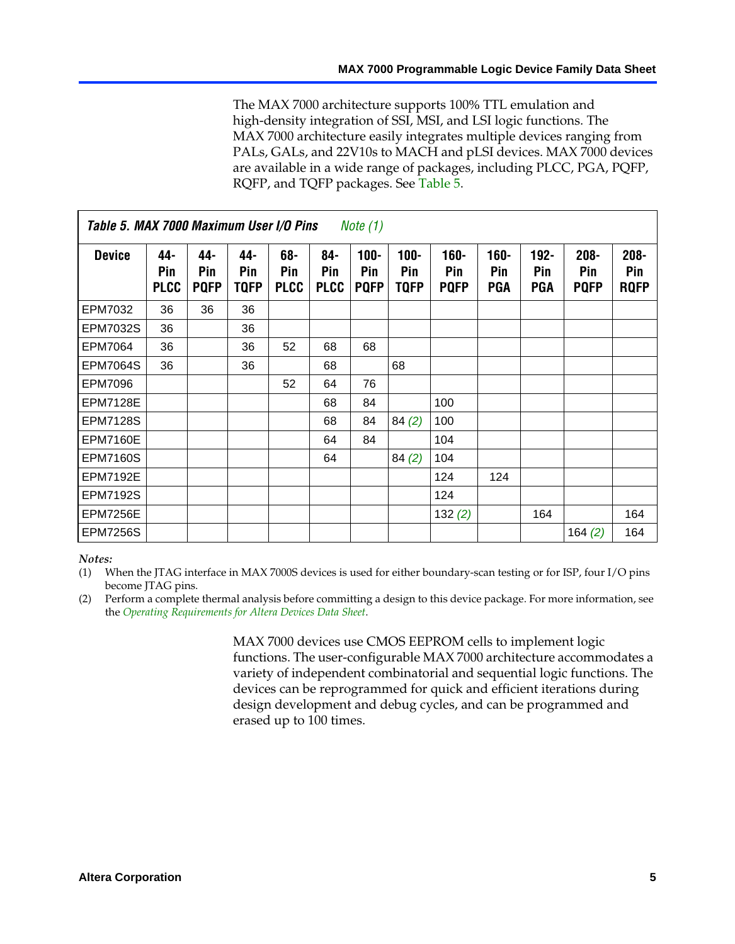The MAX 7000 architecture supports 100% TTL emulation and high-density integ[ration o](#page-4-0)f SSI, MSI, and LSI logic functions. The MAX 7000 architecture easily integrates multiple devices ranging from PALs, GALs, and 22V10s to MACH and pLSI devices. MAX 7000 devices are available in a wide range of packages, including PLCC, PGA, PQFP, RQFP, and TQFP packages. See Table 5.

<span id="page-4-1"></span>

| Table 5. MAX 7000 Maximum User I/O Pins<br><i>Note</i> $(1)$ |                           |                           |                    |                           |                           |                               |                            |                               |                              |                              |                               |                               |
|--------------------------------------------------------------|---------------------------|---------------------------|--------------------|---------------------------|---------------------------|-------------------------------|----------------------------|-------------------------------|------------------------------|------------------------------|-------------------------------|-------------------------------|
| <b>Device</b>                                                | 44-<br>Pin<br><b>PLCC</b> | 44-<br>Pin<br><b>PQFP</b> | 44-<br>Pin<br>TQFP | 68-<br>Pin<br><b>PLCC</b> | 84-<br>Pin<br><b>PLCC</b> | $100 -$<br>Pin<br><b>PQFP</b> | 100-<br>Pin<br><b>TQFP</b> | $160 -$<br>Pin<br><b>PQFP</b> | $160 -$<br>Pin<br><b>PGA</b> | $192 -$<br>Pin<br><b>PGA</b> | $208 -$<br>Pin<br><b>PQFP</b> | $208 -$<br>Pin<br><b>RQFP</b> |
| EPM7032                                                      | 36                        | 36                        | 36                 |                           |                           |                               |                            |                               |                              |                              |                               |                               |
| <b>EPM7032S</b>                                              | 36                        |                           | 36                 |                           |                           |                               |                            |                               |                              |                              |                               |                               |
| EPM7064                                                      | 36                        |                           | 36                 | 52                        | 68                        | 68                            |                            |                               |                              |                              |                               |                               |
| <b>EPM7064S</b>                                              | 36                        |                           | 36                 |                           | 68                        |                               | 68                         |                               |                              |                              |                               |                               |
| EPM7096                                                      |                           |                           |                    | 52                        | 64                        | 76                            |                            |                               |                              |                              |                               |                               |
| <b>EPM7128E</b>                                              |                           |                           |                    |                           | 68                        | 84                            |                            | 100                           |                              |                              |                               |                               |
| <b>EPM7128S</b>                                              |                           |                           |                    |                           | 68                        | 84                            | 84(2)                      | 100                           |                              |                              |                               |                               |
| <b>EPM7160E</b>                                              |                           |                           |                    |                           | 64                        | 84                            |                            | 104                           |                              |                              |                               |                               |
| <b>EPM7160S</b>                                              |                           |                           |                    |                           | 64                        |                               | 84(2)                      | 104                           |                              |                              |                               |                               |
| <b>EPM7192E</b>                                              |                           |                           |                    |                           |                           |                               |                            | 124                           | 124                          |                              |                               |                               |
| <b>EPM7192S</b>                                              |                           |                           |                    |                           |                           |                               |                            | 124                           |                              |                              |                               |                               |
| <b>EPM7256E</b>                                              |                           |                           |                    |                           |                           |                               |                            | 132(2)                        |                              | 164                          |                               | 164                           |
| <b>EPM7256S</b>                                              |                           |                           |                    |                           |                           |                               |                            |                               |                              |                              | 164 $(2)$                     | 164                           |

#### <span id="page-4-0"></span>*Notes:*

(1) When the JTAG interface in MAX 7000S devices is used for either boundary-scan testing or for ISP, four I/O pins become JTAG pins.

(2) Perform a complete thermal analysis before committing a design to this device package. For more information, see the *Operating Requirements for Altera Devices Data Sheet*.

> MAX 7000 devices use CMOS EEPROM cells to implement logic functions. The user-configurable MAX 7000 architecture accommodates a variety of independent combinatorial and sequential logic functions. The devices can be reprogrammed for quick and efficient iterations during design development and debug cycles, and can be programmed and erased up to 100 times.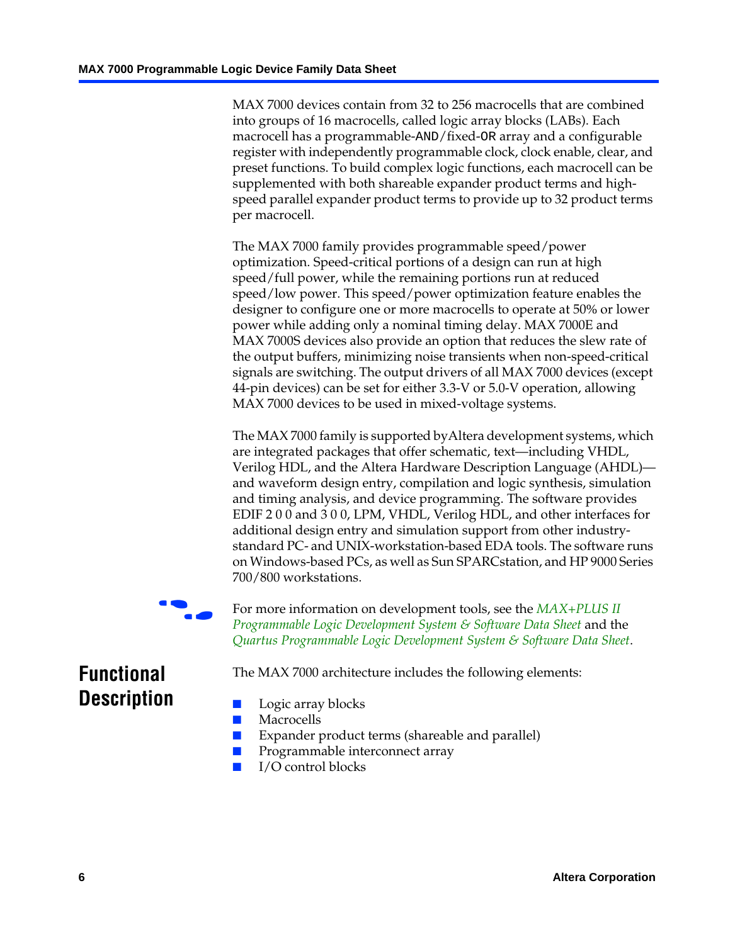MAX 7000 devices contain from 32 to 256 macrocells that are combined into groups of 16 macrocells, called logic array blocks (LABs). Each macrocell has a programmable-AND/fixed-OR array and a configurable register with independently programmable clock, clock enable, clear, and preset functions. To build complex logic functions, each macrocell can be supplemented with both shareable expander product terms and highspeed parallel expander product terms to provide up to 32 product terms per macrocell.

The MAX 7000 family provides programmable speed/power optimization. Speed-critical portions of a design can run at high speed/full power, while the remaining portions run at reduced speed/low power. This speed/power optimization feature enables the designer to configure one or more macrocells to operate at 50% or lower power while adding only a nominal timing delay. MAX 7000E and MAX 7000S devices also provide an option that reduces the slew rate of the output buffers, minimizing noise transients when non-speed-critical signals are switching. The output drivers of all MAX 7000 devices (except 44-pin devices) can be set for either 3.3-V or 5.0-V operation, allowing MAX 7000 devices to be used in mixed-voltage systems.

The MAX 7000 family is supported byAltera development systems, which are integrated packages that offer schematic, text—including VHDL, Verilog HDL, and the Altera Hardware Description Language (AHDL) and waveform design entry, compilation and logic synthesis, simulation and timing analysis, and device programming. The [software provides](http://www.altera.com/literature/ds/dsmii.pdf)  [EDIF 2 0 0 and 3 0 0, LPM, VHDL, Verilog HDL, and other in](http://www.altera.com/literature/ds/dsmii.pdf)terfaces for [additional design entry and simulation support from other industry](http://www.altera.com/literature/ds/quartus.pdf)standard PC- and UNIX-workstation-based EDA tools. The software runs on Windows-based PCs, as well as Sun SPARCstation, and HP 9000 Series 700/800 workstations.

For more information on development tools, see the **MAX+PLUS II** *Programmable Logic Development System & Software Data Sheet* and the *Quartus Programmable Logic Development System & Software Data Sheet*.

The MAX 7000 architecture includes the following elements:

# **Functional Description**

- Logic array blocks
- **Macrocells**
- Expander product terms (shareable and parallel)
- Programmable interconnect array
- I/O control blocks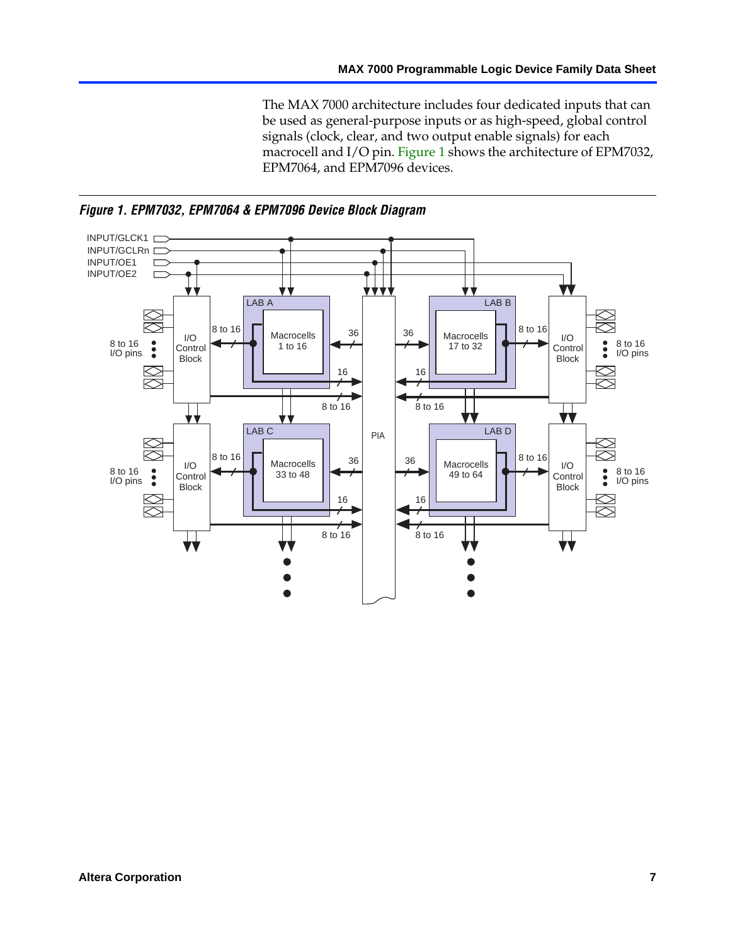The MAX 7000 architecture includes four dedicated inputs that can be used as general-purpose inputs or as high-speed, global control signals (clock, clear, and two output enable signals) for each macrocell and I/O pin. Figure 1 shows the architecture of EPM7032, EPM7064, and EPM7096 devices.



<span id="page-6-0"></span>*Figure 1. EPM7032, EPM7064 & EPM7096 Device Block Diagram*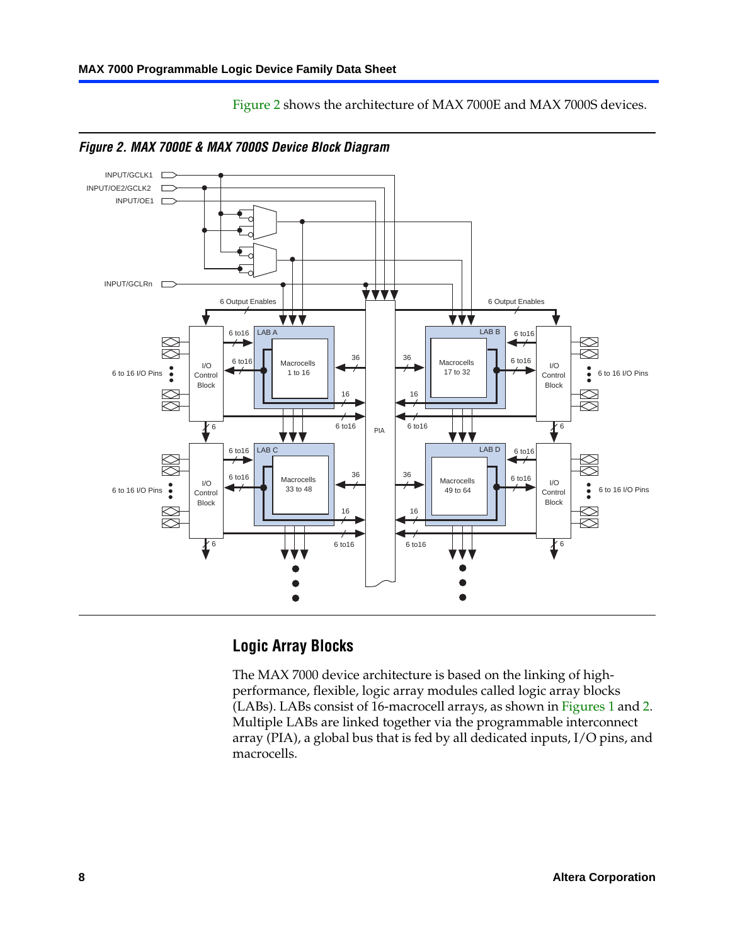

Figure 2 shows the architecture of MAX 7000E and MAX 7000S devices.

<span id="page-7-0"></span>

# **Logic Array Blocks**

The MAX 7000 device architecture is based on the linking of highperformance, flexible, logic array modules called logic array blocks (LABs). LABs consist of 16-macrocell arrays, as shown in Figures 1 and 2. Multiple LABs are linked together via the programmable interconnect array (PIA), a global bus that is fed by all dedicated inputs, I/O pins, and macrocells.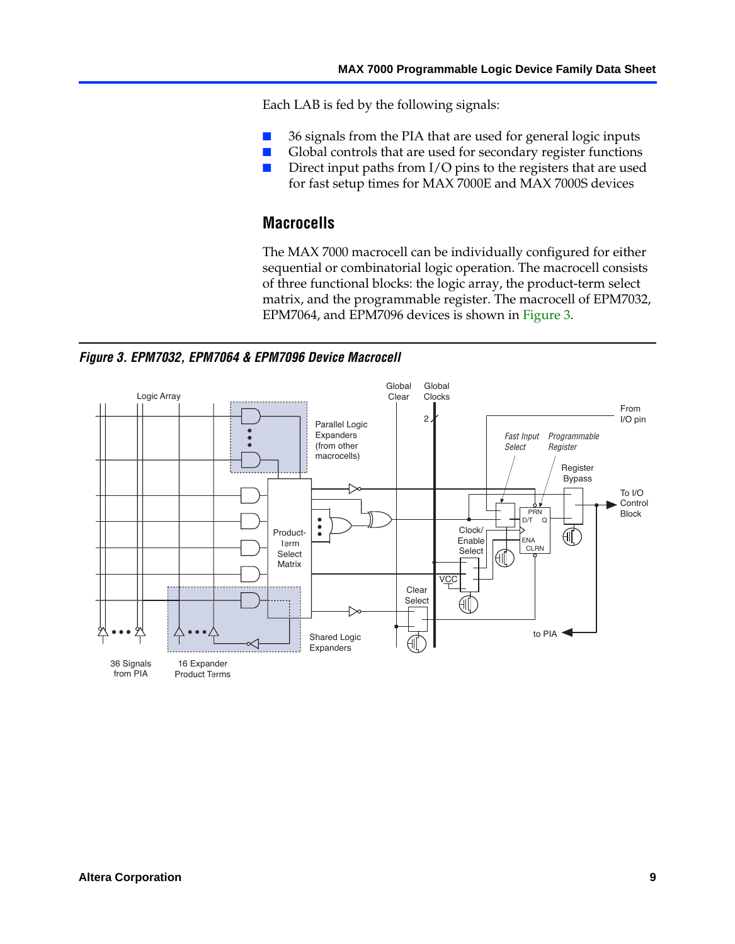Each LAB is fed by the following signals:

- 36 signals from the PIA that are used for general logic inputs
- Global controls that are used for secondary register functions
- Direct input paths from I/O pins to the registers that are used for fast setup times for MAX 7000E and MAX 7000S devices

# **Macrocells**

The MAX 7000 macrocell can be individually configured for either sequential or combinatorial logic operation. The macrocell consists of three functional blocks: the logic array, the product-term select matrix, and the programmable register. The macrocell of EPM7032, EPM7064, and EPM7096 devices is shown in Figure 3.

<span id="page-8-0"></span>*Figure 3. EPM7032, EPM7064 & EPM7096 Device Macrocell*

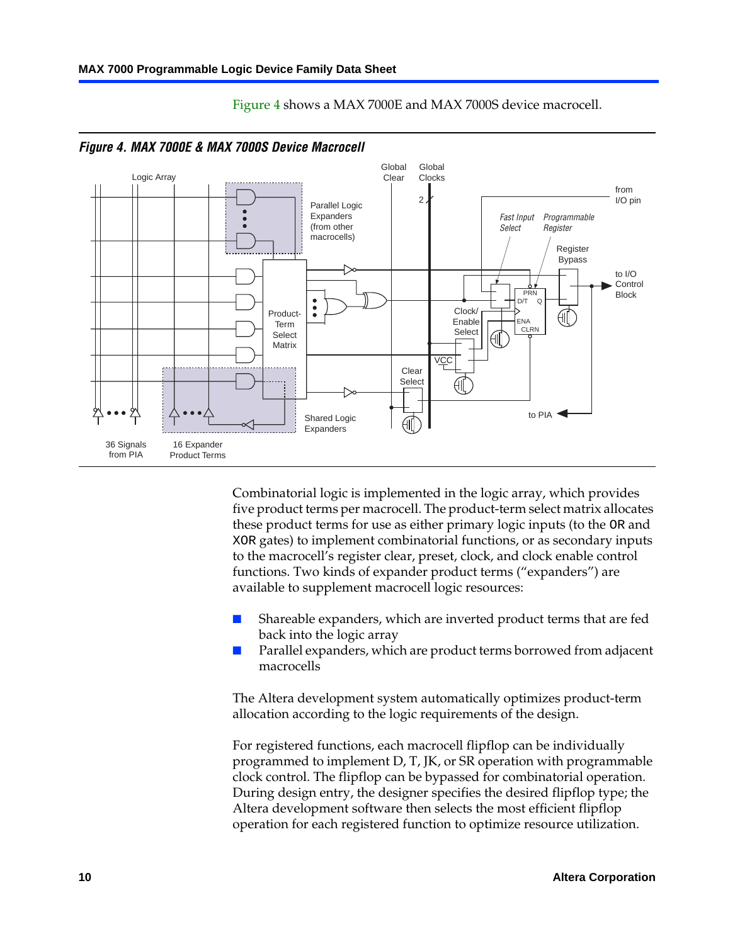<span id="page-9-0"></span>

Figure 4 shows a MAX 7000E and MAX 7000S device macrocell.

Combinatorial logic is implemented in the logic array, which provides five product terms per macrocell. The product-term select matrix allocates these product terms for use as either primary logic inputs (to the OR and XOR gates) to implement combinatorial functions, or as secondary inputs to the macrocell's register clear, preset, clock, and clock enable control functions. Two kinds of expander product terms ("expanders") are available to supplement macrocell logic resources:

- Shareable expanders, which are inverted product terms that are fed back into the logic array
- Parallel expanders, which are product terms borrowed from adjacent macrocells

The Altera development system automatically optimizes product-term allocation according to the logic requirements of the design.

For registered functions, each macrocell flipflop can be individually programmed to implement D, T, JK, or SR operation with programmable clock control. The flipflop can be bypassed for combinatorial operation. During design entry, the designer specifies the desired flipflop type; the Altera development software then selects the most efficient flipflop operation for each registered function to optimize resource utilization.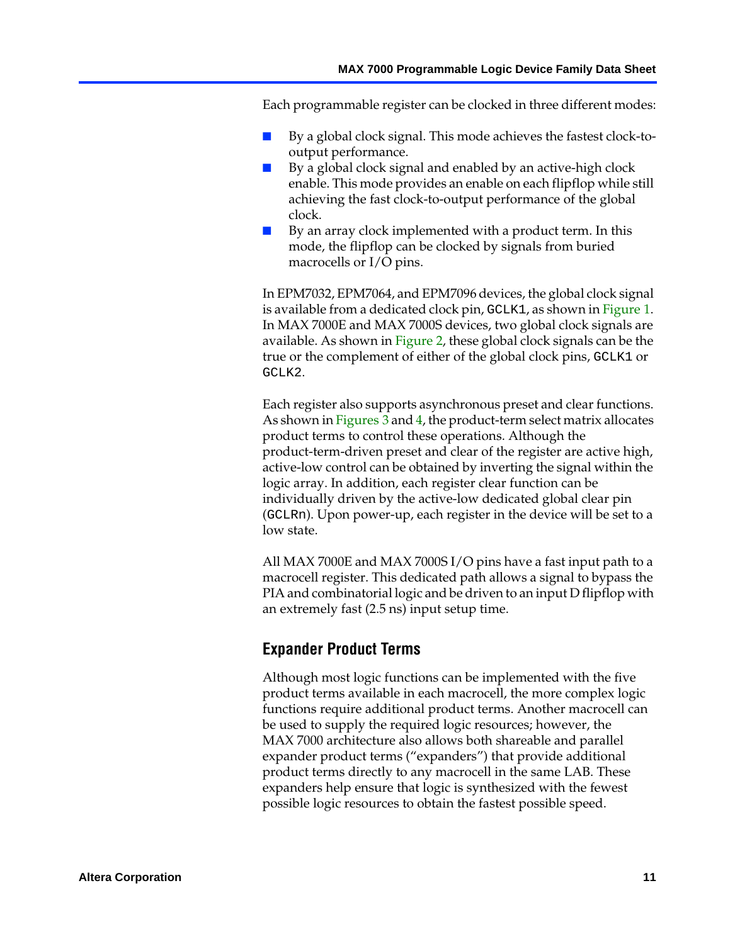Each programmable register can be clocked in three different modes:

- By a global clock signal. This mode achieves the fastest clock-tooutput performance.
- By a global clock signal and enabled by an active-high clock enable. This mode provides an enable on each flipflop while still achieving the fast clock-to-output performance of the [global](#page-6-0)  clock.
- By an array clock [impleme](#page-7-0)nted with a product term. In this mode, the flipflop can be clocked by signals from buried macrocells or I/O pins.

In EPM7032, EPM7064, and EPM7096 devices, the global clock signal is available f[rom a ded](#page-8-0)icat[ed](#page-9-0) clock pin, GCLK1, as shown in Figure 1. In MAX 7000E and MAX 7000S devices, two global clock signals are available. As shown in Figure 2, these global clock signals can be the true or the complement of either of the global clock pins, GCLK1 or GCLK2.

Each register also supports asynchronous preset and clear functions. As shown in Figures 3 and 4, the product-term select matrix allocates product terms to control these operations. Although the product-term-driven preset and clear of the register are active high, active-low control can be obtained by inverting the signal within the logic array. In addition, each register clear function can be individually driven by the active-low dedicated global clear pin (GCLRn). Upon power-up, each register in the device will be set to a low state.

All MAX 7000E and MAX 7000S I/O pins have a fast input path to a macrocell register. This dedicated path allows a signal to bypass the PIA and combinatorial logic and be driven to an input D flipflop with an extremely fast (2.5 ns) input setup time.

### **Expander Product Terms**

Although most logic functions can be implemented with the five product terms available in each macrocell, the more complex logic functions require additional product terms. Another macrocell can be used to supply the required logic resources; however, the MAX 7000 architecture also allows both shareable and parallel expander product terms ("expanders") that provide additional product terms directly to any macrocell in the same LAB. These expanders help ensure that logic is synthesized with the fewest possible logic resources to obtain the fastest possible speed.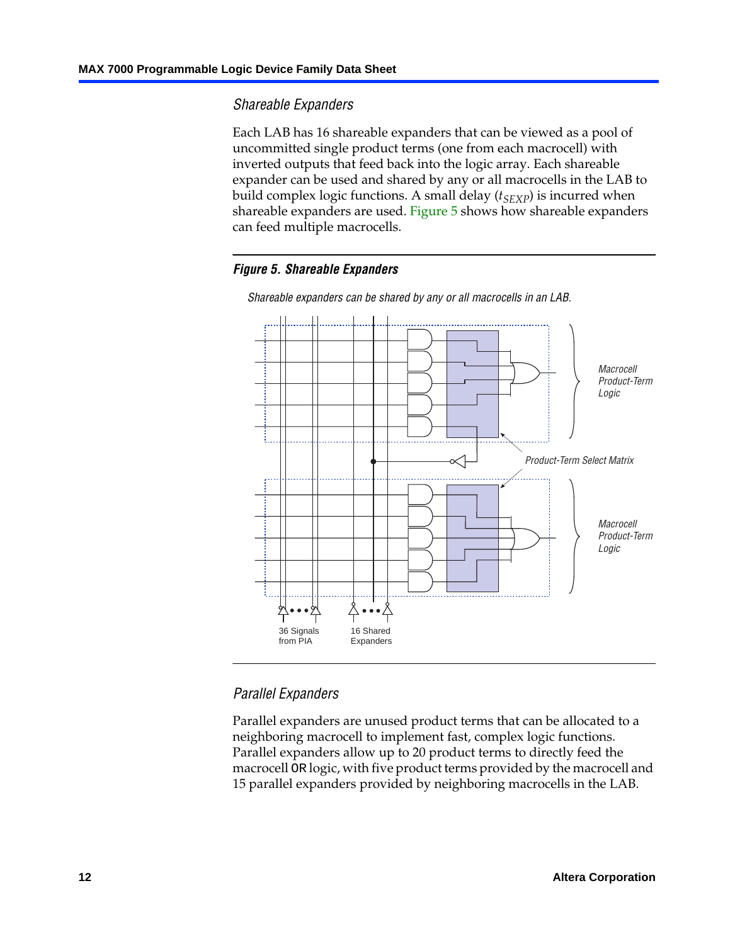## *Shareable Expanders*

Each LAB has 16 shareable expanders that can be viewed as a pool of uncommitted single product terms (one from each macrocell) with inverted outputs that feed back into the logic array. Each shareable expander can be used and shared by any or all macrocells in the LAB to build complex logic functions. A small delay ( $t_{SEXP}$ ) is incurred when shareable expanders are used. Figure 5 shows how shareable expanders can feed multiple macrocells.

#### *Figure 5. Shareable Expanders*



*Shareable expanders can be shared by any or all macrocells in an LAB.*

### *Parallel Expanders*

Parallel expanders are unused product terms that can be allocated to a neighboring macrocell to implement fast, complex logic functions. Parallel expanders allow up to 20 product terms to directly feed the macrocell OR logic, with five product terms provided by the macrocell and 15 parallel expanders provided by neighboring macrocells in the LAB.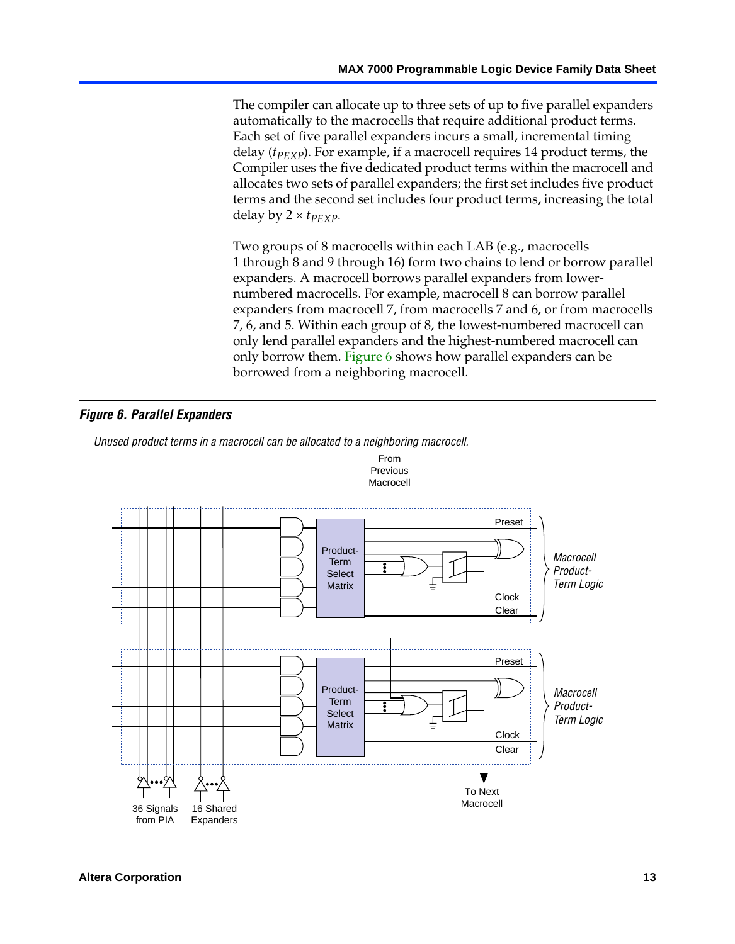The compiler can allocate up to three sets of up to five parallel expanders automatically to the macrocells that require additional product terms. Each set of five parallel expanders incurs a small, incremental timing delay (*t<sub>PEXP</sub>*). For example, if a macrocell requires 14 product terms, the Compiler uses the five dedicated product terms within the macrocell and allocates two sets of parallel expanders; the first set includes five product terms and the second set includes four product terms, increasing the total delay by  $2 \times t_{PFXP}$ .

Two groups of 8 m[acrocells](#page-12-0) within each LAB (e.g., macrocells 1 through 8 and 9 through 16) form two chains to lend or borrow parallel expanders. A macrocell borrows parallel expanders from lowernumbered macrocells. For example, macrocell 8 can borrow parallel expanders from macrocell 7, from macrocells 7 and 6, or from macrocells 7, 6, and 5. Within each group of 8, the lowest-numbered macrocell can only lend parallel expanders and the highest-numbered macrocell can only borrow them. Figure 6 shows how parallel expanders can be borrowed from a neighboring macrocell.

#### <span id="page-12-0"></span>*Figure 6. Parallel Expanders*

*Unused product terms in a macrocell can be allocated to a neighboring macrocell.*

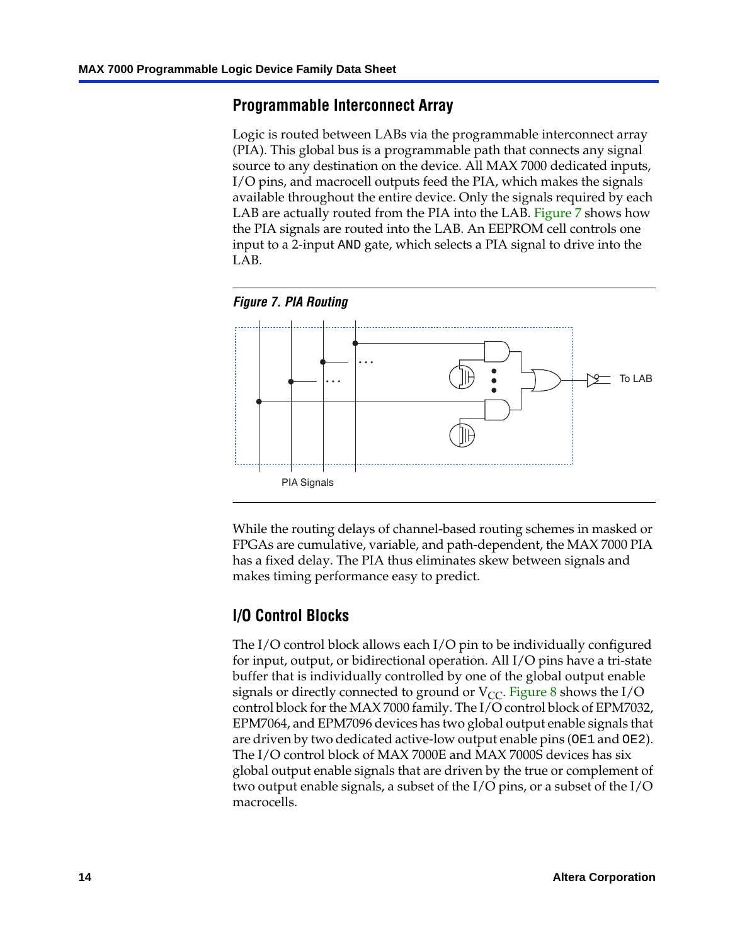### **Programmable Interconnect Array**

Logic is routed between LABs via the programmable interconnect array (PIA). This global bus is a programmable path that connects any signal source to any destination on the device. All MAX 7000 dedicated inputs, I/O pins, and macrocell outputs feed the PIA, which makes the signals available throughout the entire device. Only the signals required by each LAB are actually routed from the PIA into the LAB. Figure 7 shows how the PIA signals are routed into the LAB. An EEPROM cell controls one input to a 2-input AND gate, which selects a PIA signal to drive into the LAB.





While the routing delays of channel-based routing schemes in masked or FPGAs are cumulative, variable, and path-dependent, the MAX 7000 PIA has a fixed delay. The PIA thus eliminates skew between signals and makes timing performance easy to predict.

### **I/O Control Blocks**

The I/O control block allows each I/O pin to be individually configured for input, output, or bidirectional operation. All I/O pins have a tri-state buffer that is individually controlled by one of the global output enable signals or directly connected to ground or  $V_{CC}$ . Figure 8 shows the I/O control block for the MAX 7000 family. The I/O control block of EPM7032, EPM7064, and EPM7096 devices has two global output enable signals that are driven by two dedicated active-low output enable pins (OE1 and OE2). The I/O control block of MAX 7000E and MAX 7000S devices has six global output enable signals that are driven by the true or complement of two output enable signals, a subset of the I/O pins, or a subset of the I/O macrocells.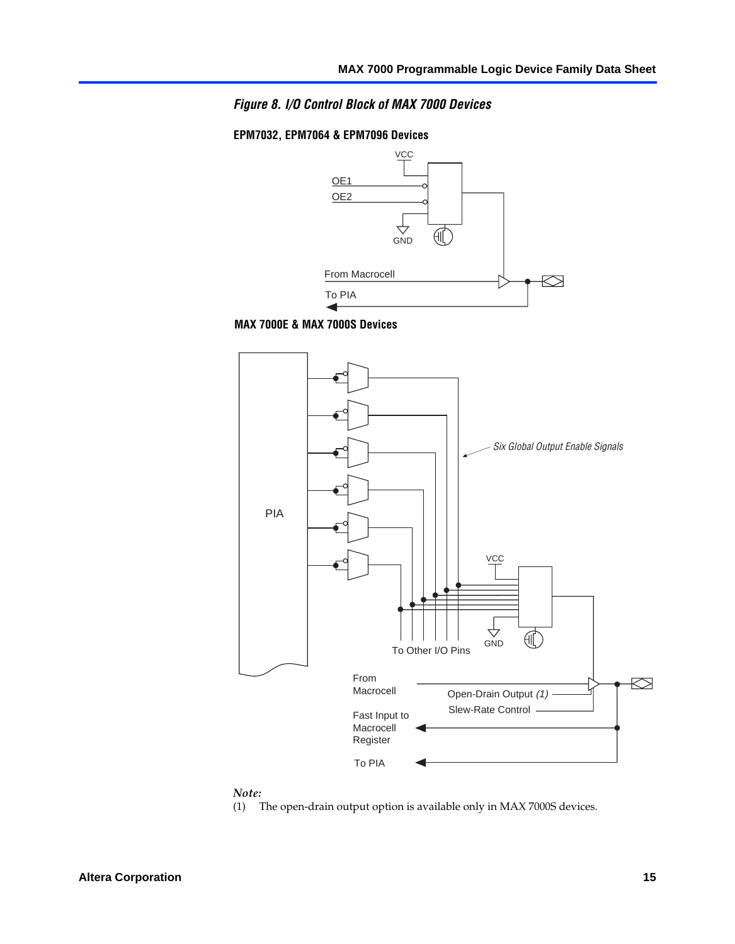#### *Figure 8. I/O Control Block of MAX 7000 Devices*

#### **EPM7032, EPM7064 & EPM7096 Devices**



**MAX 7000E & MAX 7000S Devices**



#### *Note:*

(1) The open-drain output option is available only in MAX 7000S devices.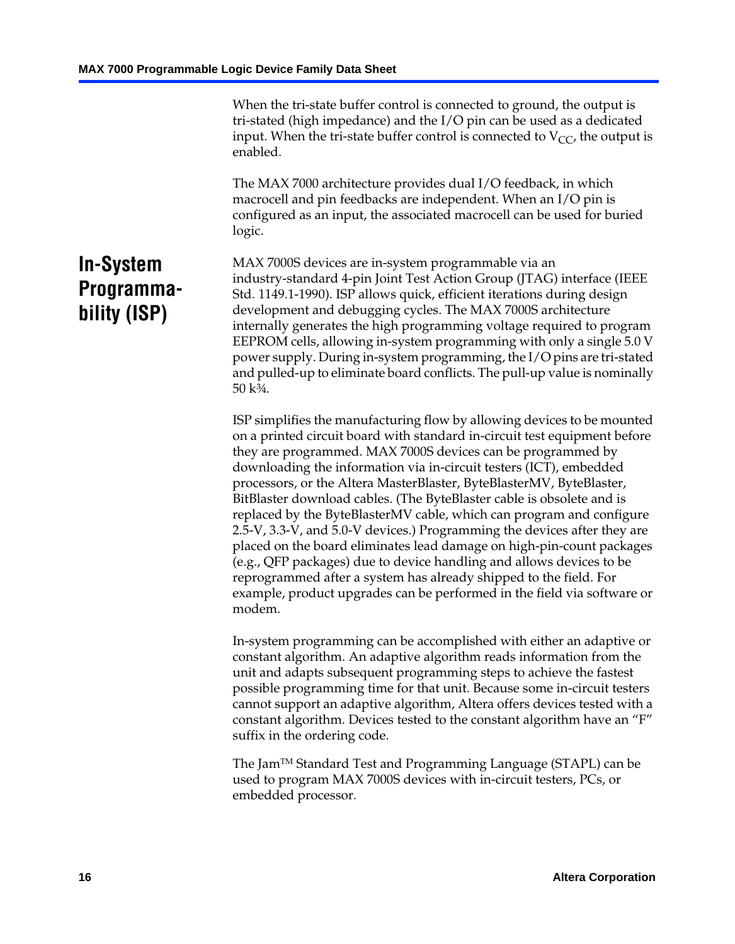When the tri-state buffer control is connected to ground, the output is tri-stated (high impedance) and the I/O pin can be used as a dedicated input. When the tri-state buffer control is connected to  $V_{CC}$ , the output is enabled.

The MAX 7000 architecture provides dual I/O feedback, in which macrocell and pin feedbacks are independent. When an I/O pin is configured as an input, the associated macrocell can be used for buried logic.

# <span id="page-15-0"></span>**In-System Programmability (ISP)**

MAX 7000S devices are in-system programmable via an industry-standard 4-pin Joint Test Action Group (JTAG) interface (IEEE Std. 1149.1-1990). ISP allows quick, efficient iterations during design development and debugging cycles. The MAX 7000S architecture internally generates the high programming voltage required to program EEPROM cells, allowing in-system programming with only a single 5.0 V power supply. During in-system programming, the I/O pins are tri-stated and pulled-up to eliminate board conflicts. The pull-up value is nominally 50 k¾.

ISP simplifies the manufacturing flow by allowing devices to be mounted on a printed circuit board with standard in-circuit test equipment before they are programmed. MAX 7000S devices can be programmed by downloading the information via in-circuit testers (ICT), embedded processors, or the Altera MasterBlaster, ByteBlasterMV, ByteBlaster, BitBlaster download cables. (The ByteBlaster cable is obsolete and is replaced by the ByteBlasterMV cable, which can program and configure 2.5-V, 3.3-V, and 5.0-V devices.) Programming the devices after they are placed on the board eliminates lead damage on high-pin-count packages (e.g., QFP packages) due to device handling and allows devices to be reprogrammed after a system has already shipped to the field. For example, product upgrades can be performed in the field via software or modem.

In-system programming can be accomplished with either an adaptive or constant algorithm. An adaptive algorithm reads information from the unit and adapts subsequent programming steps to achieve the fastest possible programming time for that unit. Because some in-circuit testers cannot support an adaptive algorithm, Altera offers devices tested with a constant algorithm. Devices tested to the constant algorithm have an "F" suffix in the ordering code.

The Jam™ Standard Test and Programming Language (STAPL) can be used to program MAX 7000S devices with in-circuit testers, PCs, or embedded processor.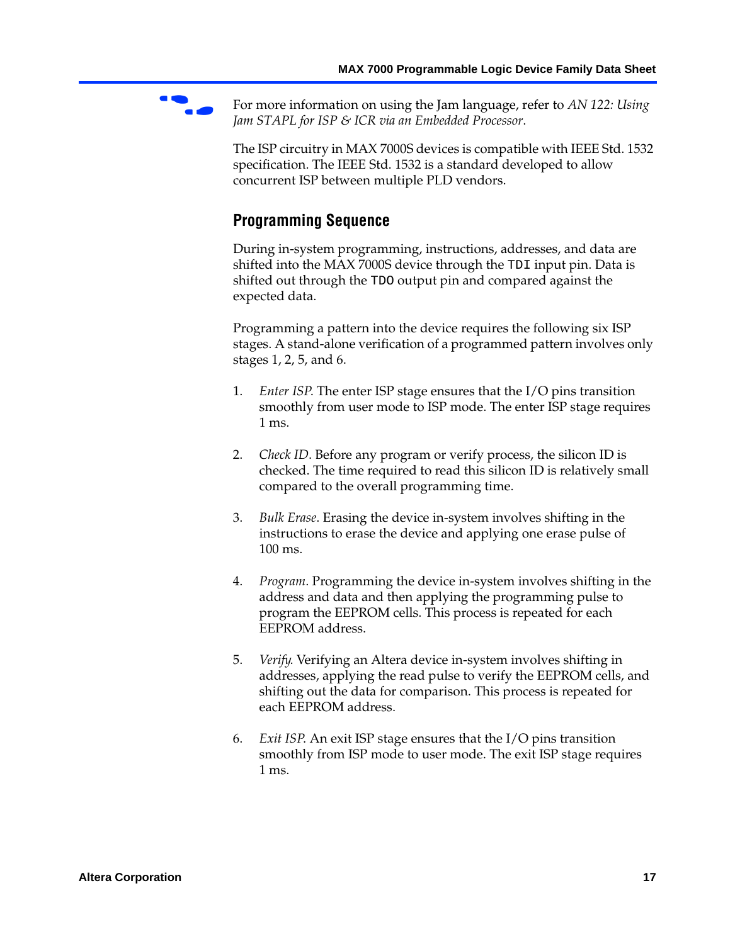

For more information on using the Jam language, refer to AN 122: Using *Jam STAPL for ISP & ICR via an Embedded Processor*.

The ISP circuitry in MAX 7000S devices is compatible with IEEE Std. 1532 specification. The IEEE Std. 1532 is a standard developed to allow concurrent ISP between multiple PLD vendors.

# <span id="page-16-0"></span>**Programming Sequence**

During in-system programming, instructions, addresses, and data are shifted into the MAX 7000S device through the TDI input pin. Data is shifted out through the TDO output pin and compared against the expected data.

Programming a pattern into the device requires the following six ISP stages. A stand-alone verification of a programmed pattern involves only stages 1, 2, 5, and 6.

- 1. *Enter ISP*. The enter ISP stage ensures that the I/O pins transition smoothly from user mode to ISP mode. The enter ISP stage requires 1 ms.
- 2. *Check ID*. Before any program or verify process, the silicon ID is checked. The time required to read this silicon ID is relatively small compared to the overall programming time.
- 3. *Bulk Erase*. Erasing the device in-system involves shifting in the instructions to erase the device and applying one erase pulse of 100 ms.
- 4. *Program*. Programming the device in-system involves shifting in the address and data and then applying the programming pulse to program the EEPROM cells. This process is repeated for each EEPROM address.
- 5. *Verify*. Verifying an Altera device in-system involves shifting in addresses, applying the read pulse to verify the EEPROM cells, and shifting out the data for comparison. This process is repeated for each EEPROM address.
- 6. *Exit ISP*. An exit ISP stage ensures that the I/O pins transition smoothly from ISP mode to user mode. The exit ISP stage requires 1 ms.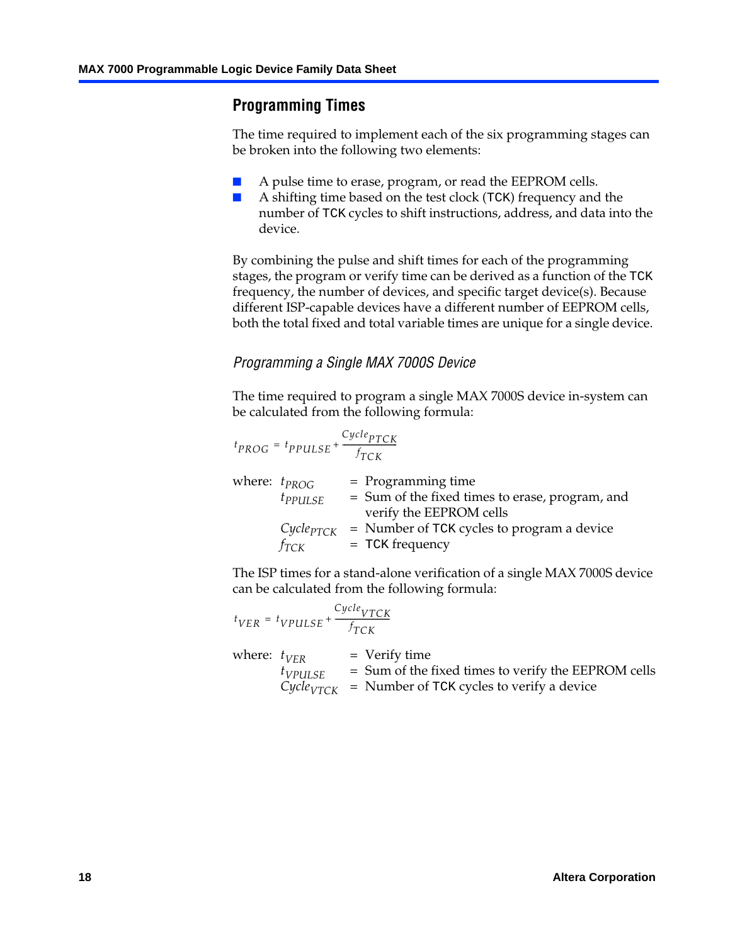# <span id="page-17-0"></span>**Programming Times**

The time required to implement each of the six programming stages can be broken into the following two elements:

- A pulse time to erase, program, or read the EEPROM cells.
- A shifting time based on the test clock (TCK) frequency and the number of TCK cycles to shift instructions, address, and data into the device.

By combining the pulse and shift times for each of the programming stages, the program or verify time can be derived as a function of the TCK frequency, the number of devices, and specific target device(s). Because different ISP-capable devices have a different number of EEPROM cells, both the total fixed and total variable times are unique for a single device.

## *Programming a Single MAX 7000S Device*

The time required to program a single MAX 7000S device in-system can be calculated from the following formula:

$$
t_{PROG} = t_{PPULSE} + \frac{C_{ycle_{PTCK}}}{f_{TCK}}
$$
  
where:  $t_{PROG}$  = Programming time  
 $t_{PPULSE}$  = Sum of the fixed times to erase, program, and  
verify the EEPROM cells  
 $C_{ycle_{PTCK}}$  = Number of TCK cycles to program a device  
 $f_{TCK}$  = TCK frequency

The ISP times for a stand-alone verification of a single MAX 7000S device can be calculated from the following formula:

|                  | $t_{VER} = t_{VPULSE} + \frac{Cycle_{VTCK}}{f_{TCK}}$ |                                                                                                                                    |
|------------------|-------------------------------------------------------|------------------------------------------------------------------------------------------------------------------------------------|
| where: $t_{VFR}$ | $t_{VPULSE}$                                          | $=$ Verify time<br>= Sum of the fixed times to verify the EEPROM cells<br>$Cycle_{VTCK}$ = Number of TCK cycles to verify a device |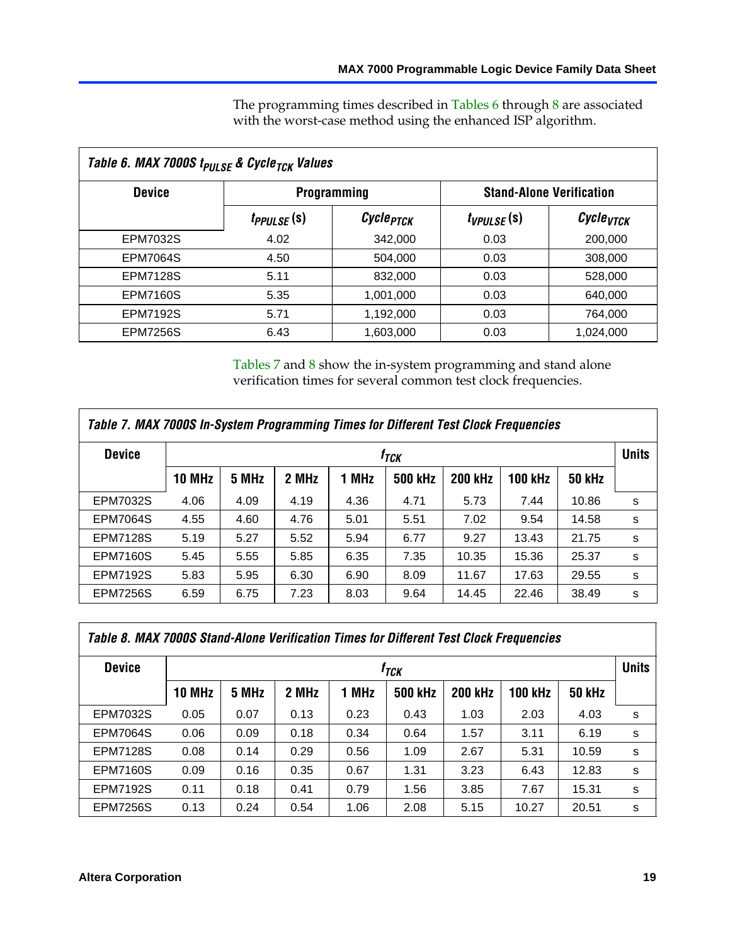The programming times described in Tables 6 through 8 are associated with the worst-case method using the enhanced ISP algorithm.

<span id="page-18-2"></span>

|                 | Table 6. MAX 7000S t <sub>PULSE</sub> & Cycle <sub>TCK</sub> Values |                       |                                 |                             |  |  |  |  |  |
|-----------------|---------------------------------------------------------------------|-----------------------|---------------------------------|-----------------------------|--|--|--|--|--|
| <b>Device</b>   |                                                                     | <b>Programming</b>    | <b>Stand-Alone Verification</b> |                             |  |  |  |  |  |
|                 | t <sub>PPULSE</sub> (S)                                             | Cycle <sub>PTCK</sub> | $t_{VPULSE}(s)$                 | $\mathcal C$ ycle $_{VTCK}$ |  |  |  |  |  |
| EPM7032S        | 4.02                                                                | 342,000               | 0.03                            | 200,000                     |  |  |  |  |  |
| <b>EPM7064S</b> | 4.50                                                                | 504,000               | 0.03                            | 308,000                     |  |  |  |  |  |
| <b>EPM7128S</b> | 5.11                                                                | 832,000               | 0.03                            | 528,000                     |  |  |  |  |  |
| <b>EPM7160S</b> | 5.35                                                                | 1,001,000             | 0.03                            | 640,000                     |  |  |  |  |  |
| <b>EPM7192S</b> | 5.71                                                                | 1,192,000             | 0.03                            | 764,000                     |  |  |  |  |  |
| <b>EPM7256S</b> | 6.43                                                                | 1,603,000             | 0.03                            | 1,024,000                   |  |  |  |  |  |

Tables 7 and 8 show the in-system programming and stand alone verification times for several common test clock frequencies.

<span id="page-18-0"></span>

| Table 7. MAX 7000S In-System Programming Times for Different Test Clock Frequencies |                  |       |       |       |                |                |                |               |              |
|-------------------------------------------------------------------------------------|------------------|-------|-------|-------|----------------|----------------|----------------|---------------|--------------|
| <b>Device</b>                                                                       | 1 <sub>ТСК</sub> |       |       |       |                |                |                |               | <b>Units</b> |
|                                                                                     | <b>10 MHz</b>    | 5 MHz | 2 MHz | 1 MHz | <b>500 kHz</b> | <b>200 kHz</b> | <b>100 kHz</b> | <b>50 kHz</b> |              |
| <b>EPM7032S</b>                                                                     | 4.06             | 4.09  | 4.19  | 4.36  | 4.71           | 5.73           | 7.44           | 10.86         | s            |
| <b>EPM7064S</b>                                                                     | 4.55             | 4.60  | 4.76  | 5.01  | 5.51           | 7.02           | 9.54           | 14.58         | s            |
| <b>EPM7128S</b>                                                                     | 5.19             | 5.27  | 5.52  | 5.94  | 6.77           | 9.27           | 13.43          | 21.75         | s            |
| <b>EPM7160S</b>                                                                     | 5.45             | 5.55  | 5.85  | 6.35  | 7.35           | 10.35          | 15.36          | 25.37         | s            |
| <b>EPM7192S</b>                                                                     | 5.83             | 5.95  | 6.30  | 6.90  | 8.09           | 11.67          | 17.63          | 29.55         | s            |
| <b>EPM7256S</b>                                                                     | 6.59             | 6.75  | 7.23  | 8.03  | 9.64           | 14.45          | 22.46          | 38.49         | s            |

<span id="page-18-1"></span>

| Table 8. MAX 7000S Stand-Alone Verification Times for Different Test Clock Frequencies |               |                  |       |       |                |                |                |               |              |
|----------------------------------------------------------------------------------------|---------------|------------------|-------|-------|----------------|----------------|----------------|---------------|--------------|
| <b>Device</b>                                                                          |               | † <sub>TCK</sub> |       |       |                |                |                |               | <b>Units</b> |
|                                                                                        | <b>10 MHz</b> | 5 MHz            | 2 MHz | 1 MHz | <b>500 kHz</b> | <b>200 kHz</b> | <b>100 kHz</b> | <b>50 kHz</b> |              |
| <b>EPM7032S</b>                                                                        | 0.05          | 0.07             | 0.13  | 0.23  | 0.43           | 1.03           | 2.03           | 4.03          | s            |
| <b>EPM7064S</b>                                                                        | 0.06          | 0.09             | 0.18  | 0.34  | 0.64           | 1.57           | 3.11           | 6.19          | s            |
| <b>EPM7128S</b>                                                                        | 0.08          | 0.14             | 0.29  | 0.56  | 1.09           | 2.67           | 5.31           | 10.59         | s            |
| <b>EPM7160S</b>                                                                        | 0.09          | 0.16             | 0.35  | 0.67  | 1.31           | 3.23           | 6.43           | 12.83         | s            |
| <b>EPM7192S</b>                                                                        | 0.11          | 0.18             | 0.41  | 0.79  | 1.56           | 3.85           | 7.67           | 15.31         | s            |
| <b>EPM7256S</b>                                                                        | 0.13          | 0.24             | 0.54  | 1.06  | 2.08           | 5.15           | 10.27          | 20.51         | s            |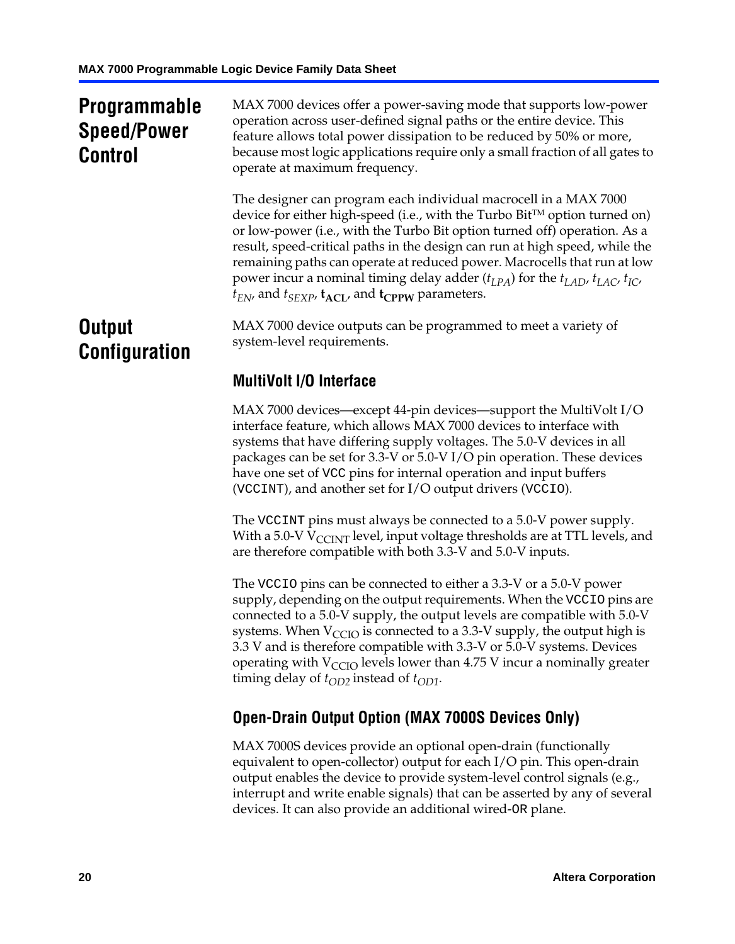# **Programmable Speed/Power Control**

MAX 7000 devices offer a power-saving mode that supports low-power operation across user-defined signal paths or the entire device. This feature allows total power dissipation to be reduced by 50% or more, because most logic applications require only a small fraction of all gates to operate at maximum frequency.

The designer can program each individual macrocell in a MAX 7000 device for either high-speed (i.e., with the Turbo  $Bit^{TM}$  option turned on) or low-power (i.e., with the Turbo Bit option turned off) operation. As a result, speed-critical paths in the design can run at high speed, while the remaining paths can operate at reduced power. Macrocells that run at low power incur a nominal timing delay adder  $(t_{LPA})$  for the  $t_{LAD}$ ,  $t_{LAC}$ ,  $t_{IC}$ ,  $t_{EN}$ , and  $t_{SEXP}$ ,  $t_{ACL}$ , and  $t_{CPPW}$  parameters.

# **Output Configuration**

MAX 7000 device outputs can be programmed to meet a variety of system-level requirements.

# **MultiVolt I/O Interface**

MAX 7000 devices—except 44-pin devices—support the MultiVolt I/O interface feature, which allows MAX 7000 devices to interface with systems that have differing supply voltages. The 5.0-V devices in all packages can be set for 3.3-V or 5.0-V I/O pin operation. These devices have one set of VCC pins for internal operation and input buffers (VCCINT), and another set for I/O output drivers (VCCIO).

The VCCINT pins must always be connected to a 5.0-V power supply. With a 5.0-V  $V_{\text{CCINT}}$  level, input voltage thresholds are at TTL levels, and are therefore compatible with both 3.3-V and 5.0-V inputs.

The VCCIO pins can be connected to either a 3.3-V or a 5.0-V power supply, depending on the output requirements. When the VCCIO pins are connected to a 5.0-V supply, the output levels are compatible with 5.0-V systems. When  $V_{\text{CGO}}$  is connected to a 3.3-V supply, the output high is 3.3 V and is therefore compatible with 3.3-V or 5.0-V systems. Devices operating with  $V_{\text{CGO}}$  levels lower than 4.75 V incur a nominally greater timing delay of  $t_{OD2}$  instead of  $t_{OD1}$ .

# <span id="page-19-0"></span>**Open-Drain Output Option (MAX 7000S Devices Only)**

MAX 7000S devices provide an optional open-drain (functionally equivalent to open-collector) output for each I/O pin. This open-drain output enables the device to provide system-level control signals (e.g., interrupt and write enable signals) that can be asserted by any of several devices. It can also provide an additional wired-OR plane.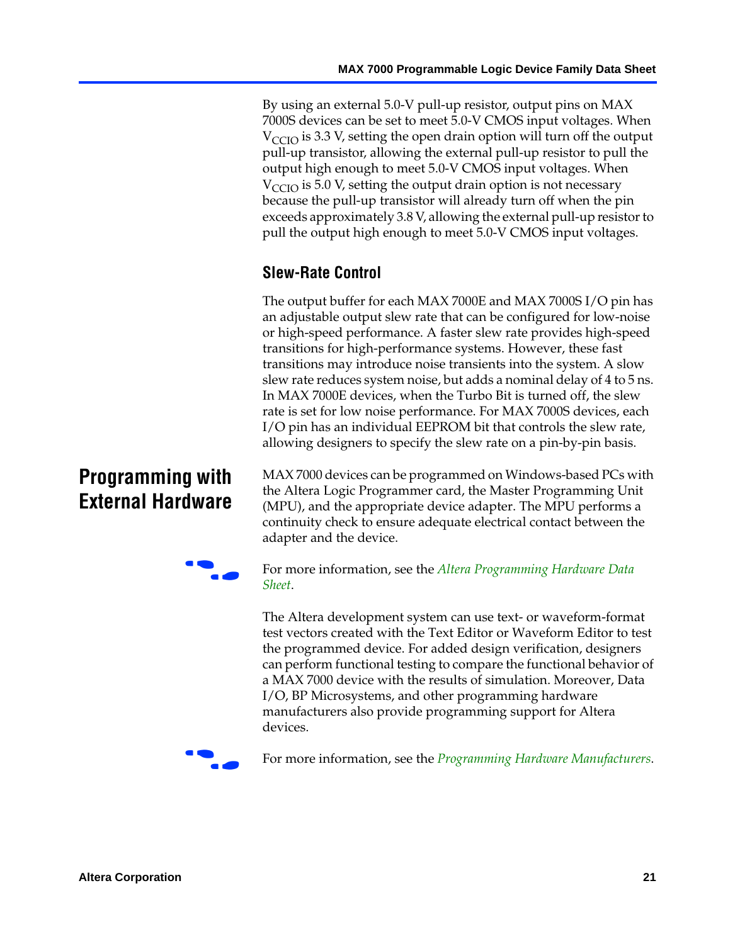By using an external 5.0-V pull-up resistor, output pins on MAX 7000S devices can be set to meet 5.0-V CMOS input voltages. When  $V_{\text{CCIO}}$  is 3.3 V, setting the open drain option will turn off the output pull-up transistor, allowing the external pull-up resistor to pull the output high enough to meet 5.0-V CMOS input voltages. When  $V_{\text{CCIO}}$  is 5.0 V, setting the output drain option is not necessary because the pull-up transistor will already turn off when the pin exceeds approximately 3.8 V, allowing the external pull-up resistor to pull the output high enough to meet 5.0-V CMOS input voltages.

# **Slew-Rate Control**

The output buffer for each MAX 7000E and MAX 7000S I/O pin has an adjustable output slew rate that can be configured for low-noise or high-speed performance. A faster slew rate provides high-speed transitions for high-performance systems. However, these fast transitions may introduce noise transients into the system. A slow slew rate reduces system noise, but adds a nominal delay of 4 to 5 ns. In MAX 7000E devices, when the Turbo Bit is turned off, the slew rate is set for low noise performance. For MAX 7000S devices, each I/O pin has an individual EEPROM bit that controls the slew rate, allowing designers to specify the slew rate on a pin-by-pin basis.

# **Programming with External Hardware**

[MAX](http://www.altera.com/literature/ds/dspghd.pdf) 7000 devices can be prog[rammed on Windows-based PCs with](http://www.altera.com/literature/ds/dspghd.pdf)  the Altera Logic Programmer card, the Master Programming Unit (MPU), and the appropriate device adapter. The MPU performs a continuity check to ensure adequate electrical contact between the adapter and the device.



For more information, see the *Altera Programming Hardware Data Sheet*.

The Altera development system can use text- or waveform-format test vectors created with the Text Editor or Waveform Editor to test the programmed device. For added design verification, designers can perform functional testing to compare the functional behavior of a MAX 7000 device with the results of simulation. Moreover, Data I/O, BP Microsystems, and other programming hardware manufacturers also provide programming support for Altera devices.



For more information, see the *Programming Hardware Manufacturers*.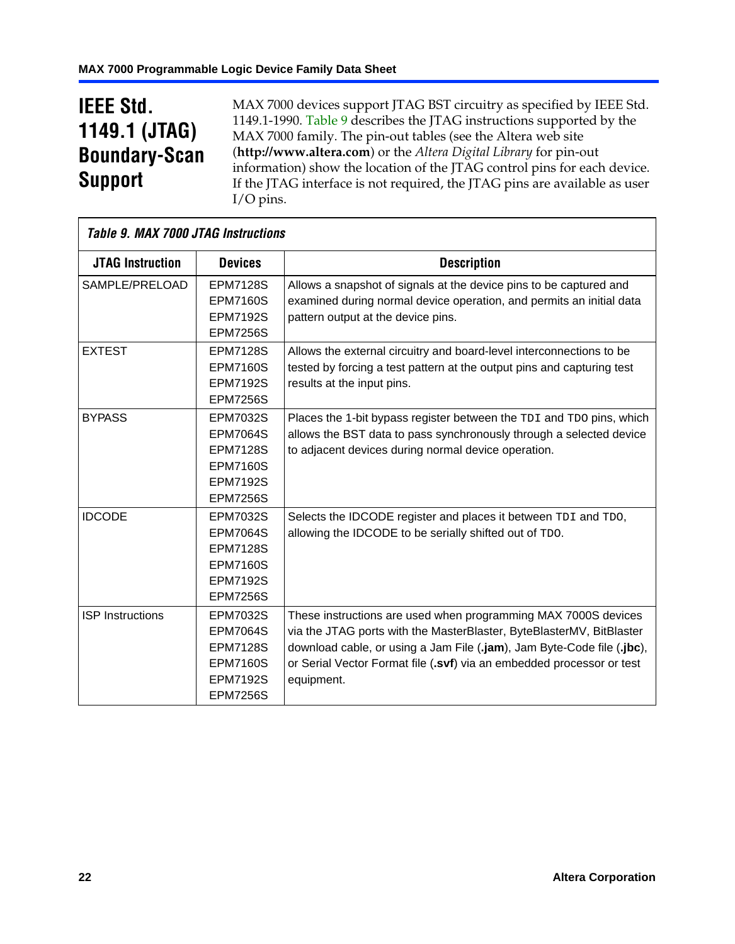# **IEEE Std. 1149.1 (JTAG) Boundary-Scan Support**

 $\mathsf{r}$ 

MAX 7000 devices support JTAG BST circuitry as specified by IEEE Std. 1149.1-1990. Table 9 describes the JTAG instructions supported by the MAX 7000 family. The pin-out tables (see the Altera web site (**http://www.altera.com**) or the *Altera Digital Library* for pin-out information) show the location of the JTAG control pins for each device. If the JTAG interface is not required, the JTAG pins are available as user I/O pins.

| <b>Table 9. MAX 7000 JTAG Instructions</b> |                 |                                                                        |
|--------------------------------------------|-----------------|------------------------------------------------------------------------|
| <b>JTAG Instruction</b>                    | <b>Devices</b>  | <b>Description</b>                                                     |
| SAMPLE/PRELOAD                             | <b>EPM7128S</b> | Allows a snapshot of signals at the device pins to be captured and     |
|                                            | <b>EPM7160S</b> | examined during normal device operation, and permits an initial data   |
|                                            | <b>EPM7192S</b> | pattern output at the device pins.                                     |
|                                            | <b>EPM7256S</b> |                                                                        |
| <b>EXTEST</b>                              | <b>EPM7128S</b> | Allows the external circuitry and board-level interconnections to be   |
|                                            | <b>EPM7160S</b> | tested by forcing a test pattern at the output pins and capturing test |
|                                            | <b>EPM7192S</b> | results at the input pins.                                             |
|                                            | <b>EPM7256S</b> |                                                                        |
| <b>BYPASS</b>                              | EPM7032S        | Places the 1-bit bypass register between the TDI and TDO pins, which   |
|                                            | <b>EPM7064S</b> | allows the BST data to pass synchronously through a selected device    |
|                                            | <b>EPM7128S</b> | to adjacent devices during normal device operation.                    |
|                                            | <b>EPM7160S</b> |                                                                        |
|                                            | <b>EPM7192S</b> |                                                                        |
|                                            | <b>EPM7256S</b> |                                                                        |
| <b>IDCODE</b>                              | <b>EPM7032S</b> | Selects the IDCODE register and places it between TDI and TDO,         |
|                                            | <b>EPM7064S</b> | allowing the IDCODE to be serially shifted out of TDO.                 |
|                                            | <b>EPM7128S</b> |                                                                        |
|                                            | <b>EPM7160S</b> |                                                                        |
|                                            | <b>EPM7192S</b> |                                                                        |
|                                            | <b>EPM7256S</b> |                                                                        |
| <b>ISP Instructions</b>                    | <b>EPM7032S</b> | These instructions are used when programming MAX 7000S devices         |
|                                            | <b>EPM7064S</b> | via the JTAG ports with the MasterBlaster, ByteBlasterMV, BitBlaster   |
|                                            | <b>EPM7128S</b> | download cable, or using a Jam File (.jam), Jam Byte-Code file (.jbc), |
|                                            | <b>EPM7160S</b> | or Serial Vector Format file (.svf) via an embedded processor or test  |
|                                            | <b>EPM7192S</b> | equipment.                                                             |
|                                            | <b>EPM7256S</b> |                                                                        |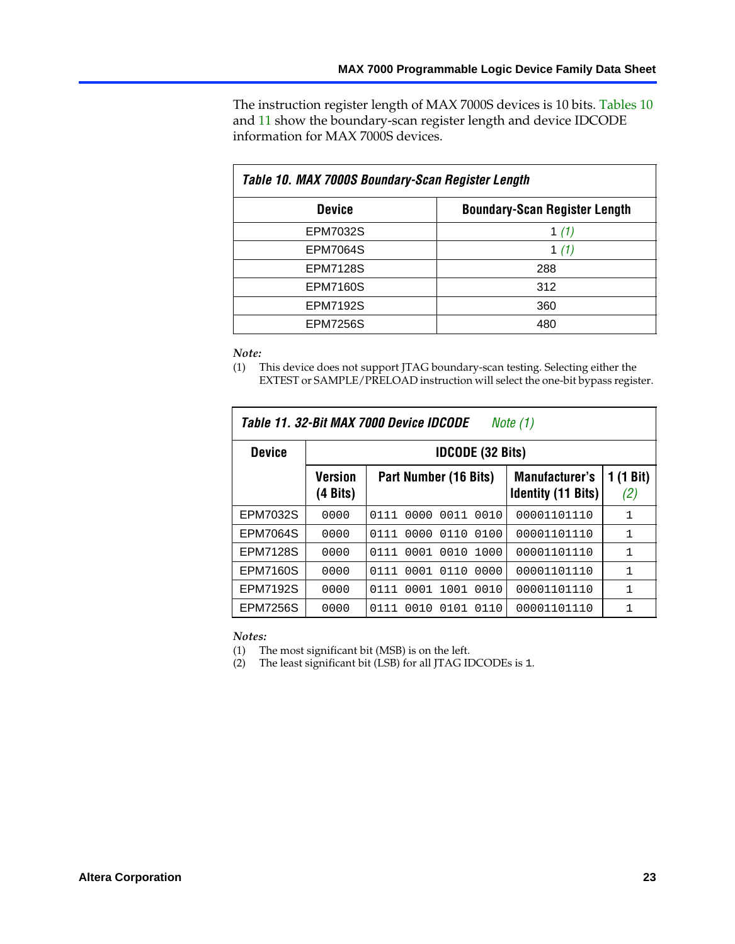The instruction register length of MAX 7000S devices is 10 bits. Tables 10 and 11 show the boundary-scan register length and devi[ce](#page-22-1) IDCODE information for MAX 7000S devices.

<span id="page-22-1"></span>

| Table 10. MAX 7000S Boundary-Scan Register Length |                                      |  |  |  |  |  |
|---------------------------------------------------|--------------------------------------|--|--|--|--|--|
| <b>Device</b>                                     | <b>Boundary-Scan Register Length</b> |  |  |  |  |  |
| EPM7032S                                          | 1 (1)                                |  |  |  |  |  |
| <b>EPM7064S</b>                                   | 1 $(1)$                              |  |  |  |  |  |
| <b>EPM7128S</b>                                   | 288                                  |  |  |  |  |  |
| <b>EPM7160S</b>                                   | 312                                  |  |  |  |  |  |
| <b>EPM7192S</b>                                   | 360                                  |  |  |  |  |  |
| <b>EPM7256S</b>                                   | 480                                  |  |  |  |  |  |

#### *Note:*

(1) This device does not support JTAG boundary-scan testing. Selecting either the EXTEST or SAMPLE/PRELOAD instruction will select the one-bit bypa[ss regis](#page-22-2)ter.

|                 | Table 11. 32-Bit MAX 7000 Device IDCODE<br>Note $(1)$ |                              |                                                    |                  |  |  |  |  |
|-----------------|-------------------------------------------------------|------------------------------|----------------------------------------------------|------------------|--|--|--|--|
| <b>Device</b>   | <b>IDCODE (32 Bits)</b>                               |                              |                                                    |                  |  |  |  |  |
|                 | Version<br>(4 Bits)                                   | Part Number (16 Bits)        | <b>Manufacturer's</b><br><b>Identity (11 Bits)</b> | 1 (1 Bit)<br>(2) |  |  |  |  |
| EPM7032S        | 0000                                                  | 0000<br>0011<br>0010<br>0111 | 00001101110                                        | 1                |  |  |  |  |
| <b>EPM7064S</b> | 0000                                                  | 0000<br>0110<br>0100<br>0111 | 00001101110                                        | 1                |  |  |  |  |
| <b>EPM7128S</b> | 0000                                                  | 0010<br>0001<br>1000<br>0111 | 00001101110                                        | 1                |  |  |  |  |
| <b>EPM7160S</b> | 0000                                                  | 0110<br>0001<br>0000<br>0111 | 00001101110                                        | 1                |  |  |  |  |
| <b>EPM7192S</b> | 0000                                                  | 1001<br>0001<br>0010<br>0111 | 00001101110                                        | 1                |  |  |  |  |
| <b>EPM7256S</b> | 0000                                                  | 0101<br>0111<br>0010<br>0110 | 00001101110                                        | 1                |  |  |  |  |

<span id="page-22-2"></span><span id="page-22-0"></span>*Notes:*

(1) The most significant bit (MSB) is on the left.

(2) The least significant bit (LSB) for all JTAG IDCODEs is 1.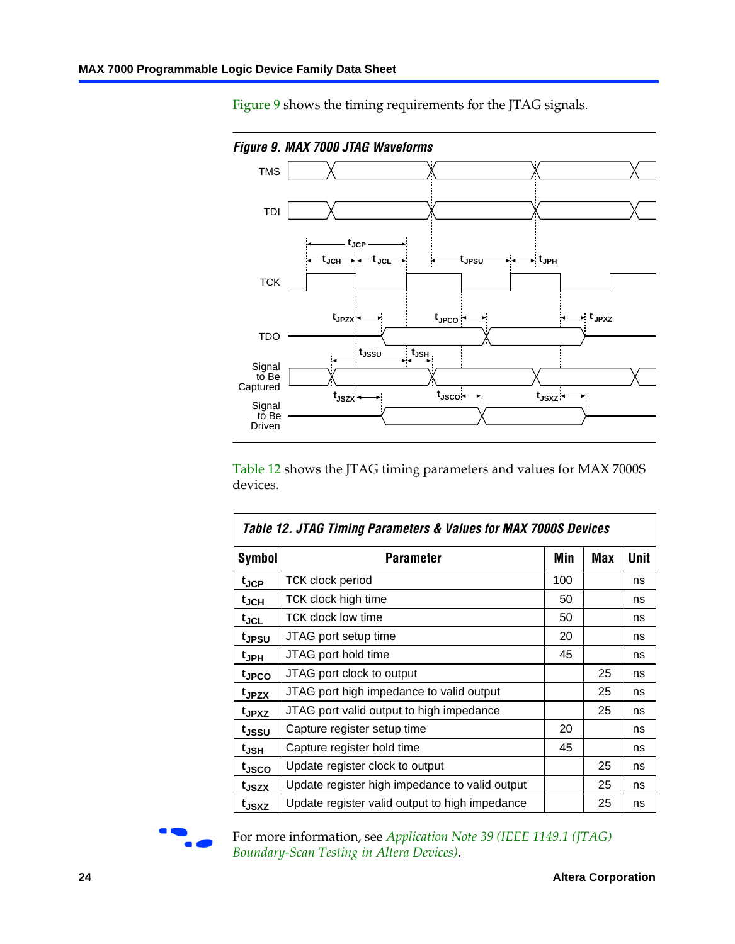Figure 9 shows the timing requirements for the JTAG signals.



<span id="page-23-0"></span>Table 12 shows the JTAG timing parameters and values for MAX 7000S devices.

|                   | Table 12. JTAG Timing Parameters & Values for MAX 7000S Devices |     |     |      |  |  |  |  |
|-------------------|-----------------------------------------------------------------|-----|-----|------|--|--|--|--|
| <b>Symbol</b>     | Parameter                                                       | Min | Max | Unit |  |  |  |  |
| t <sub>JCP</sub>  | TCK clock period                                                | 100 |     | ns   |  |  |  |  |
| $t_{JCH}$         | TCK clock high time                                             | 50  |     | ns   |  |  |  |  |
| tjcl              | TCK clock low time                                              | 50  |     | ns   |  |  |  |  |
| t <sub>JPSU</sub> | JTAG port setup time                                            | 20  |     | ns   |  |  |  |  |
| t <sub>JPH</sub>  | JTAG port hold time                                             | 45  |     | ns   |  |  |  |  |
| t <sub>JPCO</sub> | JTAG port clock to output                                       |     | 25  | ns   |  |  |  |  |
| t <sub>JPZX</sub> | JTAG port high impedance to valid output                        |     | 25  | ns   |  |  |  |  |
| t <sub>JPXZ</sub> | JTAG port valid output to high impedance                        |     | 25  | ns   |  |  |  |  |
| tjssu             | Capture register setup time                                     | 20  |     | ns   |  |  |  |  |
| t <sub>JSH</sub>  | Capture register hold time                                      | 45  |     | ns   |  |  |  |  |
| t <sub>JSCO</sub> | Update register clock to output                                 |     | 25  | ns   |  |  |  |  |
| t <sub>JSZX</sub> | Update register high impedance to valid output                  |     | 25  | ns   |  |  |  |  |
| t <sub>JSXZ</sub> | Update register valid output to high impedance                  |     | 25  | ns   |  |  |  |  |



For more information, see *Application Note 39 (IEEE 1149.1 (JTAG) Boundary-Scan Testing in Altera Devices)*.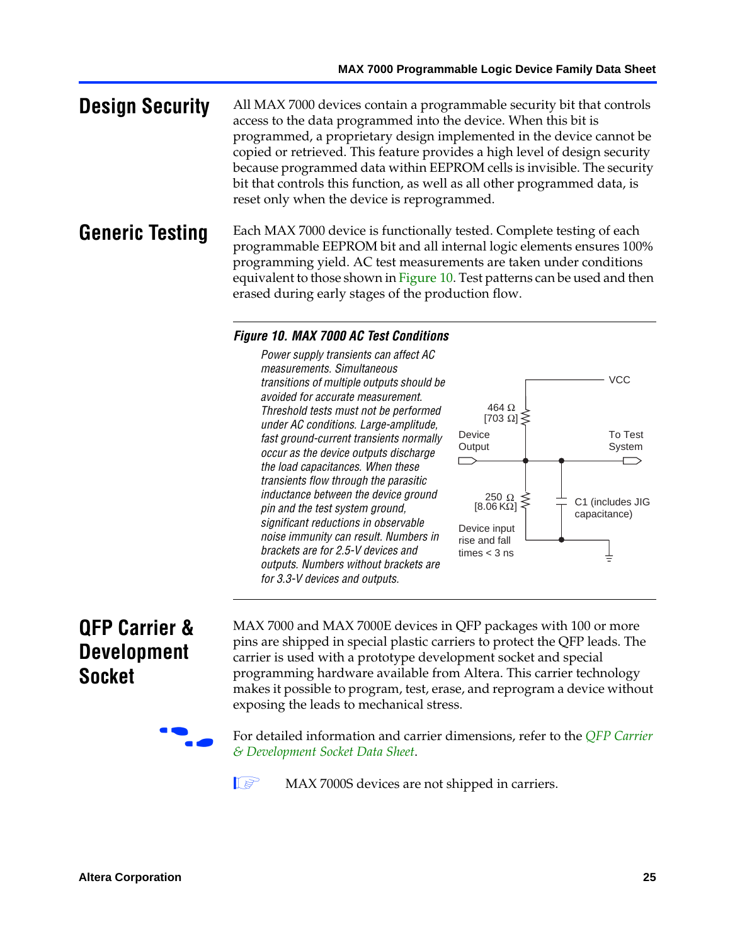**Design Security** All MAX 7000 devices contain a programmable security bit that controls access to the data programmed into the device. When this bit is programmed, a proprietary design implemented in the device cannot be copied or retrieved. This feature provides a high level of design security because programmed data [within EEP](#page-24-0)ROM cells is invisible. The security bit that controls this function, as well as all other programmed data, is reset only when the device is reprogrammed.

### **Generic Testing** Each MAX 7000 device is functionally tested. Complete testing of each programmable EEPROM bit and all internal logic elements ensures 100% programming yield. AC test measurements are taken under conditions equivalent to those shown in Figure 10. Test patterns can be used and then erased during early stages of the production flow.

#### <span id="page-24-0"></span>*Figure 10. MAX 7000 AC Test Conditions*

*Power supply transients can affect AC measurements. Simultaneous transitions of multiple outputs should be avoided for accurate measurement. Threshold tests must not be performed under AC conditions. Large-amplitude, fast ground-current transients normally occur as the device outputs discharge the load capacitances. When these transients flow through the parasitic inductance between the device ground pin and the test system ground, significant reductions in observable noise immunity can result. Numbers in brackets are for 2.5-V devices and outputs. Numbers without brackets are for 3.3-V devices and outputs.*



# **QFP Carrier & Development Socket**

MAX 7000 and MAX 7000E devices in QFP packages with 10[0 or more](http://www.altera.com/literature/ds/dsqfp.pdf)  [pins are shipped in special plas](http://www.altera.com/literature/ds/dsqfp.pdf)tic carriers to protect the QFP leads. The carrier is used with a prototype development socket and special programming hardware available from Altera. This carrier technology makes it possible to program, test, erase, and reprogram a device without exposing the leads to mechanical stress.

For detailed information and carrier dimensions, refer to the *QFP Carrier & Development Socket Data Sheet*.

MAX 7000S devices are not shipped in carriers.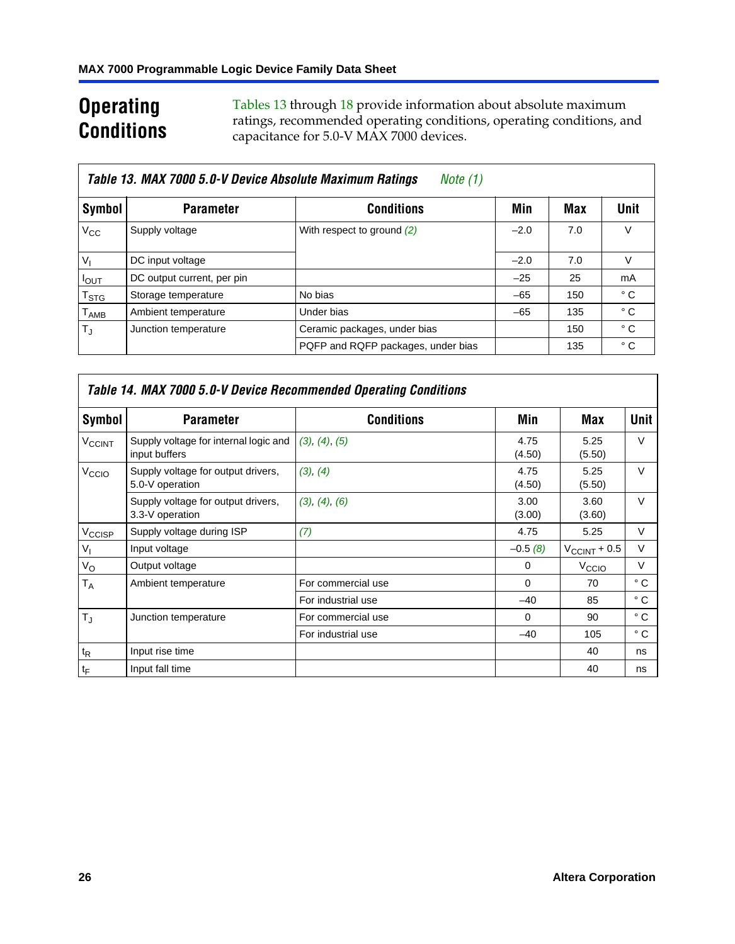# **Operating Conditions**

Tables 13 through 18 provide information about absolute maximum ratings, recommended operat[ing](#page-27-1) conditions, operating conditions, and capacitance for 5.0-V MAX 7000 devices.

|                           | Table 13. MAX 7000 5.0-V Device Absolute Maximum Ratings<br>Note (1) |                                    |        |     |              |  |  |  |  |
|---------------------------|----------------------------------------------------------------------|------------------------------------|--------|-----|--------------|--|--|--|--|
| Symbol                    | <b>Parameter</b>                                                     | <b>Conditions</b>                  | Min    | Max | Unit         |  |  |  |  |
| $V_{\rm CC}$              | Supply voltage                                                       | With respect to ground (2)         | $-2.0$ | 7.0 | V            |  |  |  |  |
| $V_{1}$                   | DC input voltage                                                     |                                    | $-2.0$ | 7.0 | V            |  |  |  |  |
| $I_{\text{OUT}}$          | DC output current, per pin                                           |                                    | $-25$  | 25  | mA           |  |  |  |  |
| $\mathsf{T}_{\text{STG}}$ | Storage temperature                                                  | No bias                            | $-65$  | 150 | $^{\circ}$ C |  |  |  |  |
| $T_{\sf AMB}$             | Ambient temperature                                                  | Under bias                         | $-65$  | 135 | $^{\circ}$ C |  |  |  |  |
| $T_{\rm J}$               | Junction temperature                                                 | Ceramic packages, under bias       |        | 150 | $^{\circ}$ C |  |  |  |  |
|                           |                                                                      | PQFP and RQFP packages, under bias |        | 135 | $^{\circ}$ C |  |  |  |  |

<span id="page-25-0"></span>

|                          | Table 14. MAX 7000 5.0-V Device Recommended Operating Conditions |                    |                |                          |              |  |  |  |  |
|--------------------------|------------------------------------------------------------------|--------------------|----------------|--------------------------|--------------|--|--|--|--|
| Symbol                   | <b>Parameter</b>                                                 | <b>Conditions</b>  | Min            | Max                      | Unit         |  |  |  |  |
| <b>V<sub>CCINT</sub></b> | Supply voltage for internal logic and<br>input buffers           | (3), (4), (5)      | 4.75<br>(4.50) | 5.25<br>(5.50)           | $\vee$       |  |  |  |  |
| V <sub>CCIO</sub>        | Supply voltage for output drivers,<br>5.0-V operation            | (3), (4)           | 4.75<br>(4.50) | 5.25<br>(5.50)           | $\vee$       |  |  |  |  |
|                          | Supply voltage for output drivers,<br>3.3-V operation            | (3), (4), (6)      | 3.00<br>(3.00) | 3.60<br>(3.60)           | $\vee$       |  |  |  |  |
| V <sub>CCISP</sub>       | Supply voltage during ISP                                        | (7)                | 4.75           | 5.25                     | V            |  |  |  |  |
| $V_{1}$                  | Input voltage                                                    |                    | $-0.5(8)$      | $V_{\text{CCINT}} + 0.5$ | $\vee$       |  |  |  |  |
| $V_{\rm O}$              | Output voltage                                                   |                    | 0              | V <sub>CCIO</sub>        | V            |  |  |  |  |
| T <sub>A</sub>           | Ambient temperature                                              | For commercial use | $\Omega$       | 70                       | $^{\circ}$ C |  |  |  |  |
|                          |                                                                  | For industrial use | $-40$          | 85                       | °C           |  |  |  |  |
| $T_{\rm d}$              | Junction temperature                                             | For commercial use | $\Omega$       | 90                       | ° C          |  |  |  |  |
|                          |                                                                  | For industrial use | $-40$          | 105                      | $^{\circ}$ C |  |  |  |  |
| $t_{R}$                  | Input rise time                                                  |                    |                | 40                       | ns           |  |  |  |  |
| $t_F$                    | Input fall time                                                  |                    |                | 40                       | ns           |  |  |  |  |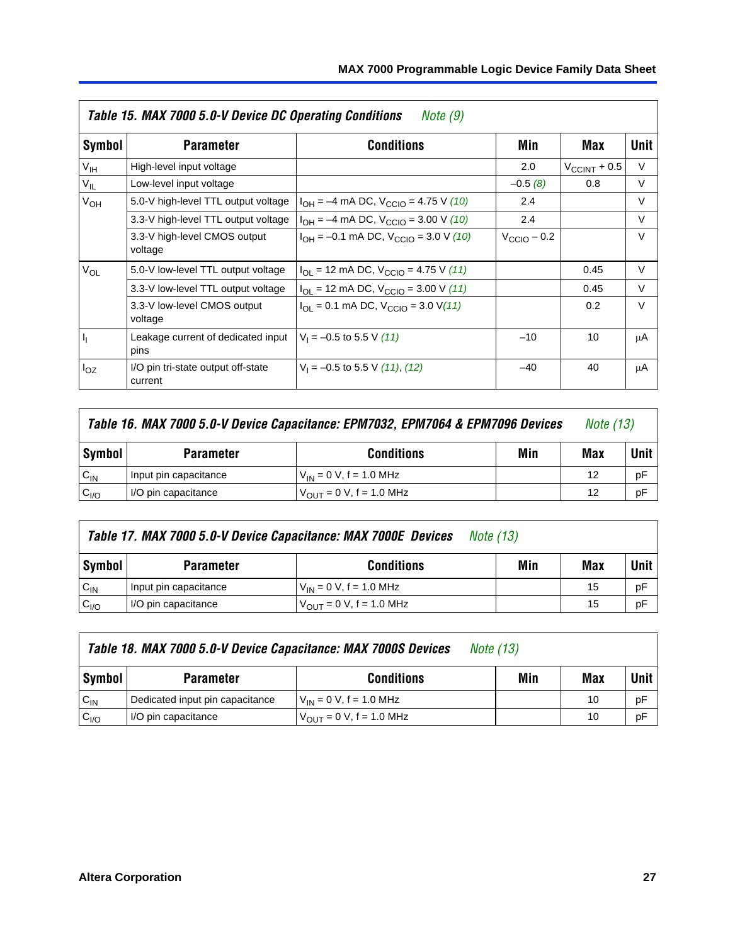|                 | Table 15. MAX 7000 5.0-V Device DC Operating Conditions | Note (9)                                                                                                                                                                                                                                                                                                                                                                                                                                                                                                  |       |        |        |
|-----------------|---------------------------------------------------------|-----------------------------------------------------------------------------------------------------------------------------------------------------------------------------------------------------------------------------------------------------------------------------------------------------------------------------------------------------------------------------------------------------------------------------------------------------------------------------------------------------------|-------|--------|--------|
| Symbol          | <b>Parameter</b>                                        | <b>Conditions</b>                                                                                                                                                                                                                                                                                                                                                                                                                                                                                         | Min   | Max    | Unit   |
| V <sub>IH</sub> | High-level input voltage                                | 2.0<br>$V_{\text{CCINT}} + 0.5$<br>$-0.5(8)$<br>0.8<br>$I_{OH} = -4$ mA DC, $V_{CClO} = 4.75$ V (10)<br>2.4<br>2.4<br>$I_{OH} = -4$ mA DC, $V_{CClO} = 3.00$ V (10)<br>$I_{OH} = -0.1$ mA DC, $V_{CClO} = 3.0$ V (10)<br>$V_{CCD}$ – 0.2<br>$I_{\text{OI}}$ = 12 mA DC, $V_{\text{CCIO}}$ = 4.75 V (11)<br>0.45<br>$I_{OL}$ = 12 mA DC, $V_{CCIO}$ = 3.00 V (11)<br>0.45<br>$I_{\text{OI}} = 0.1 \text{ mA DC}, V_{\text{CCIO}} = 3.0 \text{ V} (11)$<br>0.2<br>$V_1 = -0.5$ to 5.5 V (11)<br>10<br>$-10$ |       | $\vee$ |        |
| $V_{IL}$        | Low-level input voltage                                 |                                                                                                                                                                                                                                                                                                                                                                                                                                                                                                           |       |        | V      |
| $V_{OH}$        | 5.0-V high-level TTL output voltage                     |                                                                                                                                                                                                                                                                                                                                                                                                                                                                                                           |       |        | $\vee$ |
| $V_{OL}$        | 3.3-V high-level TTL output voltage                     |                                                                                                                                                                                                                                                                                                                                                                                                                                                                                                           |       |        | $\vee$ |
|                 | 3.3-V high-level CMOS output<br>voltage                 |                                                                                                                                                                                                                                                                                                                                                                                                                                                                                                           |       |        | $\vee$ |
|                 | 5.0-V low-level TTL output voltage                      |                                                                                                                                                                                                                                                                                                                                                                                                                                                                                                           |       |        | $\vee$ |
|                 | 3.3-V low-level TTL output voltage                      |                                                                                                                                                                                                                                                                                                                                                                                                                                                                                                           |       |        | $\vee$ |
|                 | 3.3-V low-level CMOS output<br>voltage                  |                                                                                                                                                                                                                                                                                                                                                                                                                                                                                                           |       |        | $\vee$ |
| h,              | Leakage current of dedicated input<br>pins              |                                                                                                                                                                                                                                                                                                                                                                                                                                                                                                           |       |        | μA     |
| $I_{OZ}$        | I/O pin tri-state output off-state<br>current           | $V_1 = -0.5$ to 5.5 V (11), (12)                                                                                                                                                                                                                                                                                                                                                                                                                                                                          | $-40$ | 40     | μA     |

| Table 16. MAX 7000 5.0-V Device Capacitance: EPM7032, EPM7064 & EPM7096 Devices |                                              |                               |  |    | <i>Note (13)</i> |
|---------------------------------------------------------------------------------|----------------------------------------------|-------------------------------|--|----|------------------|
| Symbol                                                                          | Min<br><b>Conditions</b><br><b>Parameter</b> |                               |  |    |                  |
| $C_{IN}$                                                                        | Input pin capacitance                        | $V_{IN} = 0 V$ , f = 1.0 MHz  |  | 12 | pF               |
| C <sub>I/O</sub>                                                                | I/O pin capacitance                          | $V_{OUT} = 0 V$ , f = 1.0 MHz |  | 12 | pF               |

|                  | Table 17. MAX 7000 5.0-V Device Capacitance: MAX 7000E Devices | <i>Note (13)</i>               |     |     |      |
|------------------|----------------------------------------------------------------|--------------------------------|-----|-----|------|
| <b>Symbol</b>    | <b>Parameter</b>                                               | <b>Conditions</b>              | Min | Max | Unit |
| $C_{IN}$         | Input pin capacitance                                          | $V_{IN} = 0 V$ , f = 1.0 MHz   |     | 15  | pF   |
| C <sub>I/O</sub> | I/O pin capacitance                                            | $V_{OIII} = 0 V$ , f = 1.0 MHz |     | 15  | pF   |

|                  | Table 18. MAX 7000 5.0-V Device Capacitance: MAX 7000S Devices | <i>Note (13)</i>                                    |     |     |      |
|------------------|----------------------------------------------------------------|-----------------------------------------------------|-----|-----|------|
| Symbol           | <b>Parameter</b>                                               | <b>Conditions</b>                                   | Min | Max | Unit |
| $C_{IN}$         | Dedicated input pin capacitance                                | $V_{IN} = 0 V$ , f = 1.0 MHz                        |     | 10  | pF   |
| C <sub>I/O</sub> | I/O pin capacitance                                            | $V_{\text{OUT}} = 0 \text{ V}, f = 1.0 \text{ MHz}$ |     | 10  | pF   |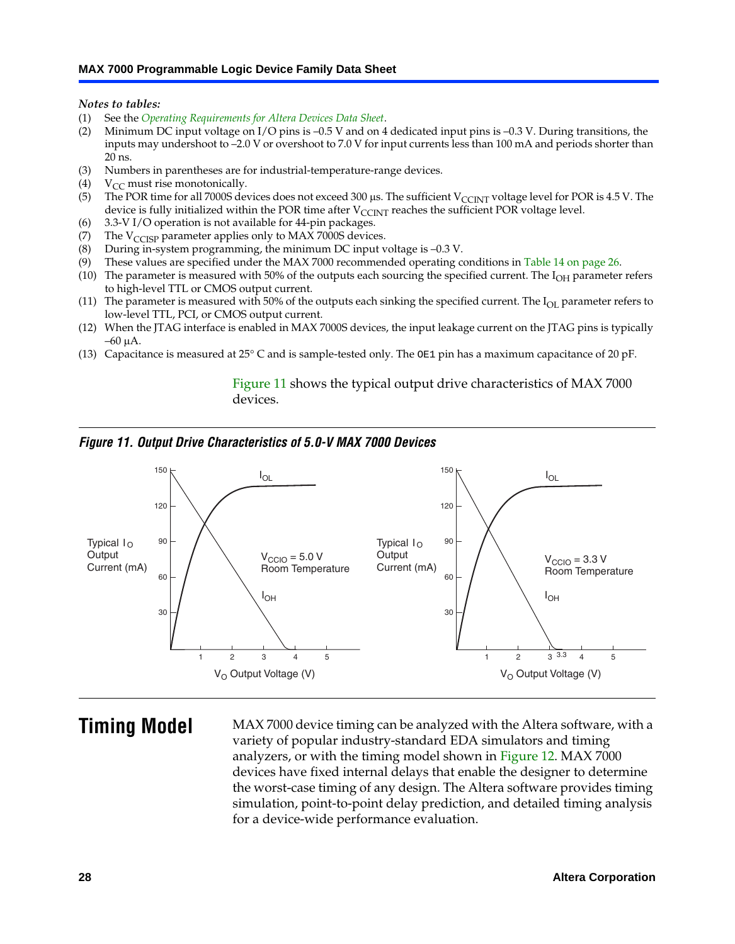<span id="page-27-6"></span><span id="page-27-3"></span><span id="page-27-2"></span><span id="page-27-1"></span>*Notes to tables:*

- <span id="page-27-4"></span>(1) See the *Operating Requirements for Altera Devices Data Sheet*.
- <span id="page-27-5"></span><span id="page-27-0"></span>(2) Minimum DC input voltage on I/O pins is –0.5 V and on 4 dedicated input pins is –0.3 V. During transitions, the inputs may undershoot to –2.0 V or overshoot to 7.0 V for input currents less than 100 mA and periods shorter than  $20$  ns.
- <span id="page-27-7"></span>(3) Numbers in parentheses are for industrial-temperature-range devices.<br>(4)  $V_{CC}$  must rise monotonically.
- $V_{CC}$  must rise monotonically.
- <span id="page-27-8"></span>(5) The POR time for all 7000S devices does not exceed 300 µs. The sufficient V<sub>CCINT</sub> voltage level for POR is 4.5 V. The device is fully initialized within the POR time after  $V_{\text{CCINT}}$  reaches the sufficient POR voltage level.
- <span id="page-27-9"></span>(6) 3.3-V I/O operation is not available for 44-pin packages.
- (7) The  $V_{\text{CCISP}}$  parameter applies only to MAX 7000S devices.
- <span id="page-27-10"></span>(8) During in-system programming, the minimum DC input voltage is –0.3 V.
- (9) These values are specified under the MAX 7000 recommended operating conditions in Table 14 on page 26.
- (10) The parameter is measure[d with 50](#page-27-11)% of the outputs each sourcing the specified current. The  $I_{OH}$  parameter refers to high-level TTL or CMOS output current.
- (11) The parameter is measured with 50% of the outputs each sinking the specified current. The  $I_{OL}$  parameter refers to low-level TTL, PCI, or CMOS output current.
- <span id="page-27-11"></span>(12) When the JTAG interface is enabled in MAX 7000S devices, the input leakage current on the JTAG pins is typically –60 μA.
- (13) Capacitance is measured at 25° C and is sample-tested only. The OE1 pin has a maximum capacitance of 20 pF.

Figure 11 shows the typical output drive characteristics of MAX 7000 devices.

#### *Figure 11. Output Drive Characteristics of 5.0-V MAX 7000 Devices*



**Timing Model** MAX 7000 device timing can be analyzed with the Altera software, with a variety of popular industry-standard EDA simulators and timing analyzers, or with the timing model shown in Figure 12. MAX 7000 devices have fixed internal delays that enable the designer to determine the worst-case timing of any design. The Altera software provides timing simulation, point-to-point delay prediction, and detailed timing analysis for a device-wide performance evaluation.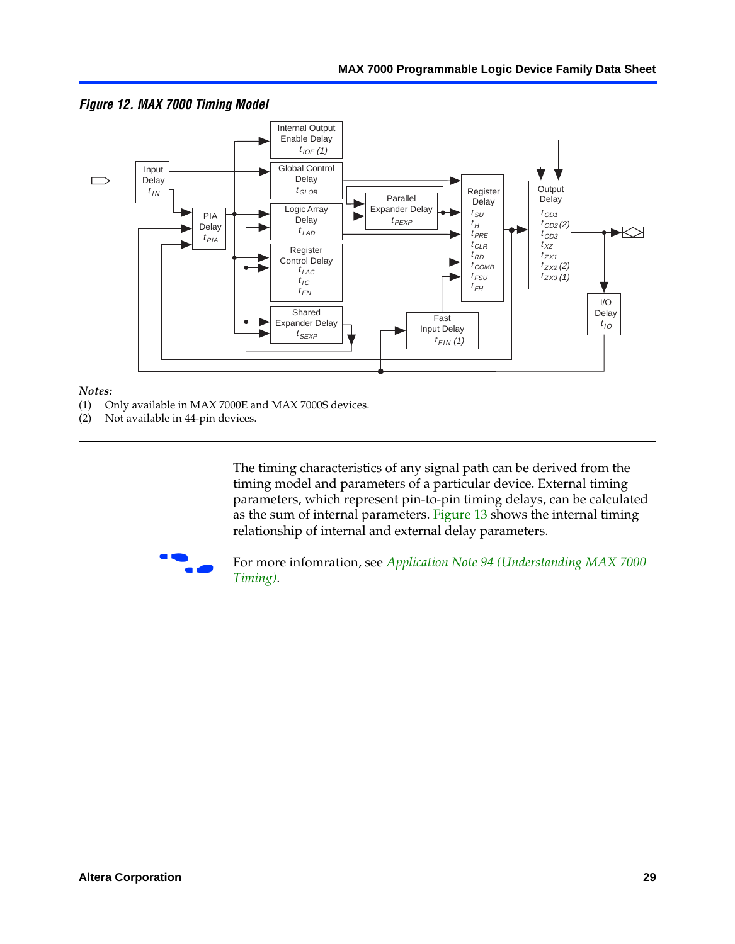

<span id="page-28-0"></span>*Figure 12. MAX 7000 Timing Model*

#### *Notes:*

- (1) Only available in MAX 7000E and MAX 7000S devices.
- (2) Not available in 44-pin devices.

[The tim](http://www.altera.com/literature/an/an094.pdf)ing characteristics [of any signal path can be derived from the](http://www.altera.com/literature/an/an094.pdf)  timing model and parameters of a particular device. External timing parameters, which represent pin-to-pin timing delays, can be calculated as the sum of internal parameters. Figure 13 shows the internal timing relationship of internal and external delay parameters.



For more infomration, see *Application Note 94 (Understanding MAX 7000 Timing)*.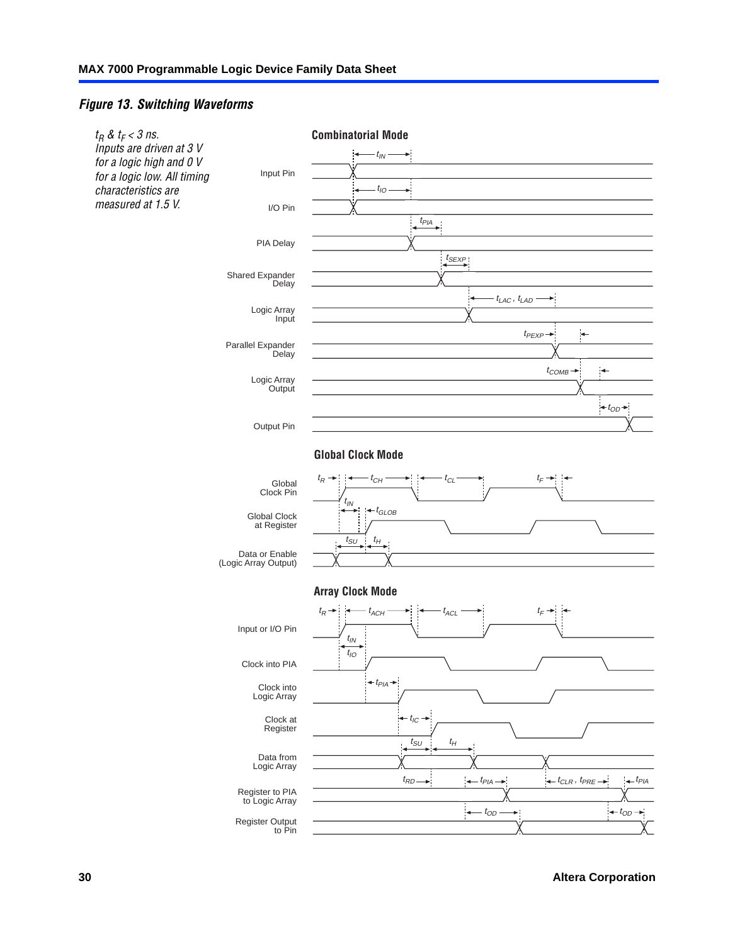#### <span id="page-29-0"></span>*Figure 13. Switching Waveforms*



**30 Altera Corporation**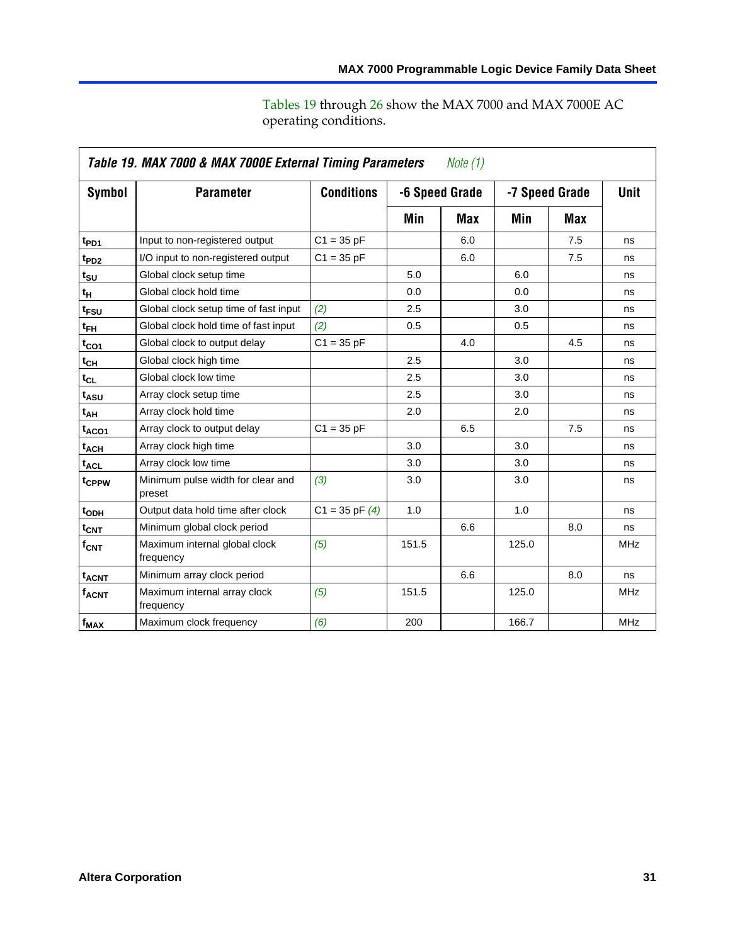|                             | Table 19. MAX 7000 & MAX 7000E External Timing Parameters<br>Note (1) |                    |       |                |       |                |             |  |  |
|-----------------------------|-----------------------------------------------------------------------|--------------------|-------|----------------|-------|----------------|-------------|--|--|
| Symbol                      | <b>Parameter</b>                                                      | <b>Conditions</b>  |       | -6 Speed Grade |       | -7 Speed Grade | <b>Unit</b> |  |  |
|                             |                                                                       |                    | Min   | Max            | Min   | Max            |             |  |  |
| t <sub>PD1</sub>            | Input to non-registered output                                        | $C1 = 35 pF$       |       | 6.0            |       | 7.5            | ns          |  |  |
| t <sub>PD2</sub>            | I/O input to non-registered output                                    | $C1 = 35 pF$       |       | 6.0            |       | 7.5            | ns          |  |  |
| $t_{\scriptstyle\text{SU}}$ | Global clock setup time                                               |                    | 5.0   |                | 6.0   |                | ns          |  |  |
| tμ                          | Global clock hold time                                                |                    | 0.0   |                | 0.0   |                | ns          |  |  |
| t <sub>FSU</sub>            | Global clock setup time of fast input                                 | (2)                | 2.5   |                | 3.0   |                | ns          |  |  |
| $t_{FH}$                    | Global clock hold time of fast input                                  | (2)                | 0.5   |                | 0.5   |                | ns          |  |  |
| $t_{CO1}$                   | Global clock to output delay                                          | $C1 = 35 pF$       |       | 4.0            |       | 4.5            | ns          |  |  |
| $t_{\mathsf{CH}}$           | Global clock high time                                                |                    | 2.5   |                | 3.0   |                | ns          |  |  |
| $t_{CL}$                    | Global clock low time                                                 |                    | 2.5   |                | 3.0   |                | ns          |  |  |
| t <sub>ASU</sub>            | Array clock setup time                                                |                    | 2.5   |                | 3.0   |                | ns          |  |  |
| $t_{AH}$                    | Array clock hold time                                                 |                    | 2.0   |                | 2.0   |                | ns          |  |  |
| t <sub>ACO1</sub>           | Array clock to output delay                                           | $C1 = 35 pF$       |       | 6.5            |       | 7.5            | ns          |  |  |
| t <sub>ACH</sub>            | Array clock high time                                                 |                    | 3.0   |                | 3.0   |                | ns          |  |  |
| $t_{\text{ACL}}$            | Array clock low time                                                  |                    | 3.0   |                | 3.0   |                | ns          |  |  |
| t <sub>CPPW</sub>           | Minimum pulse width for clear and<br>preset                           | (3)                | 3.0   |                | 3.0   |                | ns          |  |  |
| t <sub>ODH</sub>            | Output data hold time after clock                                     | $C1 = 35$ pF $(4)$ | 1.0   |                | 1.0   |                | ns          |  |  |
| $t_{\text{CNT}}$            | Minimum global clock period                                           |                    |       | 6.6            |       | 8.0            | ns          |  |  |
| $f_{\mathsf{CNT}}$          | Maximum internal global clock<br>frequency                            | (5)                | 151.5 |                | 125.0 |                | <b>MHz</b>  |  |  |
| <b>t<sub>ACNT</sub></b>     | Minimum array clock period                                            |                    |       | 6.6            |       | 8.0            | ns          |  |  |
| f <sub>ACNT</sub>           | Maximum internal array clock<br>frequency                             | (5)                | 151.5 |                | 125.0 |                | <b>MHz</b>  |  |  |
| f <sub>MAX</sub>            | Maximum clock frequency                                               | (6)                | 200   |                | 166.7 |                | <b>MHz</b>  |  |  |

Tables 19 through 26 show the MAX 7000 and MAX 7000E AC operating conditions.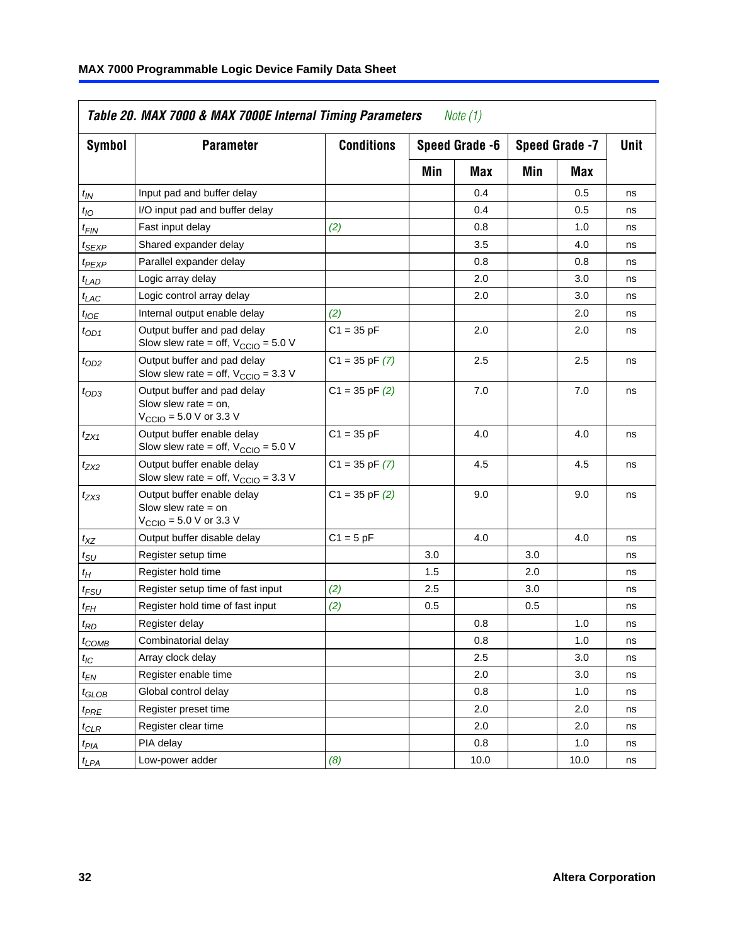|                               | Table 20. MAX 7000 & MAX 7000E Internal Timing Parameters                                   |                    |                | Note $(1)$ |     |      |    |                |      |
|-------------------------------|---------------------------------------------------------------------------------------------|--------------------|----------------|------------|-----|------|----|----------------|------|
| Symbol                        | <b>Parameter</b>                                                                            | <b>Conditions</b>  | Speed Grade -6 |            |     |      |    | Speed Grade -7 | Unit |
|                               |                                                                                             |                    | Min            | Max        | Min | Max  |    |                |      |
| $t_{IN}$                      | Input pad and buffer delay                                                                  |                    |                | 0.4        |     | 0.5  | ns |                |      |
| $t_{IO}$                      | I/O input pad and buffer delay                                                              |                    |                | 0.4        |     | 0.5  | ns |                |      |
| $t_{\sf FIN}$                 | Fast input delay                                                                            | (2)                |                | 0.8        |     | 1.0  | ns |                |      |
| t <sub>SEXP</sub>             | Shared expander delay                                                                       |                    |                | 3.5        |     | 4.0  | ns |                |      |
| t <sub>PEXP</sub>             | Parallel expander delay                                                                     |                    |                | 0.8        |     | 0.8  | ns |                |      |
| t <sub>LAD</sub>              | Logic array delay                                                                           |                    |                | 2.0        |     | 3.0  | ns |                |      |
| $t_{LAC}$                     | Logic control array delay                                                                   |                    |                | 2.0        |     | 3.0  | ns |                |      |
| $t_{IOE}$                     | Internal output enable delay                                                                | (2)                |                |            |     | 2.0  | ns |                |      |
| $t_{OD1}$                     | Output buffer and pad delay<br>Slow slew rate = off, $V_{\text{CCIO}} = 5.0 V$              | $C1 = 35 pF$       |                | 2.0        |     | 2.0  | ns |                |      |
| $t_{OD2}$                     | Output buffer and pad delay<br>Slow slew rate = off, $V_{\text{CCIO}} = 3.3$ V              | $C1 = 35$ pF $(7)$ |                | 2.5        |     | 2.5  | ns |                |      |
| $t_{OD3}$                     | Output buffer and pad delay<br>Slow slew rate $=$ on,<br>V <sub>CCIO</sub> = 5.0 V or 3.3 V | $C1 = 35$ pF $(2)$ |                | 7.0        |     | 7.0  | ns |                |      |
| $t_{ZX1}$                     | Output buffer enable delay<br>Slow slew rate = off, $V_{\text{CCIO}} = 5.0 V$               | $C1 = 35 pF$       |                | 4.0        |     | 4.0  | ns |                |      |
| t <sub>ZX2</sub>              | Output buffer enable delay<br>Slow slew rate = off, $V_{\text{CCIO}} = 3.3 \text{ V}$       | $C1 = 35$ pF $(7)$ |                | 4.5        |     | 4.5  | ns |                |      |
| tzx3                          | Output buffer enable delay<br>Slow slew rate $=$ on<br>V <sub>CCIO</sub> = 5.0 V or 3.3 V   | $C1 = 35$ pF $(2)$ |                | 9.0        |     | 9.0  | ns |                |      |
| $t_{\mathsf{XZ}}$             | Output buffer disable delay                                                                 | $C1 = 5 pF$        |                | 4.0        |     | 4.0  | ns |                |      |
| $t_{\scriptstyle\text{SU}}$   | Register setup time                                                                         |                    | 3.0            |            | 3.0 |      | ns |                |      |
| t <sub>Η</sub>                | Register hold time                                                                          |                    | 1.5            |            | 2.0 |      | ns |                |      |
| t <sub>FSU</sub>              | Register setup time of fast input                                                           | (2)                | 2.5            |            | 3.0 |      | ns |                |      |
| t <sub>FH</sub>               | Register hold time of fast input                                                            | (2)                | 0.5            |            | 0.5 |      | ns |                |      |
| t <sub>RD</sub>               | Register delay                                                                              |                    |                | 0.8        |     | 1.0  | ns |                |      |
| $t_{\mathsf{COMB}}$           | Combinatorial delay                                                                         |                    |                | 0.8        |     | 1.0  | ns |                |      |
| $t_{\mathit{IC}}$             | Array clock delay                                                                           |                    |                | 2.5        |     | 3.0  | ns |                |      |
| $t_{EN}$                      | Register enable time                                                                        |                    |                | 2.0        |     | 3.0  | ns |                |      |
| $t_{\scriptstyle\text{GLOB}}$ | Global control delay                                                                        |                    |                | 0.8        |     | 1.0  | ns |                |      |
| $t_{PRE}$                     | Register preset time                                                                        |                    |                | 2.0        |     | 2.0  | ns |                |      |
| $t_{\sf CLR}$                 | Register clear time                                                                         |                    |                | 2.0        |     | 2.0  | ns |                |      |
| $t_{PIA}$                     | PIA delay                                                                                   |                    |                | 0.8        |     | 1.0  | ns |                |      |
| $t_{LPA}$                     | Low-power adder                                                                             | (8)                |                | 10.0       |     | 10.0 | ns |                |      |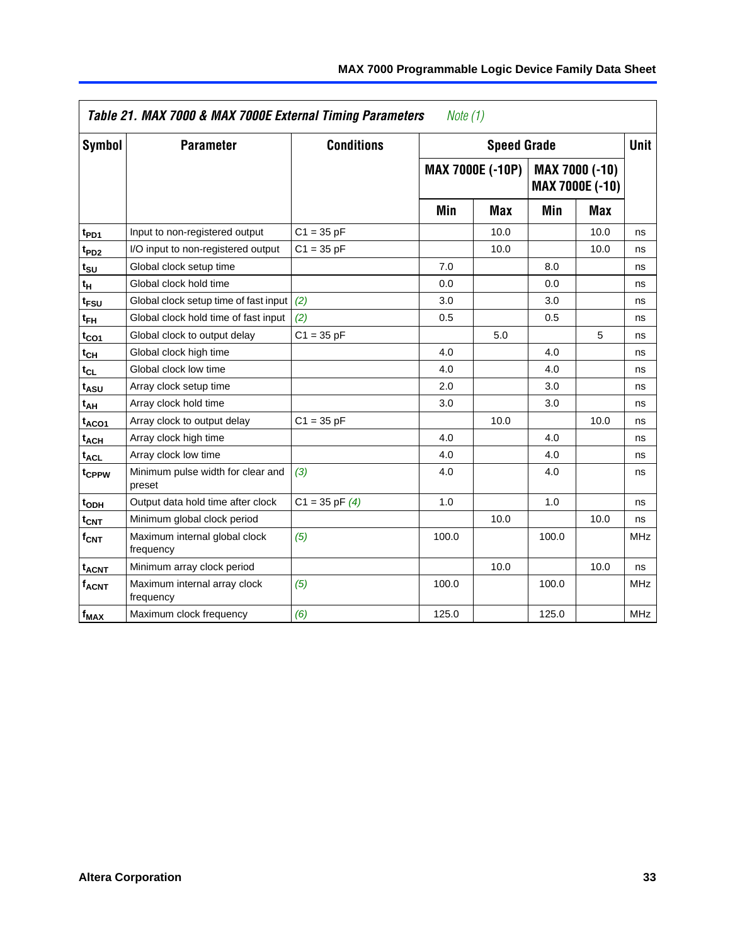|                         | Table 21. MAX 7000 & MAX 7000E External Timing Parameters |                    | Note $(1)$ |                         |       |                                   |             |
|-------------------------|-----------------------------------------------------------|--------------------|------------|-------------------------|-------|-----------------------------------|-------------|
| Symbol                  | <b>Parameter</b>                                          | <b>Conditions</b>  |            | <b>Speed Grade</b>      |       |                                   | <b>Unit</b> |
|                         |                                                           |                    |            | <b>MAX 7000E (-10P)</b> |       | MAX 7000 (-10)<br>MAX 7000E (-10) |             |
|                         |                                                           |                    | Min        | Max                     | Min   | <b>Max</b>                        |             |
| t <sub>PD1</sub>        | Input to non-registered output                            | $C1 = 35 pF$       |            | 10.0                    |       | 10.0                              | ns          |
| t <sub>PD2</sub>        | I/O input to non-registered output                        | $C1 = 35 pF$       |            | 10.0                    |       | 10.0                              | ns          |
| t <sub>su</sub>         | Global clock setup time                                   |                    | 7.0        |                         | 8.0   |                                   | ns          |
| t <sub>H</sub>          | Global clock hold time                                    |                    | 0.0        |                         | 0.0   |                                   | ns          |
| t <sub>FSU</sub>        | Global clock setup time of fast input (2)                 |                    | 3.0        |                         | 3.0   |                                   | ns          |
| $t_{FH}$                | Global clock hold time of fast input                      | (2)                | 0.5        |                         | 0.5   |                                   | ns          |
| $t_{CO1}$               | Global clock to output delay                              | $C1 = 35 pF$       |            | 5.0                     |       | 5                                 | ns          |
| $t_{CH}$                | Global clock high time                                    |                    | 4.0        |                         | 4.0   |                                   | ns          |
| $t_{CL}$                | Global clock low time                                     |                    | 4.0        |                         | 4.0   |                                   | ns          |
| t <sub>ASU</sub>        | Array clock setup time                                    |                    | 2.0        |                         | 3.0   |                                   | ns          |
| t <sub>АН</sub>         | Array clock hold time                                     |                    | 3.0        |                         | 3.0   |                                   | ns          |
| t <sub>ACO1</sub>       | Array clock to output delay                               | $C1 = 35 pF$       |            | 10.0                    |       | 10.0                              | ns          |
| <b>t<sub>ACH</sub></b>  | Array clock high time                                     |                    | 4.0        |                         | 4.0   |                                   | ns          |
| <sup>t</sup> ACL        | Array clock low time                                      |                    | 4.0        |                         | 4.0   |                                   | ns          |
| t <sub>CPPW</sub>       | Minimum pulse width for clear and<br>preset               | (3)                | 4.0        |                         | 4.0   |                                   | ns          |
| t <sub>ODH</sub>        | Output data hold time after clock                         | $C1 = 35$ pF $(4)$ | 1.0        |                         | 1.0   |                                   | ns          |
| $t_{\text{CNT}}$        | Minimum global clock period                               |                    |            | 10.0                    |       | 10.0                              | ns          |
| $f_{\mathsf{CNT}}$      | Maximum internal global clock<br>frequency                | (5)                | 100.0      |                         | 100.0 |                                   | <b>MHz</b>  |
| <b>t<sub>ACNT</sub></b> | Minimum array clock period                                |                    |            | 10.0                    |       | 10.0                              | ns          |
| f <sub>ACNT</sub>       | Maximum internal array clock<br>frequency                 | (5)                | 100.0      |                         | 100.0 |                                   | <b>MHz</b>  |
| f <sub>MAX</sub>        | Maximum clock frequency                                   | (6)                | 125.0      |                         | 125.0 |                                   | <b>MHz</b>  |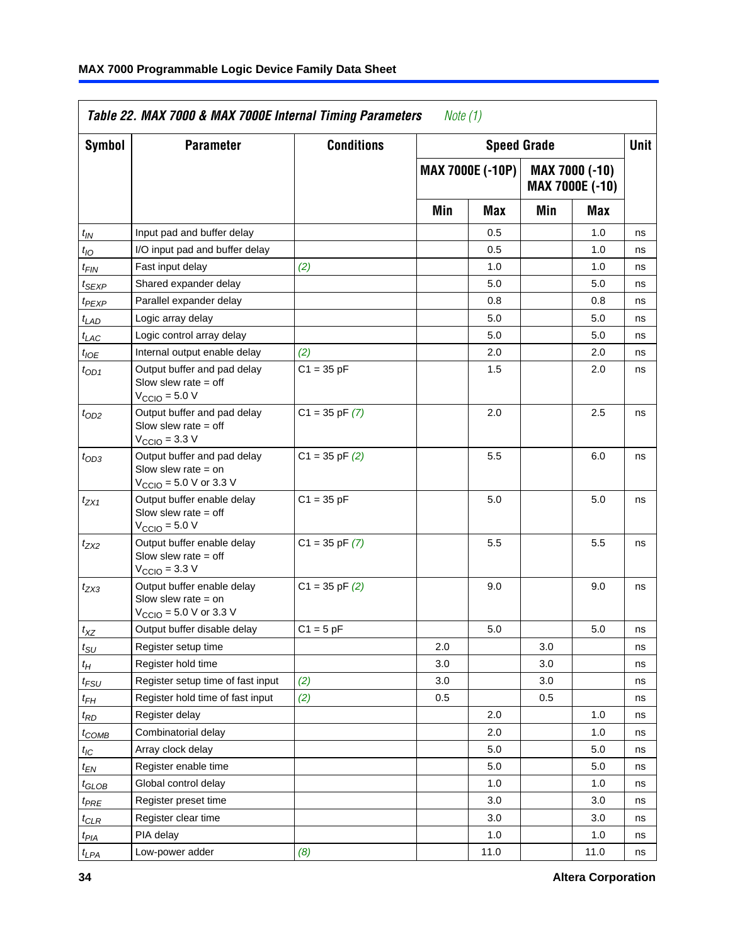| Symbol            | <b>Parameter</b>                                                                                           | <b>Conditions</b>  |     |                         | <b>Speed Grade</b> |                                   | Unit |
|-------------------|------------------------------------------------------------------------------------------------------------|--------------------|-----|-------------------------|--------------------|-----------------------------------|------|
|                   |                                                                                                            |                    |     | <b>MAX 7000E (-10P)</b> |                    | MAX 7000 (-10)<br>MAX 7000E (-10) |      |
|                   |                                                                                                            |                    | Min | Max                     | Min                | Max                               |      |
| $t_{IN}$          | Input pad and buffer delay                                                                                 |                    |     | 0.5                     |                    | 1.0                               | ns   |
| $t_{IO}$          | I/O input pad and buffer delay                                                                             |                    |     | 0.5                     |                    | 1.0                               | ns   |
| t <sub>FIN</sub>  | Fast input delay                                                                                           | (2)                |     | 1.0                     |                    | 1.0                               | ns   |
| $t_{SEXP}$        | Shared expander delay                                                                                      |                    |     | 5.0                     |                    | 5.0                               | ns   |
| t <sub>PEXP</sub> | Parallel expander delay                                                                                    |                    |     | 0.8                     |                    | 0.8                               | ns   |
| $t_{LAD}$         | Logic array delay                                                                                          |                    |     | 5.0                     |                    | 5.0                               | ns   |
| $t_{LAC}$         | Logic control array delay                                                                                  |                    |     | 5.0                     |                    | 5.0                               | ns   |
| $t_{IOE}$         | Internal output enable delay                                                                               | (2)                |     | 2.0                     |                    | 2.0                               | ns   |
| $t_{OD1}$         | Output buffer and pad delay<br>Slow slew rate $=$ off<br>$V_{\rm CClO}$ = 5.0 V                            | $C1 = 35 pF$       |     | 1.5                     |                    | 2.0                               | ns   |
| $t_{OD2}$         | Output buffer and pad delay<br>Slow slew rate $=$ off<br>$V_{\text{CCIO}} = 3.3 \text{ V}$                 | $C1 = 35$ pF $(7)$ |     | 2.0                     |                    | 2.5                               | ns   |
| $t_{OD3}$         | Output buffer and pad delay<br>Slow slew rate $=$ on<br>$V_{\text{CCIO}}$ = 5.0 V or 3.3 V                 | $C1 = 35$ pF $(2)$ |     | 5.5                     |                    | 6.0                               | ns   |
| $t_{ZX1}$         | Output buffer enable delay<br>Slow slew rate $=$ off<br>$V_{\text{CCIO}} = 5.0 V$                          | $C1 = 35 pF$       |     | 5.0                     |                    | 5.0                               | ns   |
| $t_{ZX2}$         | Output buffer enable delay<br>Slow slew rate $=$ off<br>$V_{\text{CCIO}} = 3.3 \text{ V}$                  | $C1 = 35$ pF $(7)$ |     | 5.5                     |                    | 5.5                               | ns   |
| $t_{ZX3}$         | Output buffer enable delay<br>Slow slew rate $=$ on<br>$V_{\text{CCIO}} = 5.0 \text{ V or } 3.3 \text{ V}$ | $C1 = 35$ pF $(2)$ |     | 9.0                     |                    | 9.0                               | ns   |
| $t_{XZ}$          | Output buffer disable delay                                                                                | $C1 = 5 pF$        |     | 5.0                     |                    | 5.0                               | ns   |
| $t_{\text{SU}}$   | Register setup time                                                                                        |                    | 2.0 |                         | 3.0                |                                   | ns   |
| $t_H$             | Register hold time                                                                                         |                    | 3.0 |                         | 3.0                |                                   | ns   |
| $t_{FSU}$         | Register setup time of fast input                                                                          | (2)                | 3.0 |                         | 3.0                |                                   | ns   |
| $t_{FH}$          | Register hold time of fast input                                                                           | (2)                | 0.5 |                         | 0.5                |                                   | ns   |
| $t_{RD}$          | Register delay                                                                                             |                    |     | 2.0                     |                    | 1.0                               | ns   |
| $t_{COMB}$        | Combinatorial delay                                                                                        |                    |     | 2.0                     |                    | 1.0                               | ns   |
| $t_{IC}$          | Array clock delay                                                                                          |                    |     | 5.0                     |                    | 5.0                               | ns   |
| $t_{EN}$          | Register enable time                                                                                       |                    |     | 5.0                     |                    | 5.0                               | ns   |
| $t_{GLOB}$        | Global control delay                                                                                       |                    |     | 1.0                     |                    | 1.0                               | ns   |
| $t_{PRE}$         | Register preset time                                                                                       |                    |     | 3.0                     |                    | 3.0                               | ns   |
| $t_{CLR}$         | Register clear time                                                                                        |                    |     | 3.0                     |                    | 3.0                               | ns   |
| $t_{PIA}$         | PIA delay                                                                                                  |                    |     | 1.0                     |                    | 1.0                               | ns   |
| $t_{LPA}$         | Low-power adder                                                                                            | (8)                |     | 11.0                    |                    | 11.0                              | ns   |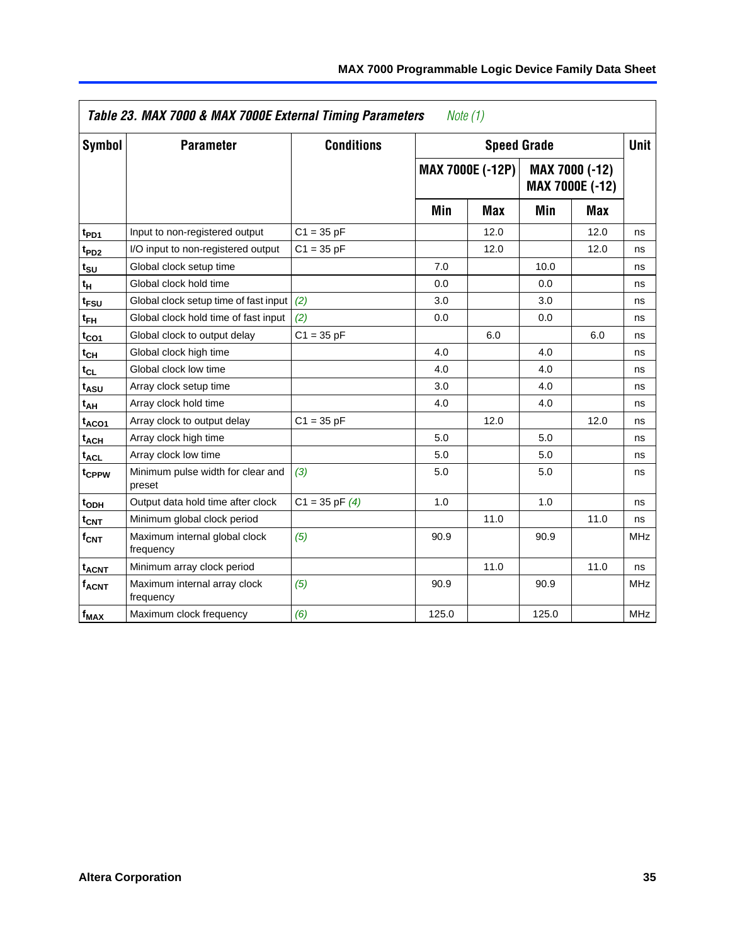|                         | Table 23. MAX 7000 & MAX 7000E External Timing Parameters<br>Note $(1)$ |                    |       |                         |       |                                          |             |  |  |  |  |
|-------------------------|-------------------------------------------------------------------------|--------------------|-------|-------------------------|-------|------------------------------------------|-------------|--|--|--|--|
| Symbol                  | <b>Parameter</b>                                                        | <b>Conditions</b>  |       | <b>Speed Grade</b>      |       |                                          | <b>Unit</b> |  |  |  |  |
|                         |                                                                         |                    |       | <b>MAX 7000E (-12P)</b> |       | <b>MAX 7000 (-12)</b><br>MAX 7000E (-12) |             |  |  |  |  |
|                         |                                                                         |                    | Min   | <b>Max</b>              | Min   | Max                                      |             |  |  |  |  |
| t <sub>PD1</sub>        | Input to non-registered output                                          | $C1 = 35 pF$       |       | 12.0                    |       | 12.0                                     | ns          |  |  |  |  |
| t <sub>PD2</sub>        | I/O input to non-registered output                                      | $C1 = 35 pF$       |       | 12.0                    |       | 12.0                                     | ns          |  |  |  |  |
| $t_{\text{SU}}$         | Global clock setup time                                                 |                    | 7.0   |                         | 10.0  |                                          | ns          |  |  |  |  |
| $t_H$                   | Global clock hold time                                                  |                    | 0.0   |                         | 0.0   |                                          | ns          |  |  |  |  |
| t <sub>FSU</sub>        | Global clock setup time of fast input                                   | (2)                | 3.0   |                         | 3.0   |                                          | ns          |  |  |  |  |
| $t_{FH}$                | Global clock hold time of fast input                                    | (2)                | 0.0   |                         | 0.0   |                                          | ns          |  |  |  |  |
| t <sub>CO1</sub>        | Global clock to output delay                                            | $C1 = 35 pF$       |       | 6.0                     |       | 6.0                                      | ns          |  |  |  |  |
| $t_{CH}$                | Global clock high time                                                  |                    | 4.0   |                         | 4.0   |                                          | ns          |  |  |  |  |
| $t_{CL}$                | Global clock low time                                                   |                    | 4.0   |                         | 4.0   |                                          | ns          |  |  |  |  |
| t <sub>ASU</sub>        | Array clock setup time                                                  |                    | 3.0   |                         | 4.0   |                                          | ns          |  |  |  |  |
| t <sub>АН</sub>         | Array clock hold time                                                   |                    | 4.0   |                         | 4.0   |                                          | ns          |  |  |  |  |
| $t_{ACO1}$              | Array clock to output delay                                             | $C1 = 35 pF$       |       | 12.0                    |       | 12.0                                     | ns          |  |  |  |  |
| t <sub>ACH</sub>        | Array clock high time                                                   |                    | 5.0   |                         | 5.0   |                                          | ns          |  |  |  |  |
| <sup>t</sup> ACL        | Array clock low time                                                    |                    | 5.0   |                         | 5.0   |                                          | ns          |  |  |  |  |
| t <sub>CPPW</sub>       | Minimum pulse width for clear and<br>preset                             | (3)                | 5.0   |                         | 5.0   |                                          | ns          |  |  |  |  |
| t <sub>ODH</sub>        | Output data hold time after clock                                       | $C1 = 35$ pF $(4)$ | 1.0   |                         | 1.0   |                                          | ns          |  |  |  |  |
| $t_{\text{CNT}}$        | Minimum global clock period                                             |                    |       | 11.0                    |       | 11.0                                     | ns          |  |  |  |  |
| $f_{\mathsf{CNT}}$      | Maximum internal global clock<br>frequency                              | (5)                | 90.9  |                         | 90.9  |                                          | <b>MHz</b>  |  |  |  |  |
| <b>t<sub>ACNT</sub></b> | Minimum array clock period                                              |                    |       | 11.0                    |       | 11.0                                     | ns          |  |  |  |  |
| f <sub>ACNT</sub>       | Maximum internal array clock<br>frequency                               | (5)                | 90.9  |                         | 90.9  |                                          | <b>MHz</b>  |  |  |  |  |
| $f_{MAX}$               | Maximum clock frequency                                                 | (6)                | 125.0 |                         | 125.0 |                                          | <b>MHz</b>  |  |  |  |  |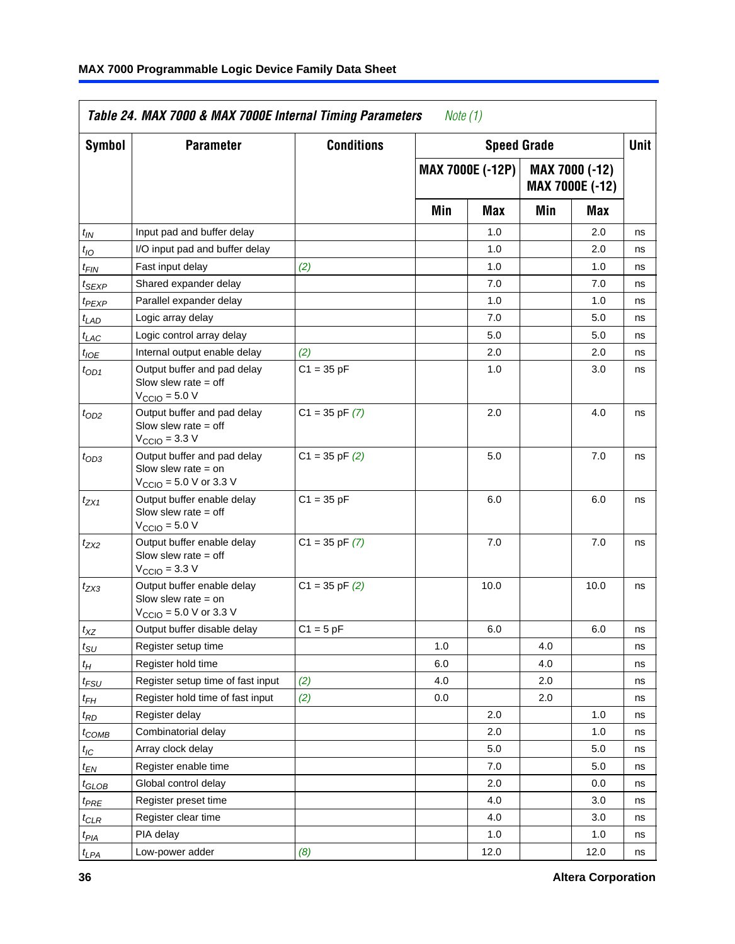|                             | Table 24. MAX 7000 & MAX 7000E Internal Timing Parameters                                                   |                    | Note $(1)$ |                         |     |                                   |             |
|-----------------------------|-------------------------------------------------------------------------------------------------------------|--------------------|------------|-------------------------|-----|-----------------------------------|-------------|
| Symbol                      | <b>Parameter</b>                                                                                            | <b>Conditions</b>  |            | <b>Speed Grade</b>      |     |                                   | <b>Unit</b> |
|                             |                                                                                                             |                    |            | <b>MAX 7000E (-12P)</b> |     | MAX 7000 (-12)<br>MAX 7000E (-12) |             |
|                             |                                                                                                             |                    | Min        | Max                     | Min | Max                               |             |
| $t_{IN}$                    | Input pad and buffer delay                                                                                  |                    |            | 1.0                     |     | 2.0                               | ns          |
| $t_{IO}$                    | I/O input pad and buffer delay                                                                              |                    |            | 1.0                     |     | 2.0                               | ns          |
| $t_{\textit{FIN}}$          | Fast input delay                                                                                            | (2)                |            | 1.0                     |     | 1.0                               | ns          |
| t <sub>SEXP</sub>           | Shared expander delay                                                                                       |                    |            | 7.0                     |     | 7.0                               | ns          |
| $t_{PEXP}$                  | Parallel expander delay                                                                                     |                    |            | 1.0                     |     | 1.0                               | ns          |
| $t_{LAD}$                   | Logic array delay                                                                                           |                    |            | 7.0                     |     | 5.0                               | ns          |
| $t_{LAC}$                   | Logic control array delay                                                                                   |                    |            | 5.0                     |     | 5.0                               | ns          |
| $t_{IOE}$                   | Internal output enable delay                                                                                | (2)                |            | 2.0                     |     | 2.0                               | ns          |
| $t_{OD1}$                   | Output buffer and pad delay<br>Slow slew rate $=$ off<br>$V_{\text{CCIO}} = 5.0 V$                          | $C1 = 35 pF$       |            | 1.0                     |     | 3.0                               | ns          |
| $t_{OD2}$                   | Output buffer and pad delay<br>Slow slew rate $=$ off<br>$VCCIO = 3.3 V$                                    | $C1 = 35$ pF $(7)$ |            | 2.0                     |     | 4.0                               | ns          |
| $t_{OD3}$                   | Output buffer and pad delay<br>Slow slew rate $=$ on<br>$V_{\text{CCIO}} = 5.0 \text{ V or } 3.3 \text{ V}$ | $C1 = 35$ pF $(2)$ |            | 5.0                     |     | 7.0                               | ns          |
| $t_{ZX1}$                   | Output buffer enable delay<br>Slow slew rate $=$ off<br>$V_{\text{CCIO}} = 5.0 V$                           | $C1 = 35 pF$       |            | 6.0                     |     | 6.0                               | ns          |
| $t_{ZX2}$                   | Output buffer enable delay<br>Slow slew rate $=$ off<br>$V_{\text{CCIO}} = 3.3 \text{ V}$                   | $C1 = 35$ pF $(7)$ |            | 7.0                     |     | 7.0                               | ns          |
| $t_{ZX3}$                   | Output buffer enable delay<br>Slow slew rate $=$ on<br>$V_{\text{CCIO}} = 5.0 \text{ V or } 3.3 \text{ V}$  | $C1 = 35$ pF $(2)$ |            | 10.0                    |     | 10.0                              | ns          |
| $t_{XZ}$                    | Output buffer disable delay                                                                                 | $C1 = 5$ pF        |            | 6.0                     |     | 6.0                               | ns          |
| $t_{\scriptstyle\text{SU}}$ | Register setup time                                                                                         |                    | 1.0        |                         | 4.0 |                                   | ns          |
| $t_H$                       | Register hold time                                                                                          |                    | 6.0        |                         | 4.0 |                                   | ns          |
| $t_{FSU}$                   | Register setup time of fast input                                                                           | (2)                | 4.0        |                         | 2.0 |                                   | ns          |
| t <sub>FH</sub>             | Register hold time of fast input                                                                            | (2)                | 0.0        |                         | 2.0 |                                   | ns          |
| $t_{RD}$                    | Register delay                                                                                              |                    |            | 2.0                     |     | 1.0                               | ns          |
| $t_{COMB}$                  | Combinatorial delay                                                                                         |                    |            | 2.0                     |     | 1.0                               | ns          |
| $t_{\text{IC}}$             | Array clock delay                                                                                           |                    |            | 5.0                     |     | 5.0                               | ns          |
| $t_{EN}$                    | Register enable time                                                                                        |                    |            | 7.0                     |     | 5.0                               | ns          |
| $t_{GLOB}$                  | Global control delay                                                                                        |                    |            | 2.0                     |     | 0.0                               | ns          |
| t <sub>PRE</sub>            | Register preset time                                                                                        |                    |            | 4.0                     |     | 3.0                               | ns          |
| $t_{CLR}$                   | Register clear time                                                                                         |                    |            | 4.0                     |     | 3.0                               | ns          |
| $t_{PIA}$                   | PIA delay                                                                                                   |                    |            | 1.0                     |     | 1.0                               | ns          |
| $t_{LPA}$                   | Low-power adder                                                                                             | (8)                |            | 12.0                    |     | 12.0                              | ns          |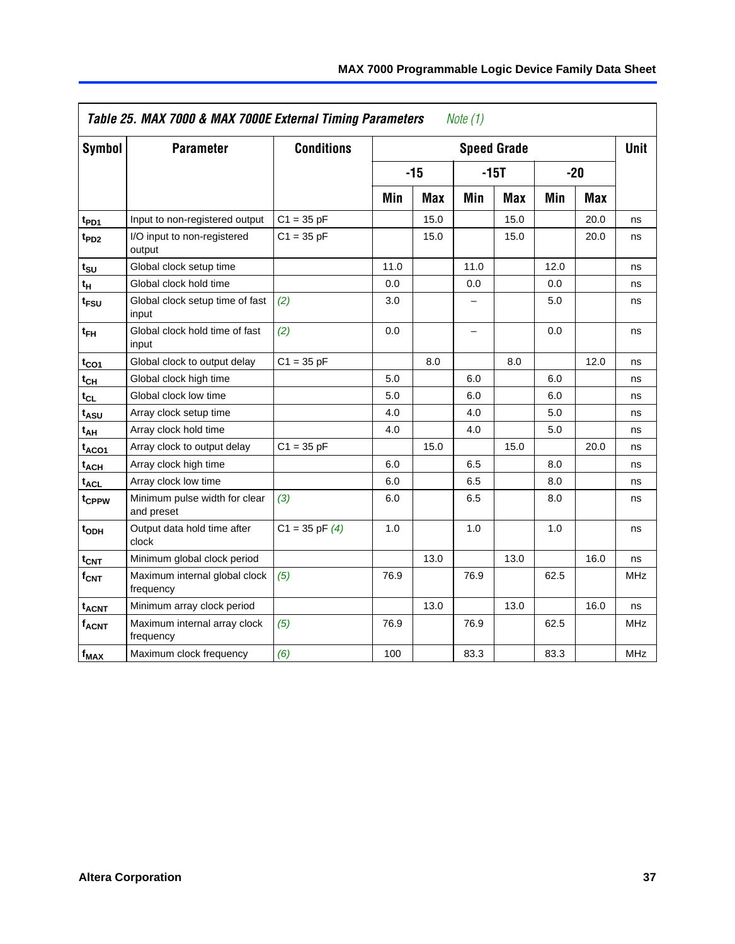|                         | Table 25. MAX 7000 & MAX 7000E External Timing Parameters<br>Note (1) |                    |      |            |                          |                    |      |            |             |  |
|-------------------------|-----------------------------------------------------------------------|--------------------|------|------------|--------------------------|--------------------|------|------------|-------------|--|
| Symbol                  | <b>Parameter</b>                                                      | <b>Conditions</b>  |      |            |                          | <b>Speed Grade</b> |      |            | <b>Unit</b> |  |
|                         |                                                                       |                    |      | $-15$      |                          | $-15T$             |      | $-20$      |             |  |
|                         |                                                                       |                    | Min  | <b>Max</b> | Min                      | <b>Max</b>         | Min  | <b>Max</b> |             |  |
| t <sub>PD1</sub>        | Input to non-registered output                                        | $C1 = 35 pF$       |      | 15.0       |                          | 15.0               |      | 20.0       | ns          |  |
| $t_{PD2}$               | I/O input to non-registered<br>output                                 | $C1 = 35 pF$       |      | 15.0       |                          | 15.0               |      | 20.0       | ns          |  |
| tsu                     | Global clock setup time                                               |                    | 11.0 |            | 11.0                     |                    | 12.0 |            | ns          |  |
| $t_H$                   | Global clock hold time                                                |                    | 0.0  |            | 0.0                      |                    | 0.0  |            | ns          |  |
| t <sub>FSU</sub>        | Global clock setup time of fast<br>input                              | (2)                | 3.0  |            | -                        |                    | 5.0  |            | ns          |  |
| $t_{FH}$                | Global clock hold time of fast<br>input                               | (2)                | 0.0  |            | $\overline{\phantom{0}}$ |                    | 0.0  |            | ns          |  |
| $t_{CO1}$               | Global clock to output delay                                          | $C1 = 35 pF$       |      | 8.0        |                          | 8.0                |      | 12.0       | ns          |  |
| $t_{CH}$                | Global clock high time                                                |                    | 5.0  |            | 6.0                      |                    | 6.0  |            | ns          |  |
| $t_{CL}$                | Global clock low time                                                 |                    | 5.0  |            | 6.0                      |                    | 6.0  |            | ns          |  |
| $t_{ASU}$               | Array clock setup time                                                |                    | 4.0  |            | 4.0                      |                    | 5.0  |            | ns          |  |
| $t_{AH}$                | Array clock hold time                                                 |                    | 4.0  |            | 4.0                      |                    | 5.0  |            | ns          |  |
| t <sub>ACO1</sub>       | Array clock to output delay                                           | $C1 = 35 pF$       |      | 15.0       |                          | 15.0               |      | 20.0       | ns          |  |
| $t_{ACH}$               | Array clock high time                                                 |                    | 6.0  |            | 6.5                      |                    | 8.0  |            | ns          |  |
| t <sub>ACL</sub>        | Array clock low time                                                  |                    | 6.0  |            | 6.5                      |                    | 8.0  |            | ns          |  |
| t <sub>CPPW</sub>       | Minimum pulse width for clear<br>and preset                           | (3)                | 6.0  |            | 6.5                      |                    | 8.0  |            | ns          |  |
| t <sub>ODH</sub>        | Output data hold time after<br>clock                                  | $C1 = 35$ pF $(4)$ | 1.0  |            | 1.0                      |                    | 1.0  |            | ns          |  |
| $t_{CNT}$               | Minimum global clock period                                           |                    |      | 13.0       |                          | 13.0               |      | 16.0       | ns          |  |
| $f_{CNT}$               | Maximum internal global clock<br>frequency                            | (5)                | 76.9 |            | 76.9                     |                    | 62.5 |            | <b>MHz</b>  |  |
| <b>t<sub>ACNT</sub></b> | Minimum array clock period                                            |                    |      | 13.0       |                          | 13.0               |      | 16.0       | ns          |  |
| <b>f<sub>ACNT</sub></b> | Maximum internal array clock<br>frequency                             | (5)                | 76.9 |            | 76.9                     |                    | 62.5 |            | <b>MHz</b>  |  |
| $f_{MAX}$               | Maximum clock frequency                                               | (6)                | 100  |            | 83.3                     |                    | 83.3 |            | MHz         |  |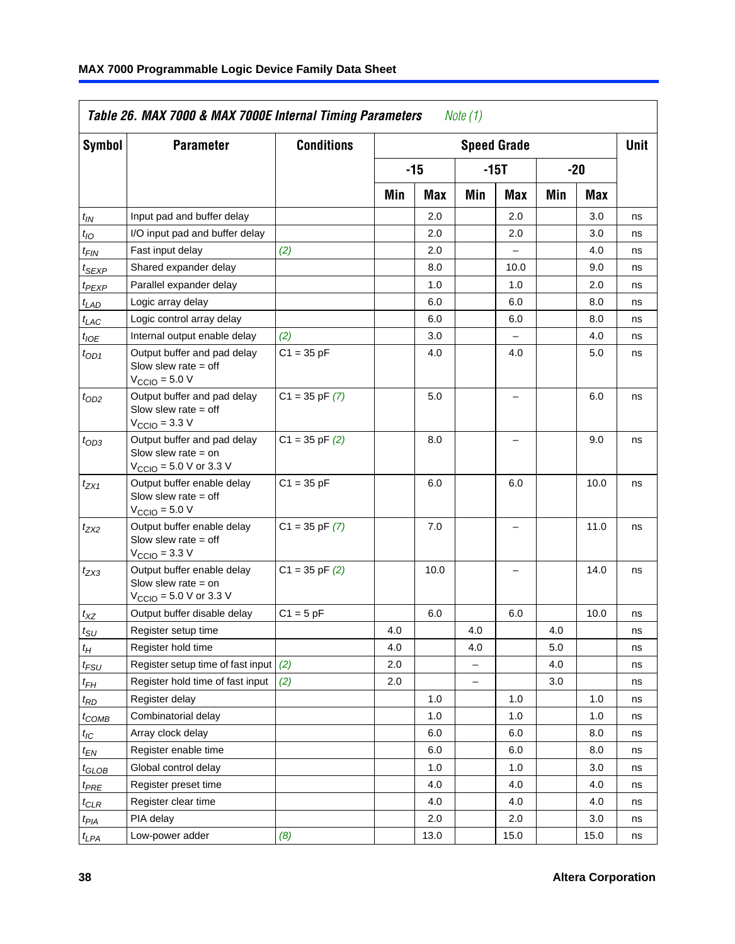| Symbol             | <b>Parameter</b>                                                                                            | <b>Conditions</b>  |     |      |          | <b>Speed Grade</b>       |         |      | <b>Unit</b> |
|--------------------|-------------------------------------------------------------------------------------------------------------|--------------------|-----|------|----------|--------------------------|---------|------|-------------|
|                    |                                                                                                             |                    |     | -15  |          | -15T                     |         | -20  |             |
|                    |                                                                                                             |                    | Min | Max  | Min      | Max                      | Min     | Max  |             |
| $t_{IN}$           | Input pad and buffer delay                                                                                  |                    |     | 2.0  |          | 2.0                      |         | 3.0  | ns          |
| $t_{IO}$           | I/O input pad and buffer delay                                                                              |                    |     | 2.0  |          | 2.0                      |         | 3.0  | ns          |
| $t_{FIN}$          | Fast input delay                                                                                            | (2)                |     | 2.0  |          |                          |         | 4.0  | ns          |
| $t_{SEXP}$         | Shared expander delay                                                                                       |                    |     | 8.0  |          | 10.0                     |         | 9.0  | ns          |
| $t_{PEXP}$         | Parallel expander delay                                                                                     |                    |     | 1.0  |          | 1.0                      |         | 2.0  | ns          |
| $t_{LAD}$          | Logic array delay                                                                                           |                    |     | 6.0  |          | 6.0                      |         | 8.0  | ns          |
| $t_{LAC}$          | Logic control array delay                                                                                   |                    |     | 6.0  |          | 6.0                      |         | 8.0  | ns          |
| $t_{IOE}$          | Internal output enable delay                                                                                | (2)                |     | 3.0  |          |                          |         | 4.0  | ns          |
| $t_{OD1}$          | Output buffer and pad delay<br>Slow slew rate $=$ off<br>$V_{\text{CCIO}} = 5.0 V$                          | $C1 = 35 pF$       |     | 4.0  |          | 4.0                      |         | 5.0  | ns          |
| $t_{OD2}$          | Output buffer and pad delay<br>Slow slew rate $=$ off<br>$VCClO = 3.3 V$                                    | $C1 = 35$ pF $(7)$ |     | 5.0  |          | $\overline{\phantom{0}}$ |         | 6.0  | ns          |
| $t_{OD3}$          | Output buffer and pad delay<br>Slow slew rate $=$ on<br>$V_{\text{CCIO}} = 5.0 \text{ V or } 3.3 \text{ V}$ | $C1 = 35$ pF $(2)$ |     | 8.0  |          |                          |         | 9.0  | ns          |
| $t_{ZX1}$          | Output buffer enable delay<br>Slow slew rate $=$ off<br>$V_{\text{CCIO}} = 5.0 V$                           | $C1 = 35 pF$       |     | 6.0  |          | 6.0                      |         | 10.0 | ns          |
| $t_{ZX2}$          | Output buffer enable delay<br>Slow slew rate $=$ off<br>$VCCIO$ = 3.3 V                                     | $C1 = 35$ pF $(7)$ |     | 7.0  |          | $\equiv$                 |         | 11.0 | ns          |
| $t_{ZX3}$          | Output buffer enable delay<br>Slow slew rate $=$ on<br>$V_{\text{CCIO}} = 5.0 \text{ V or } 3.3 \text{ V}$  | $C1 = 35$ pF $(2)$ |     | 10.0 |          |                          |         | 14.0 | ns          |
| $t_{XZ}$           | Output buffer disable delay                                                                                 | $C1 = 5$ pF        |     | 6.0  |          | 6.0                      |         | 10.0 | ns          |
| $t_{\text{SU}}$    | Register setup time                                                                                         |                    | 4.0 |      | 4.0      |                          | 4.0     |      | ns          |
| $t_H$              | Register hold time                                                                                          |                    | 4.0 |      | 4.0      |                          | $5.0\,$ |      | ns          |
| $t_{\mathit{FSU}}$ | Register setup time of fast input                                                                           | (2)                | 2.0 |      | $\equiv$ |                          | 4.0     |      | ns          |
| $t_{FH}$           | Register hold time of fast input                                                                            | (2)                | 2.0 |      |          |                          | 3.0     |      | ns          |
| $t_{RD}$           | Register delay                                                                                              |                    |     | 1.0  |          | 1.0                      |         | 1.0  | ns          |
| $t_{COMB}$         | Combinatorial delay                                                                                         |                    |     | 1.0  |          | 1.0                      |         | 1.0  | ns          |
| $t_{\text{IC}}$    | Array clock delay                                                                                           |                    |     | 6.0  |          | 6.0                      |         | 8.0  | ns          |
| $t_{EN}$           | Register enable time                                                                                        |                    |     | 6.0  |          | 6.0                      |         | 8.0  | ns          |
| $t_{GLOB}$         | Global control delay                                                                                        |                    |     | 1.0  |          | 1.0                      |         | 3.0  | ns          |
| $t_{PRE}$          | Register preset time                                                                                        |                    |     | 4.0  |          | 4.0                      |         | 4.0  | ns          |
| $t_{CLR}$          | Register clear time                                                                                         |                    |     | 4.0  |          | 4.0                      |         | 4.0  | ns          |
| $t_{PIA}$          | PIA delay                                                                                                   |                    |     | 2.0  |          | 2.0                      |         | 3.0  | ns          |
| $t_{LPA}$          | Low-power adder                                                                                             | (8)                |     | 13.0 |          | 15.0                     |         | 15.0 | ns          |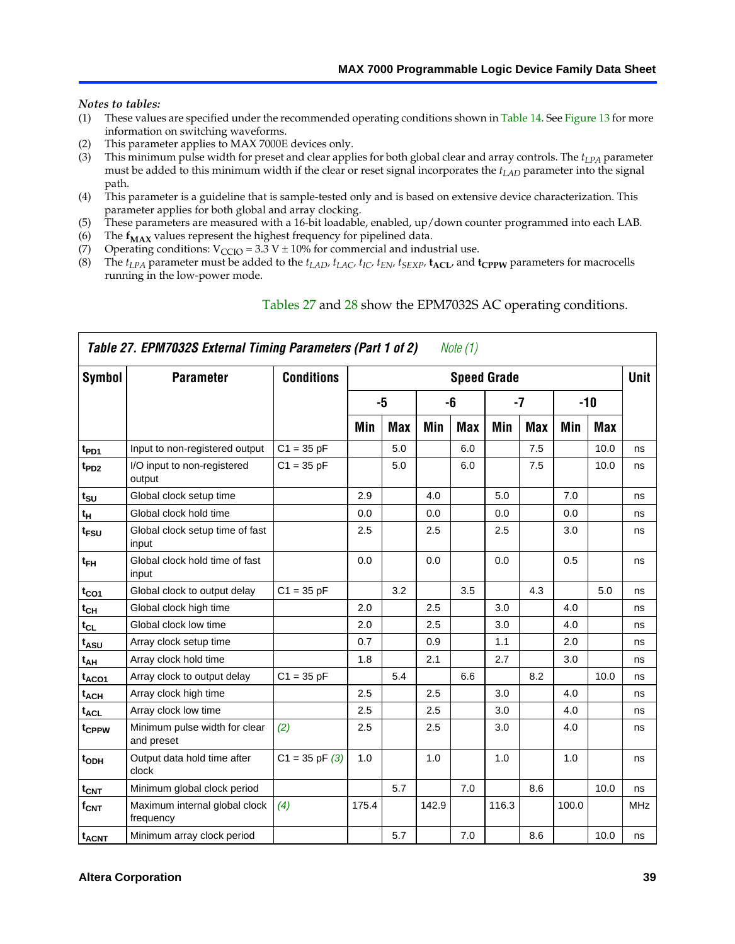#### <span id="page-38-5"></span><span id="page-38-4"></span><span id="page-38-1"></span><span id="page-38-0"></span>*Notes to tables:*

- <span id="page-38-3"></span><span id="page-38-2"></span>(1) These values are specified under the recommended operating conditions shown in Table 14. See Figure 13 for more information on switching waveforms.
- <span id="page-38-6"></span>(2) This parameter applies to MAX 7000E devices only.
- <span id="page-38-7"></span>(3) This minimum pulse width for preset and clear applies for both global clear and array controls. The *tLPA* parameter must be added to this minimum width if the clear or reset signal incorporates the *tLAD* parameter into the signal path.
- (4) This parameter is a guideline th[at is sample-](#page-38-8)teste[d on](#page-39-0)ly and is based on extensive device characterization. This parameter applies for both global and array clocking.
- (5) These parameters are measured with a 16-bit loadable, enabled, up/down counter programmed into each LAB.
- <span id="page-38-8"></span>(6) The  $f_{MAX}$  values represent the highest frequency for pipelined data.
- (7) Operating conditions:  $V_{\text{CCIO}} = 3.3 \text{ V} \pm 10\%$  for commercial and indus[trial use](#page-40-2).
- (8) The  $t_{LPA}$  parameter must be added to the  $t_{LAD}$ ,  $t_{LAC}$ ,  $t_{IC}$ ,  $t_{EN}$ ,  $t_{SEXP}$ ,  $t_{ACL}$ , and  $t_{CPPW}$  parameters for macrocells running in the low-power mode.

|                          | Table 27. EPM7032S External Timing Parameters (Part 1 of 2)<br>Note (1) |                    |       |            |       |            |                    |            |       |            |             |  |
|--------------------------|-------------------------------------------------------------------------|--------------------|-------|------------|-------|------------|--------------------|------------|-------|------------|-------------|--|
| Symbol                   | <b>Parameter</b>                                                        | <b>Conditions</b>  |       |            |       |            | <b>Speed Grade</b> |            |       |            | <b>Unit</b> |  |
|                          |                                                                         |                    |       | -5         |       | -6         |                    | $-7$       |       | $-10$      |             |  |
|                          |                                                                         |                    | Min   | <b>Max</b> | Min   | <b>Max</b> | Min                | <b>Max</b> | Min   | <b>Max</b> |             |  |
| t <sub>PD1</sub>         | Input to non-registered output                                          | $C1 = 35 pF$       |       | 5.0        |       | 6.0        |                    | 7.5        |       | 10.0       | ns          |  |
| $t_{PD2}$                | I/O input to non-registered<br>output                                   | $C1 = 35 pF$       |       | 5.0        |       | 6.0        |                    | 7.5        |       | 10.0       | ns          |  |
| tsu                      | Global clock setup time                                                 |                    | 2.9   |            | 4.0   |            | 5.0                |            | 7.0   |            | ns          |  |
| $t_H$                    | Global clock hold time                                                  |                    | 0.0   |            | 0.0   |            | 0.0                |            | 0.0   |            | ns          |  |
| t <sub>FSU</sub>         | Global clock setup time of fast<br>input                                |                    | 2.5   |            | 2.5   |            | 2.5                |            | 3.0   |            | ns          |  |
| $t_{FH}$                 | Global clock hold time of fast<br>input                                 |                    | 0.0   |            | 0.0   |            | 0.0                |            | 0.5   |            | ns          |  |
| $t_{CO1}$                | Global clock to output delay                                            | $C1 = 35 pF$       |       | 3.2        |       | 3.5        |                    | 4.3        |       | 5.0        | ns          |  |
| $t_{\mathsf{CH}}$        | Global clock high time                                                  |                    | 2.0   |            | 2.5   |            | 3.0                |            | 4.0   |            | ns          |  |
| $t_{CL}$                 | Global clock low time                                                   |                    | 2.0   |            | 2.5   |            | 3.0                |            | 4.0   |            | ns          |  |
| t <sub>ASU</sub>         | Array clock setup time                                                  |                    | 0.7   |            | 0.9   |            | 1.1                |            | 2.0   |            | ns          |  |
| t <sub>АН</sub>          | Array clock hold time                                                   |                    | 1.8   |            | 2.1   |            | 2.7                |            | 3.0   |            | ns          |  |
| t <sub>ACO1</sub>        | Array clock to output delay                                             | $C1 = 35 pF$       |       | 5.4        |       | 6.6        |                    | 8.2        |       | 10.0       | ns          |  |
| t <sub>ACH</sub>         | Array clock high time                                                   |                    | 2.5   |            | 2.5   |            | 3.0                |            | 4.0   |            | ns          |  |
| $\mathfrak{t}_{\sf ACL}$ | Array clock low time                                                    |                    | 2.5   |            | 2.5   |            | 3.0                |            | 4.0   |            | ns          |  |
| tcppw                    | Minimum pulse width for clear<br>and preset                             | (2)                | 2.5   |            | 2.5   |            | 3.0                |            | 4.0   |            | ns          |  |
| t <sub>ODH</sub>         | Output data hold time after<br>clock                                    | $C1 = 35$ pF $(3)$ | 1.0   |            | 1.0   |            | 1.0                |            | 1.0   |            | ns          |  |
| $t_{\text{CNT}}$         | Minimum global clock period                                             |                    |       | 5.7        |       | 7.0        |                    | 8.6        |       | 10.0       | ns          |  |
| $f_{\mathsf{CNT}}$       | Maximum internal global clock<br>frequency                              | (4)                | 175.4 |            | 142.9 |            | 116.3              |            | 100.0 |            | <b>MHz</b>  |  |
| <b>t<sub>ACNT</sub></b>  | Minimum array clock period                                              |                    |       | 5.7        |       | 7.0        |                    | 8.6        |       | 10.0       | ns          |  |

#### Tables 27 and 28 show the EPM7032S AC operating conditions.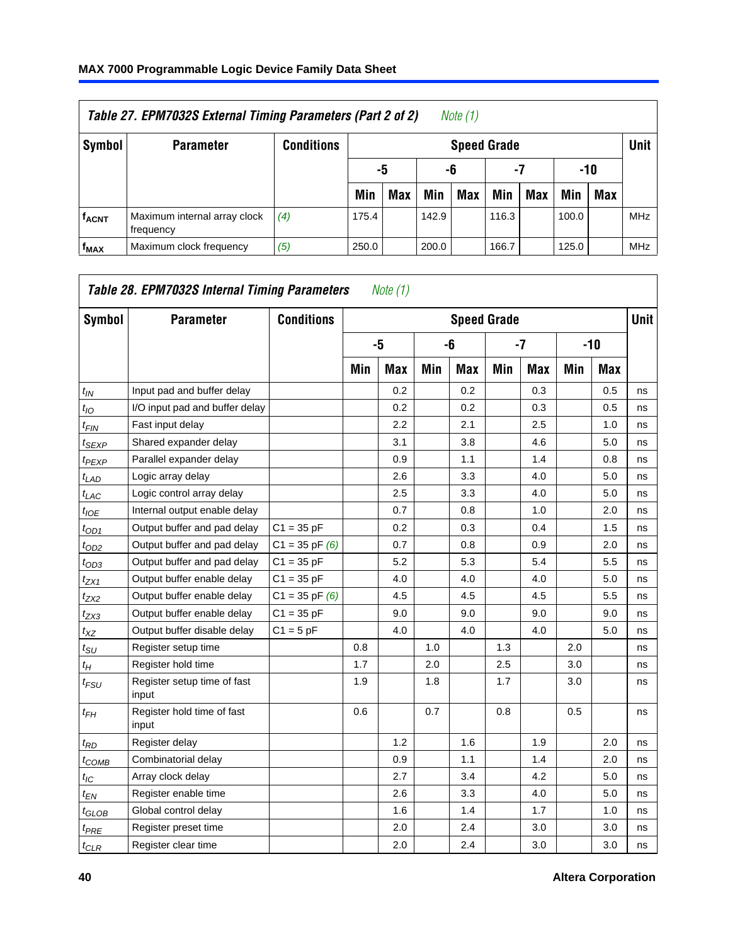<span id="page-39-0"></span>

| Table 27. EPM7032S External Timing Parameters (Part 2 of 2)<br>Note (1) |                                           |            |       |            |       |                    |       |     |       |     |            |
|-------------------------------------------------------------------------|-------------------------------------------|------------|-------|------------|-------|--------------------|-------|-----|-------|-----|------------|
| Symbol                                                                  | <b>Parameter</b>                          | Conditions |       |            |       | <b>Speed Grade</b> |       |     |       |     | Unit       |
|                                                                         |                                           |            |       | -5<br>-6   |       |                    | -7    |     | -10   |     |            |
|                                                                         |                                           |            | Min   | <b>Max</b> | Min   | <b>Max</b>         | Min   | Max | Min   | Max |            |
| <b>f<sub>ACNT</sub></b>                                                 | Maximum internal array clock<br>frequency | (4)        | 175.4 |            | 142.9 |                    | 116.3 |     | 100.0 |     | <b>MHz</b> |
| f <sub>MAX</sub>                                                        | Maximum clock frequency                   | (5)        | 250.0 |            | 200.0 |                    | 166.7 |     | 125.0 |     | <b>MHz</b> |

| <b>Symbol</b>                 | <b>Parameter</b>                     | <b>Conditions</b>  |     |     |     |     | <b>Speed Grade</b> |            |     |            | <b>Unit</b> |
|-------------------------------|--------------------------------------|--------------------|-----|-----|-----|-----|--------------------|------------|-----|------------|-------------|
|                               |                                      |                    |     | -5  |     | -6  |                    | -7         |     | $-10$      |             |
|                               |                                      |                    | Min | Max | Min | Max | Min                | <b>Max</b> | Min | <b>Max</b> |             |
| t <sub>IN</sub>               | Input pad and buffer delay           |                    |     | 0.2 |     | 0.2 |                    | 0.3        |     | 0.5        | ns          |
| $t_{IO}$                      | I/O input pad and buffer delay       |                    |     | 0.2 |     | 0.2 |                    | 0.3        |     | 0.5        | ns          |
| $t_{\sf FIN}$                 | Fast input delay                     |                    |     | 2.2 |     | 2.1 |                    | 2.5        |     | 1.0        | ns          |
| t <sub>SEXP</sub>             | Shared expander delay                |                    |     | 3.1 |     | 3.8 |                    | 4.6        |     | 5.0        | ns          |
| t <sub>PEXP</sub>             | Parallel expander delay              |                    |     | 0.9 |     | 1.1 |                    | 1.4        |     | 0.8        | ns          |
| $t_{LAD}$                     | Logic array delay                    |                    |     | 2.6 |     | 3.3 |                    | 4.0        |     | 5.0        | ns          |
| t <sub>LAC</sub>              | Logic control array delay            |                    |     | 2.5 |     | 3.3 |                    | 4.0        |     | 5.0        | ns          |
| $t_{IOE}$                     | Internal output enable delay         |                    |     | 0.7 |     | 0.8 |                    | 1.0        |     | 2.0        | ns          |
| $t_{OD1}$                     | Output buffer and pad delay          | $C1 = 35 pF$       |     | 0.2 |     | 0.3 |                    | 0.4        |     | 1.5        | ns          |
| $t_{OD2}$                     | Output buffer and pad delay          | $C1 = 35$ pF $(6)$ |     | 0.7 |     | 0.8 |                    | 0.9        |     | 2.0        | ns          |
| $t_{OD3}$                     | Output buffer and pad delay          | $C1 = 35 pF$       |     | 5.2 |     | 5.3 |                    | 5.4        |     | 5.5        | ns          |
| $t_{ZX1}$                     | Output buffer enable delay           | $C1 = 35 pF$       |     | 4.0 |     | 4.0 |                    | 4.0        |     | 5.0        | ns          |
| t <sub>ZX2</sub>              | Output buffer enable delay           | $C1 = 35$ pF $(6)$ |     | 4.5 |     | 4.5 |                    | 4.5        |     | 5.5        | ns          |
| $t_{ZX3}$                     | Output buffer enable delay           | $C1 = 35 pF$       |     | 9.0 |     | 9.0 |                    | 9.0        |     | 9.0        | ns          |
| $t_{XZ}$                      | Output buffer disable delay          | $C1 = 5$ pF        |     | 4.0 |     | 4.0 |                    | 4.0        |     | 5.0        | ns          |
| $t_{\text{SU}}$               | Register setup time                  |                    | 0.8 |     | 1.0 |     | 1.3                |            | 2.0 |            | ns          |
| $t_H$                         | Register hold time                   |                    | 1.7 |     | 2.0 |     | 2.5                |            | 3.0 |            | ns          |
| $t_{\mathit{FSU}}$            | Register setup time of fast<br>input |                    | 1.9 |     | 1.8 |     | 1.7                |            | 3.0 |            | ns          |
| t <sub>FН</sub>               | Register hold time of fast<br>input  |                    | 0.6 |     | 0.7 |     | 0.8                |            | 0.5 |            | ns          |
| $t_{RD}$                      | Register delay                       |                    |     | 1.2 |     | 1.6 |                    | 1.9        |     | 2.0        | ns          |
| $t_{COMB}$                    | Combinatorial delay                  |                    |     | 0.9 |     | 1.1 |                    | 1.4        |     | 2.0        | ns          |
| $t_{IC}$                      | Array clock delay                    |                    |     | 2.7 |     | 3.4 |                    | 4.2        |     | 5.0        | ns          |
| $t_{EN}$                      | Register enable time                 |                    |     | 2.6 |     | 3.3 |                    | 4.0        |     | 5.0        | ns          |
| $t_{\scriptstyle\text{GLOB}}$ | Global control delay                 |                    |     | 1.6 |     | 1.4 |                    | 1.7        |     | 1.0        | ns          |
| t <sub>PRE</sub>              | Register preset time                 |                    |     | 2.0 |     | 2.4 |                    | 3.0        |     | 3.0        | ns          |
| $t_{CLR}$                     | Register clear time                  |                    |     | 2.0 |     | 2.4 |                    | 3.0        |     | 3.0        | ns          |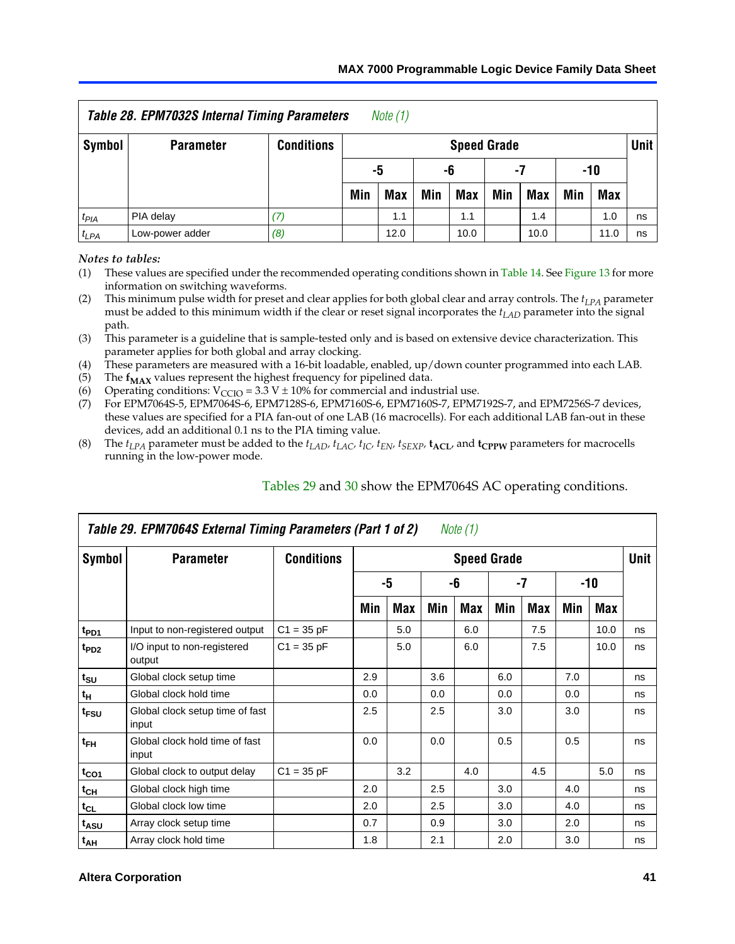<span id="page-40-2"></span>

|                  | Table 28. EPM7032S Internal Timing Parameters |                   |                      | Note $(1)$ |     |                    |     |     |      |            |        |
|------------------|-----------------------------------------------|-------------------|----------------------|------------|-----|--------------------|-----|-----|------|------------|--------|
| Symbol           | <b>Parameter</b>                              | <b>Conditions</b> |                      |            |     | <b>Speed Grade</b> |     |     |      |            | Unit I |
|                  |                                               |                   | -5<br>-6<br>-7       |            |     |                    |     |     |      | -10        |        |
|                  |                                               |                   | Min                  | Max        | Min | Max                | Min | Max | Min  | <b>Max</b> |        |
| t <sub>PIA</sub> | PIA delay                                     | (7)               |                      | 1.1        |     | 1.1                |     | 1.4 |      | 1.0        | ns     |
| $t_{LPA}$        | Low-power adder                               | (8)               | 12.0<br>10.0<br>10.0 |            |     |                    |     |     | 11.0 | ns         |        |

<span id="page-40-3"></span><span id="page-40-1"></span><span id="page-40-0"></span>*Notes to tables:*

<span id="page-40-5"></span><span id="page-40-4"></span>(1) These values are specified under the recommended operating conditions shown in Table 14. See Figure 13 for more information on switching waveforms.

<span id="page-40-7"></span>(2) This minimum pulse width for preset and clear applies for both global clear and array controls. The  $t_{LPA}$  parameter must be added to this minimum width if the clear or reset signal incorporates the *tLAD* parameter into the signal path.

<span id="page-40-8"></span>(3) This parameter is a guideline that is sample-tested only and is based on extensive device characterization. This parameter applies for both global and array clocking.

(4) These parameters are measured with a 16-bit loadable, enabled, up/down counter programmed into each LAB.

(5) The  $f_{MAX}$  values represent the h[ighest frequ](#page-40-6)ency [for](#page-41-0) pipelined data.

(6) Operating conditions:  $V_{\text{CCIO}} = 3.3 \text{ V} \pm 10\%$  for commercial and industrial use.

<span id="page-40-6"></span>(7) For EPM7064S-5, EPM7064S-6, EPM7128S-6, EPM7160S-6, EPM7160S-7, EPM7192S-7, and EPM7256S-7 devices, these values are specified for a PIA fan-out of one LAB (16 macrocells[\). For ea](#page-42-0)ch additional LAB fan-out in these devices, add an additional 0.1 ns to the PIA timing value.

(8) The  $t_{LPA}$  parameter must be added to the  $t_{LAD}$ ,  $t_{LAC}$ ,  $t_{IC}$ ,  $t_{SEXP}$ ,  $t_{ACL}$ , and  $t_{CPPW}$  parameters for macrocells running in the low-power mode.

|                  | Table 29. EPM7064S External Timing Parameters (Part 1 of 2)<br>Note (1) |                   |                    |     |     |     |     |      |     |      |    |  |  |
|------------------|-------------------------------------------------------------------------|-------------------|--------------------|-----|-----|-----|-----|------|-----|------|----|--|--|
| Symbol           | <b>Parameter</b>                                                        | <b>Conditions</b> | <b>Speed Grade</b> |     |     |     |     |      |     |      |    |  |  |
|                  |                                                                         |                   |                    | -5  |     | -6  |     | $-7$ |     | -10  |    |  |  |
|                  |                                                                         |                   | Min                | Max | Min | Max | Min | Max  | Min | Max  |    |  |  |
| t <sub>PD1</sub> | Input to non-registered output                                          | $C1 = 35 pF$      |                    | 5.0 |     | 6.0 |     | 7.5  |     | 10.0 | ns |  |  |
| t <sub>PD2</sub> | I/O input to non-registered<br>output                                   | $C1 = 35 pF$      |                    | 5.0 |     | 6.0 |     | 7.5  |     | 10.0 | ns |  |  |
| $t_{\text{SU}}$  | Global clock setup time                                                 |                   | 2.9                |     | 3.6 |     | 6.0 |      | 7.0 |      | ns |  |  |
| $t_H$            | Global clock hold time                                                  |                   | 0.0                |     | 0.0 |     | 0.0 |      | 0.0 |      | ns |  |  |
| t <sub>FSU</sub> | Global clock setup time of fast<br>input                                |                   | 2.5                |     | 2.5 |     | 3.0 |      | 3.0 |      | ns |  |  |
| $t_{FH}$         | Global clock hold time of fast<br>input                                 |                   | 0.0                |     | 0.0 |     | 0.5 |      | 0.5 |      | ns |  |  |
| $t_{CO1}$        | Global clock to output delay                                            | $C1 = 35 pF$      |                    | 3.2 |     | 4.0 |     | 4.5  |     | 5.0  | ns |  |  |
| $t_{CH}$         | Global clock high time                                                  |                   | 2.0                |     | 2.5 |     | 3.0 |      | 4.0 |      | ns |  |  |
| $t_{CL}$         | Global clock low time                                                   |                   | 2.0                |     | 2.5 |     | 3.0 |      | 4.0 |      | ns |  |  |
| t <sub>ASU</sub> | Array clock setup time                                                  |                   | 0.7                |     | 0.9 |     | 3.0 |      | 2.0 |      | ns |  |  |
| $t_{AH}$         | Array clock hold time                                                   |                   | 1.8                |     | 2.1 |     | 2.0 |      | 3.0 |      | ns |  |  |

Tables 29 and 30 show the EPM7064S AC operating conditions.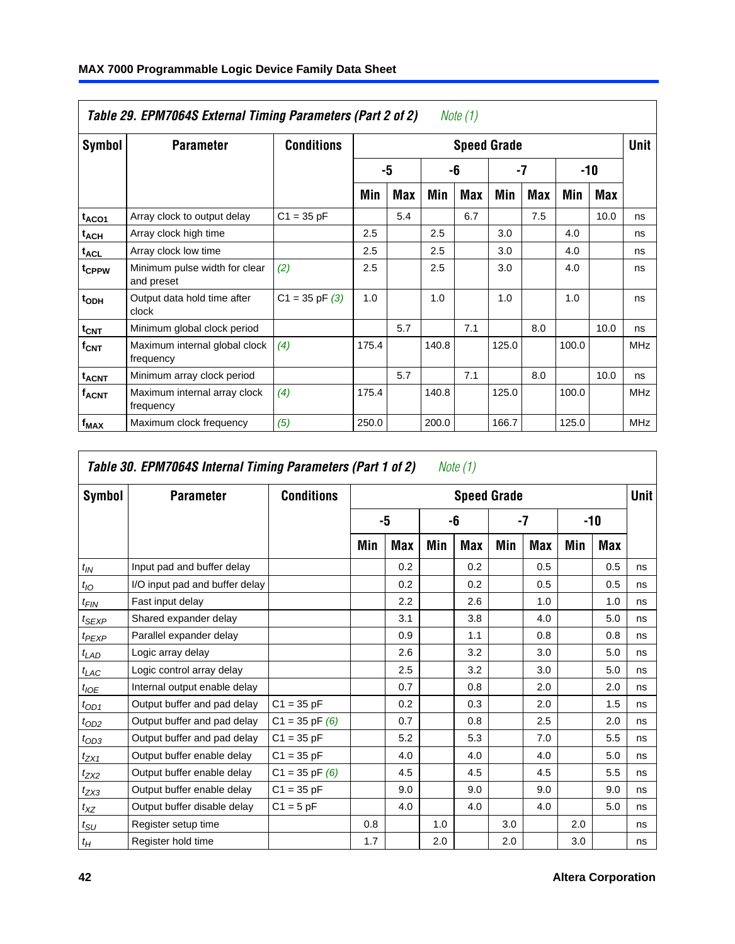| Table 29. EPM7064S External Timing Parameters (Part 2 of 2)<br>Note (1) |                                             |                    |       |     |       |     |                    |     |       |      |             |  |
|-------------------------------------------------------------------------|---------------------------------------------|--------------------|-------|-----|-------|-----|--------------------|-----|-------|------|-------------|--|
| Symbol                                                                  | <b>Parameter</b>                            | <b>Conditions</b>  |       |     |       |     | <b>Speed Grade</b> |     |       |      | <b>Unit</b> |  |
|                                                                         |                                             |                    |       | -5  |       | -6  |                    | -7  | -10   |      |             |  |
|                                                                         |                                             |                    | Min   | Max | Min   | Max | Min                | Max | Min   | Max  |             |  |
| t <sub>ACO1</sub>                                                       | Array clock to output delay                 | $C1 = 35 pF$       |       | 5.4 |       | 6.7 |                    | 7.5 |       | 10.0 | ns          |  |
| $t_{\sf ACH}$                                                           | Array clock high time                       |                    | 2.5   |     | 2.5   |     | 3.0                |     | 4.0   |      | ns          |  |
| $t_{\sf ACL}$                                                           | Array clock low time                        |                    | 2.5   |     | 2.5   |     | 3.0                |     | 4.0   |      | ns          |  |
| t <sub>CPPW</sub>                                                       | Minimum pulse width for clear<br>and preset | (2)                | 2.5   |     | 2.5   |     | 3.0                |     | 4.0   |      | ns          |  |
| t <sub>ODH</sub>                                                        | Output data hold time after<br>clock        | $C1 = 35$ pF $(3)$ | 1.0   |     | 1.0   |     | 1.0                |     | 1.0   |      | ns          |  |
| $t_{\text{CNT}}$                                                        | Minimum global clock period                 |                    |       | 5.7 |       | 7.1 |                    | 8.0 |       | 10.0 | ns          |  |
| $f_{\text{CNT}}$                                                        | Maximum internal global clock<br>frequency  | (4)                | 175.4 |     | 140.8 |     | 125.0              |     | 100.0 |      | <b>MHz</b>  |  |
| $t_{ACNT}$                                                              | Minimum array clock period                  |                    |       | 5.7 |       | 7.1 |                    | 8.0 |       | 10.0 | ns          |  |
| <b>f<sub>ACNT</sub></b>                                                 | Maximum internal array clock<br>frequency   | (4)                | 175.4 |     | 140.8 |     | 125.0              |     | 100.0 |      | <b>MHz</b>  |  |
| $f_{MAX}$                                                               | Maximum clock frequency                     | (5)                | 250.0 |     | 200.0 |     | 166.7              |     | 125.0 |      | <b>MHz</b>  |  |

| Symbol           | <b>Parameter</b>               | <b>Conditions</b>  |     |     |     | <b>Speed Grade</b> |     |            |     |     | Unit |
|------------------|--------------------------------|--------------------|-----|-----|-----|--------------------|-----|------------|-----|-----|------|
|                  |                                |                    |     | -5  |     | -6                 |     | -7         | -10 |     |      |
|                  |                                |                    | Min | Max | Min | <b>Max</b>         | Min | <b>Max</b> | Min | Max |      |
| $t_{IN}$         | Input pad and buffer delay     |                    |     | 0.2 |     | 0.2                |     | 0.5        |     | 0.5 | ns   |
| $t_{IO}$         | I/O input pad and buffer delay |                    |     | 0.2 |     | 0.2                |     | 0.5        |     | 0.5 | ns   |
| t <sub>FIN</sub> | Fast input delay               |                    |     | 2.2 |     | 2.6                |     | 1.0        |     | 1.0 | ns   |
| $t_{SEXP}$       | Shared expander delay          |                    |     | 3.1 |     | 3.8                |     | 4.0        |     | 5.0 | ns   |
| $t_{PEXP}$       | Parallel expander delay        |                    |     | 0.9 |     | 1.1                |     | 0.8        |     | 0.8 | ns   |
| $t_{LAD}$        | Logic array delay              |                    |     | 2.6 |     | 3.2                |     | 3.0        |     | 5.0 | ns   |
| $t_{LAC}$        | Logic control array delay      |                    |     | 2.5 |     | 3.2                |     | 3.0        |     | 5.0 | ns   |
| $t_{IOE}$        | Internal output enable delay   |                    |     | 0.7 |     | 0.8                |     | 2.0        |     | 2.0 | ns   |
| $t_{OD1}$        | Output buffer and pad delay    | $C1 = 35 pF$       |     | 0.2 |     | 0.3                |     | 2.0        |     | 1.5 | ns   |
| $t_{OD2}$        | Output buffer and pad delay    | $C1 = 35 pF(6)$    |     | 0.7 |     | 0.8                |     | 2.5        |     | 2.0 | ns   |
| $t_{OD3}$        | Output buffer and pad delay    | $C1 = 35 pF$       |     | 5.2 |     | 5.3                |     | 7.0        |     | 5.5 | ns   |
| $t_{ZX1}$        | Output buffer enable delay     | $C1 = 35 pF$       |     | 4.0 |     | 4.0                |     | 4.0        |     | 5.0 | ns   |
| $t_{ZX2}$        | Output buffer enable delay     | $C1 = 35$ pF $(6)$ |     | 4.5 |     | 4.5                |     | 4.5        |     | 5.5 | ns   |
| $t_{ZX3}$        | Output buffer enable delay     | $C1 = 35 pF$       |     | 9.0 |     | 9.0                |     | 9.0        |     | 9.0 | ns   |
| $t_{XZ}$         | Output buffer disable delay    | $C1 = 5pF$         |     | 4.0 |     | 4.0                |     | 4.0        |     | 5.0 | ns   |
| $t_{\text{SU}}$  | Register setup time            |                    | 0.8 |     | 1.0 |                    | 3.0 |            | 2.0 |     | ns   |
| $t_H\,$          | Register hold time             |                    | 1.7 |     | 2.0 |                    | 2.0 |            | 3.0 |     | ns   |

<span id="page-41-0"></span> $\Gamma$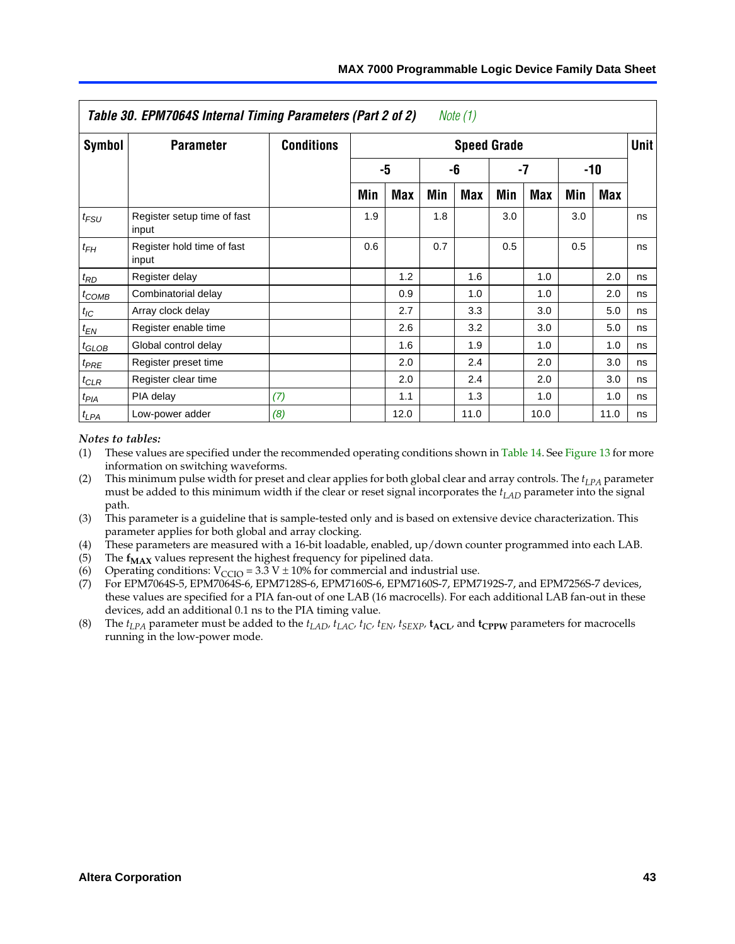|  | MAX 7000 Programmable Logic Device Family Data Sheet |  |  |  |
|--|------------------------------------------------------|--|--|--|
|--|------------------------------------------------------|--|--|--|

|               | Table 30. EPM7064S Internal Timing Parameters (Part 2 of 2) |                   |     |            |     | Note (1)           |     |      |     |            |             |
|---------------|-------------------------------------------------------------|-------------------|-----|------------|-----|--------------------|-----|------|-----|------------|-------------|
| <b>Symbol</b> | <b>Parameter</b>                                            | <b>Conditions</b> |     |            |     | <b>Speed Grade</b> |     |      |     |            | <b>Unit</b> |
|               |                                                             |                   |     | -5         |     | -6                 |     | -7   |     | $-10$      |             |
|               |                                                             |                   | Min | <b>Max</b> | Min | <b>Max</b>         | Min | Max  | Min | <b>Max</b> |             |
| $t_{FSU}$     | Register setup time of fast<br>input                        |                   | 1.9 |            | 1.8 |                    | 3.0 |      | 3.0 |            | ns          |
| $t_{FH}$      | Register hold time of fast<br>input                         |                   | 0.6 |            | 0.7 |                    | 0.5 |      | 0.5 |            | ns          |
| $t_{RD}$      | Register delay                                              |                   |     | 1.2        |     | 1.6                |     | 1.0  |     | 2.0        | ns          |
| $t_{COMB}$    | Combinatorial delay                                         |                   |     | 0.9        |     | 1.0                |     | 1.0  |     | 2.0        | ns          |
| $t_{IC}$      | Array clock delay                                           |                   |     | 2.7        |     | 3.3                |     | 3.0  |     | 5.0        | ns          |
| $t_{EN}$      | Register enable time                                        |                   |     | 2.6        |     | 3.2                |     | 3.0  |     | 5.0        | ns          |
| $t_{GLOB}$    | Global control delay                                        |                   |     | 1.6        |     | 1.9                |     | 1.0  |     | 1.0        | ns          |
| $t_{PRE}$     | Register preset time                                        |                   |     | 2.0        |     | 2.4                |     | 2.0  |     | 3.0        | ns          |
| $t_{CLR}$     | Register clear time                                         |                   |     | 2.0        |     | 2.4                |     | 2.0  |     | 3.0        | ns          |
| $t_{PIA}$     | PIA delay                                                   | (7)               |     | 1.1        |     | 1.3                |     | 1.0  |     | 1.0        | ns          |
| $t_{LPA}$     | Low-power adder                                             | (8)               |     | 12.0       |     | 11.0               |     | 10.0 |     | 11.0       | ns          |

#### <span id="page-42-1"></span><span id="page-42-0"></span>*Notes to tables:*

- <span id="page-42-3"></span><span id="page-42-2"></span>(1) These values are specified under the recommended operating conditions shown in Table 14. See Figure 13 for more information on switching waveforms.
- <span id="page-42-4"></span>(2) This minimum pulse width for preset and clear applies for both global clear and array controls. The  $t_{LPA}$  parameter must be added to this minimum width if the clear or reset signal incorporates the *t<sub>LAD</sub>* parameter into the signal path.
- (3) This parameter is a guideline that is sample-tested only and is based on extensive device characterization. This parameter applies for both global and array clocking.
- (4) These parameters are measured with a 16-bit loadable, enabled, up/down counter programmed into each LAB. (5) The  $f_{MAX}$  values represent the highest frequency for pipelined data.
- 
- (6) Operating conditions:  $V_{\text{CCIO}} = 3.3 \text{ V} \pm 10\%$  for commercial and industrial use.
- (7) For EPM7064S-5, EPM7064S-6, EPM7128S-6, EPM7160S-6, EPM7160S-7, EPM7192S-7, and EPM7256S-7 devices, these values are specified for a PIA fan-out of one LAB (16 macrocells). For each additional LAB fan-out in these devices, add an additional 0.1 ns to the PIA timing value.
- (8) The  $t_{LPA}$  parameter must be added to the  $t_{LAD}$ ,  $t_{LAC}$ ,  $t_{IC}$ ,  $t_{EN}$ ,  $t_{SEXP}$ ,  $t_{ACL}$ , and  $t_{CPPW}$  parameters for macrocells running in the low-power mode.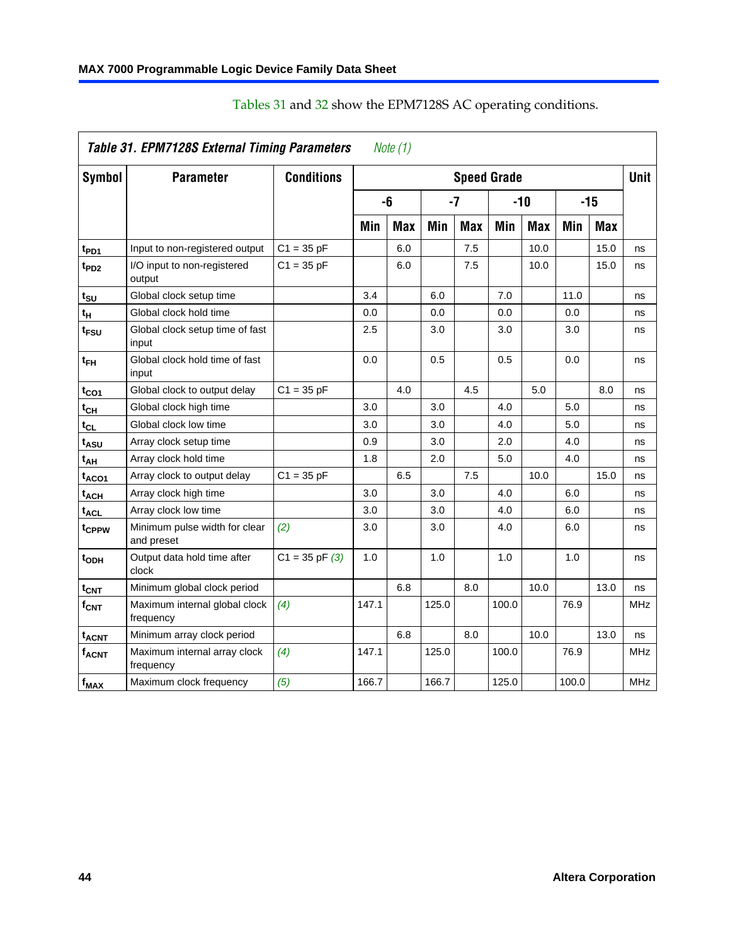|                               | Table 31. EPM7128S External Timing Parameters |                    |       | Note (1)   |       |            |                    |            |       |            |             |
|-------------------------------|-----------------------------------------------|--------------------|-------|------------|-------|------------|--------------------|------------|-------|------------|-------------|
| Symbol                        | <b>Parameter</b>                              | <b>Conditions</b>  |       |            |       |            | <b>Speed Grade</b> |            |       |            | <b>Unit</b> |
|                               |                                               |                    |       | -6         |       | $-7$       |                    | $-10$      |       | $-15$      |             |
|                               |                                               |                    | Min   | <b>Max</b> | Min   | <b>Max</b> | Min                | <b>Max</b> | Min   | <b>Max</b> |             |
| t <sub>PD1</sub>              | Input to non-registered output                | $C1 = 35 pF$       |       | 6.0        |       | 7.5        |                    | 10.0       |       | 15.0       | ns          |
| t <sub>PD2</sub>              | I/O input to non-registered<br>output         | $C1 = 35 pF$       |       | 6.0        |       | 7.5        |                    | 10.0       |       | 15.0       | ns          |
| tsu                           | Global clock setup time                       |                    | 3.4   |            | 6.0   |            | 7.0                |            | 11.0  |            | ns          |
| t <sub>Η</sub>                | Global clock hold time                        |                    | 0.0   |            | 0.0   |            | 0.0                |            | 0.0   |            | ns          |
| t <sub>FSU</sub>              | Global clock setup time of fast<br>input      |                    | 2.5   |            | 3.0   |            | 3.0                |            | 3.0   |            | ns          |
| $t_{FH}$                      | Global clock hold time of fast<br>input       |                    | 0.0   |            | 0.5   |            | 0.5                |            | 0.0   |            | ns          |
| t <sub>CO1</sub>              | Global clock to output delay                  | $C1 = 35 pF$       |       | 4.0        |       | 4.5        |                    | 5.0        |       | 8.0        | ns          |
| t <sub>СН</sub>               | Global clock high time                        |                    | 3.0   |            | 3.0   |            | 4.0                |            | 5.0   |            | ns          |
| $t_{CL}$                      | Global clock low time                         |                    | 3.0   |            | 3.0   |            | 4.0                |            | 5.0   |            | ns          |
| t <sub>ASU</sub>              | Array clock setup time                        |                    | 0.9   |            | 3.0   |            | 2.0                |            | 4.0   |            | ns          |
| t <sub>АН</sub>               | Array clock hold time                         |                    | 1.8   |            | 2.0   |            | 5.0                |            | 4.0   |            | ns          |
| t <sub>ACO1</sub>             | Array clock to output delay                   | $C1 = 35 pF$       |       | 6.5        |       | 7.5        |                    | 10.0       |       | 15.0       | ns          |
| $t_{ACH}$                     | Array clock high time                         |                    | 3.0   |            | 3.0   |            | 4.0                |            | 6.0   |            | ns          |
| $\mathfrak{t}_{\sf{ACL}}$     | Array clock low time                          |                    | 3.0   |            | 3.0   |            | 4.0                |            | 6.0   |            | ns          |
| tcppw                         | Minimum pulse width for clear<br>and preset   | (2)                | 3.0   |            | 3.0   |            | 4.0                |            | 6.0   |            | ns          |
| t <sub>ODH</sub>              | Output data hold time after<br>clock          | $C1 = 35$ pF $(3)$ | 1.0   |            | 1.0   |            | 1.0                |            | 1.0   |            | ns          |
| $\mathfrak{t}_{\textsf{CNT}}$ | Minimum global clock period                   |                    |       | 6.8        |       | 8.0        |                    | 10.0       |       | 13.0       | ns          |
| f <sub>CNT</sub>              | Maximum internal global clock<br>frequency    | (4)                | 147.1 |            | 125.0 |            | 100.0              |            | 76.9  |            | <b>MHz</b>  |
| $t_{ACNT}$                    | Minimum array clock period                    |                    |       | 6.8        |       | 8.0        |                    | 10.0       |       | 13.0       | ns          |
| <b>f<sub>ACNT</sub></b>       | Maximum internal array clock<br>frequency     | (4)                | 147.1 |            | 125.0 |            | 100.0              |            | 76.9  |            | <b>MHz</b>  |
| f <sub>MAX</sub>              | Maximum clock frequency                       | (5)                | 166.7 |            | 166.7 |            | 125.0              |            | 100.0 |            | <b>MHz</b>  |

Tables 31 and 32 show the EPM7128S AC operating conditions.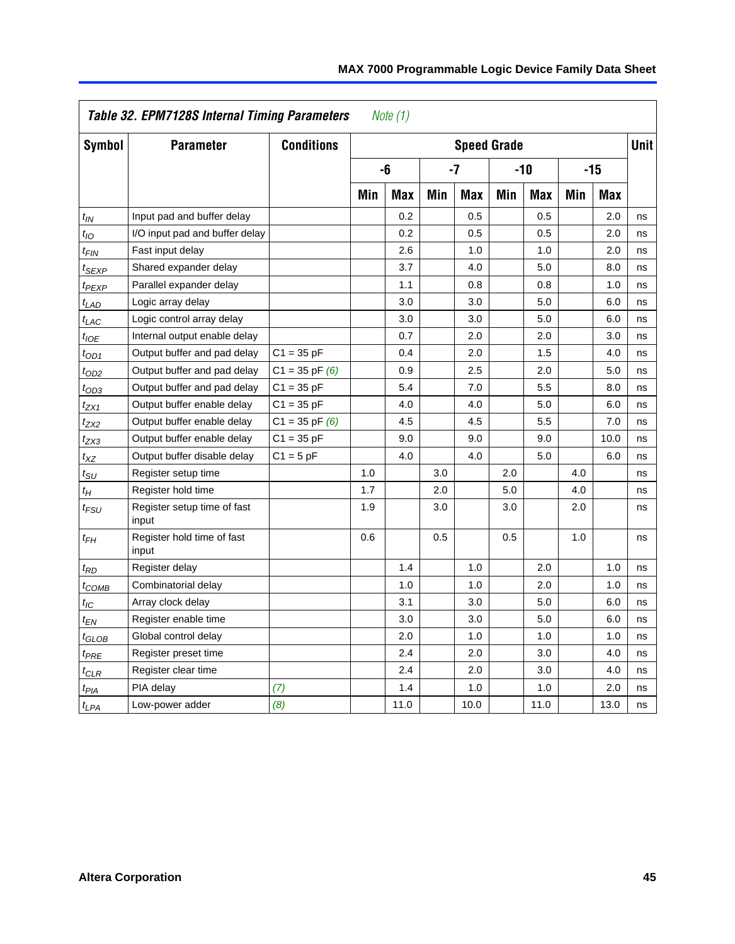|                   | Table 32. EPM7128S Internal Timing Parameters |                    |     | Note $(1)$ |     |                    |     |            |     |            |             |
|-------------------|-----------------------------------------------|--------------------|-----|------------|-----|--------------------|-----|------------|-----|------------|-------------|
| <b>Symbol</b>     | <b>Parameter</b>                              | <b>Conditions</b>  |     |            |     | <b>Speed Grade</b> |     |            |     |            | <b>Unit</b> |
|                   |                                               |                    |     | -6         |     | $-7$               |     | $-10$      |     | $-15$      |             |
|                   |                                               |                    | Min | <b>Max</b> | Min | <b>Max</b>         | Min | <b>Max</b> | Min | <b>Max</b> |             |
| $t_{IN}$          | Input pad and buffer delay                    |                    |     | 0.2        |     | 0.5                |     | 0.5        |     | 2.0        | ns          |
| $t_{IO}$          | I/O input pad and buffer delay                |                    |     | 0.2        |     | 0.5                |     | 0.5        |     | 2.0        | ns          |
| $t_{FIN}$         | Fast input delay                              |                    |     | 2.6        |     | 1.0                |     | 1.0        |     | 2.0        | ns          |
| <sup>t</sup> SEXP | Shared expander delay                         |                    |     | 3.7        |     | 4.0                |     | 5.0        |     | 8.0        | ns          |
| t <sub>PEXP</sub> | Parallel expander delay                       |                    |     | 1.1        |     | 0.8                |     | 0.8        |     | 1.0        | ns          |
| $t_{LAD}$         | Logic array delay                             |                    |     | 3.0        |     | 3.0                |     | 5.0        |     | 6.0        | ns          |
| $t_{LAC}$         | Logic control array delay                     |                    |     | 3.0        |     | 3.0                |     | 5.0        |     | 6.0        | ns          |
| $t_{IOE}$         | Internal output enable delay                  |                    |     | 0.7        |     | 2.0                |     | 2.0        |     | 3.0        | ns          |
| $t_{OD1}$         | Output buffer and pad delay                   | $C1 = 35 pF$       |     | 0.4        |     | 2.0                |     | 1.5        |     | 4.0        | ns          |
| $t_{OD2}$         | Output buffer and pad delay                   | $C1 = 35$ pF $(6)$ |     | 0.9        |     | 2.5                |     | 2.0        |     | 5.0        | ns          |
| $t_{OD3}$         | Output buffer and pad delay                   | $C1 = 35 pF$       |     | 5.4        |     | 7.0                |     | 5.5        |     | 8.0        | ns          |
| $t_{ZX1}$         | Output buffer enable delay                    | $C1 = 35 pF$       |     | 4.0        |     | 4.0                |     | 5.0        |     | 6.0        | ns          |
| t <sub>ZX2</sub>  | Output buffer enable delay                    | $C1 = 35$ pF $(6)$ |     | 4.5        |     | 4.5                |     | 5.5        |     | 7.0        | ns          |
| tzx3              | Output buffer enable delay                    | $C1 = 35 pF$       |     | 9.0        |     | 9.0                |     | 9.0        |     | 10.0       | ns          |
| $t_{XZ}$          | Output buffer disable delay                   | $C1 = 5pF$         |     | 4.0        |     | 4.0                |     | 5.0        |     | 6.0        | ns          |
| $t_{SU}$          | Register setup time                           |                    | 1.0 |            | 3.0 |                    | 2.0 |            | 4.0 |            | ns          |
| $t_H$             | Register hold time                            |                    | 1.7 |            | 2.0 |                    | 5.0 |            | 4.0 |            | ns          |
| $t_{FSU}$         | Register setup time of fast<br>input          |                    | 1.9 |            | 3.0 |                    | 3.0 |            | 2.0 |            | ns          |
| $t_{FH}$          | Register hold time of fast<br>input           |                    | 0.6 |            | 0.5 |                    | 0.5 |            | 1.0 |            | ns          |
| $t_{RD}$          | Register delay                                |                    |     | 1.4        |     | 1.0                |     | 2.0        |     | 1.0        | ns          |
| $t_{COMB}$        | Combinatorial delay                           |                    |     | 1.0        |     | 1.0                |     | 2.0        |     | 1.0        | ns          |
| $t_{IC}$          | Array clock delay                             |                    |     | 3.1        |     | 3.0                |     | 5.0        |     | 6.0        | ns          |
| $t_{EN}$          | Register enable time                          |                    |     | 3.0        |     | 3.0                |     | 5.0        |     | 6.0        | ns          |
| $t_{GLOB}$        | Global control delay                          |                    |     | 2.0        |     | 1.0                |     | 1.0        |     | 1.0        | ns          |
| $t_{PRE}$         | Register preset time                          |                    |     | 2.4        |     | 2.0                |     | 3.0        |     | 4.0        | ns          |
| $t_{CLR}$         | Register clear time                           |                    |     | 2.4        |     | 2.0                |     | 3.0        |     | 4.0        | ns          |
| $t_{PIA}$         | PIA delay                                     | (7)                |     | 1.4        |     | 1.0                |     | 1.0        |     | 2.0        | ns          |
| $t_{LPA}$         | Low-power adder                               | (8)                |     | 11.0       |     | 10.0               |     | 11.0       |     | 13.0       | ns          |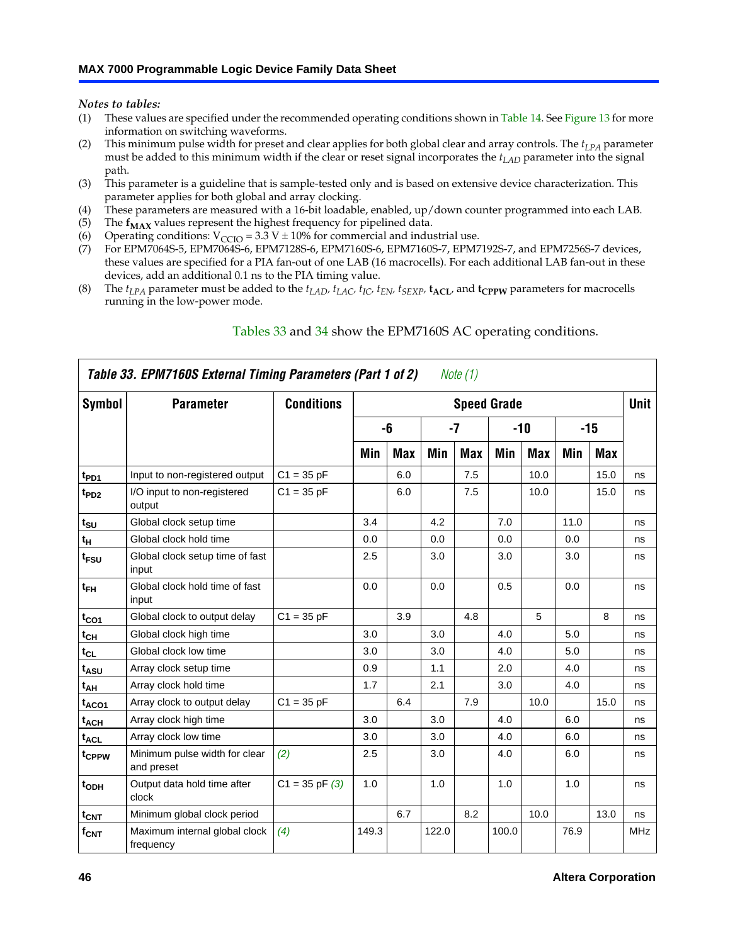<span id="page-45-2"></span><span id="page-45-1"></span><span id="page-45-0"></span>*Notes to tables:*

- <span id="page-45-4"></span><span id="page-45-3"></span>(1) These values are specified under the recommended operating conditions shown in Table 14. See Figure 13 for more information on switching waveforms.
- <span id="page-45-5"></span>(2) This minimum pulse width for preset and clear applies for both global clear and array controls. The *tLPA* parameter must be added to this minimum width if the clear or reset signal incorporates the *tLAD* parameter into the signal path.
- <span id="page-45-6"></span>(3) This parameter is a guideline that is sample-tested only and is based on extensive device characterization. This parameter applies for both global and array clocking.
- (4) These parameters are measured with a 16-bit loadable, enabled, up/down counter programmed into each LAB.
- (5) The  $f_{MAX}$  values represen[t the highest](#page-45-7) freq[uen](#page-46-0)cy for pipelined data.
- (6) Operating conditions:  $V_{\text{CCIO}} = 3.3 \text{ V} \pm 10\%$  for commercial and industrial use.
- <span id="page-45-7"></span>(7) For EPM7064S-5, EPM7064S-6, EPM7128S-6, EPM7160S-6, EPM7160S-7, EPM7192S-7, and EPM7256S-7 devices, these values are specified for a PIA fan-out of one LAB (16 macrocells[\). For ea](#page-47-0)ch additional LAB fan-out in these devices, add an additional 0.1 ns to the PIA timing value.
- (8) The  $t_{LPA}$  parameter must be added to the  $t_{LAD}$ ,  $t_{LAC}$ ,  $t_{IC}$ ,  $t_{EN}$ ,  $t_{SEXP}$ ,  $t_{ACL}$ , and  $t_{CPPW}$  parameters for macrocells running in the low-power mode.

|                   | Table 33. EPM7160S External Timing Parameters (Part 1 of 2) |                    |       |            |       | Note (1)   |                    |            |      |       |            |
|-------------------|-------------------------------------------------------------|--------------------|-------|------------|-------|------------|--------------------|------------|------|-------|------------|
| Symbol            | <b>Parameter</b>                                            | <b>Conditions</b>  |       |            |       |            | <b>Speed Grade</b> |            |      |       | Unit       |
|                   |                                                             |                    |       | -6         |       | -7         |                    | -10        |      | $-15$ |            |
|                   |                                                             |                    | Min   | <b>Max</b> | Min   | <b>Max</b> | Min                | <b>Max</b> | Min  | Max   |            |
| t <sub>PD1</sub>  | Input to non-registered output                              | $C1 = 35 pF$       |       | 6.0        |       | 7.5        |                    | 10.0       |      | 15.0  | ns         |
| $t_{PD2}$         | I/O input to non-registered<br>output                       | $C1 = 35 pF$       |       | 6.0        |       | 7.5        |                    | 10.0       |      | 15.0  | ns         |
| $t_{\text{SU}}$   | Global clock setup time                                     |                    | 3.4   |            | 4.2   |            | 7.0                |            | 11.0 |       | ns         |
| $t_H$             | Global clock hold time                                      |                    | 0.0   |            | 0.0   |            | 0.0                |            | 0.0  |       | ns         |
| t <sub>FSU</sub>  | Global clock setup time of fast<br>input                    |                    | 2.5   |            | 3.0   |            | 3.0                |            | 3.0  |       | ns         |
| $t_{FH}$          | Global clock hold time of fast<br>input                     |                    | 0.0   |            | 0.0   |            | 0.5                |            | 0.0  |       | ns         |
| $t_{CO1}$         | Global clock to output delay                                | $C1 = 35 pF$       |       | 3.9        |       | 4.8        |                    | 5          |      | 8     | ns         |
| $t_{\mathsf{CH}}$ | Global clock high time                                      |                    | 3.0   |            | 3.0   |            | 4.0                |            | 5.0  |       | ns         |
| $t_{CL}$          | Global clock low time                                       |                    | 3.0   |            | 3.0   |            | 4.0                |            | 5.0  |       | ns         |
| t <sub>ASU</sub>  | Array clock setup time                                      |                    | 0.9   |            | 1.1   |            | 2.0                |            | 4.0  |       | ns         |
| t <sub>АН</sub>   | Array clock hold time                                       |                    | 1.7   |            | 2.1   |            | 3.0                |            | 4.0  |       | ns         |
| t <sub>ACO1</sub> | Array clock to output delay                                 | $C1 = 35 pF$       |       | 6.4        |       | 7.9        |                    | 10.0       |      | 15.0  | ns         |
| $t_{\sf ACH}$     | Array clock high time                                       |                    | 3.0   |            | 3.0   |            | 4.0                |            | 6.0  |       | ns         |
| t <sub>ACL</sub>  | Array clock low time                                        |                    | 3.0   |            | 3.0   |            | 4.0                |            | 6.0  |       | ns         |
| tcppw             | Minimum pulse width for clear<br>and preset                 | (2)                | 2.5   |            | 3.0   |            | 4.0                |            | 6.0  |       | ns         |
| t <sub>ODH</sub>  | Output data hold time after<br>clock                        | $C1 = 35$ pF $(3)$ | 1.0   |            | 1.0   |            | 1.0                |            | 1.0  |       | ns         |
| $t_{\text{CNT}}$  | Minimum global clock period                                 |                    |       | 6.7        |       | 8.2        |                    | 10.0       |      | 13.0  | ns         |
| $f_{\text{CNT}}$  | Maximum internal global clock<br>frequency                  | (4)                | 149.3 |            | 122.0 |            | 100.0              |            | 76.9 |       | <b>MHz</b> |

### Tables 33 and 34 show the EPM7160S AC operating conditions.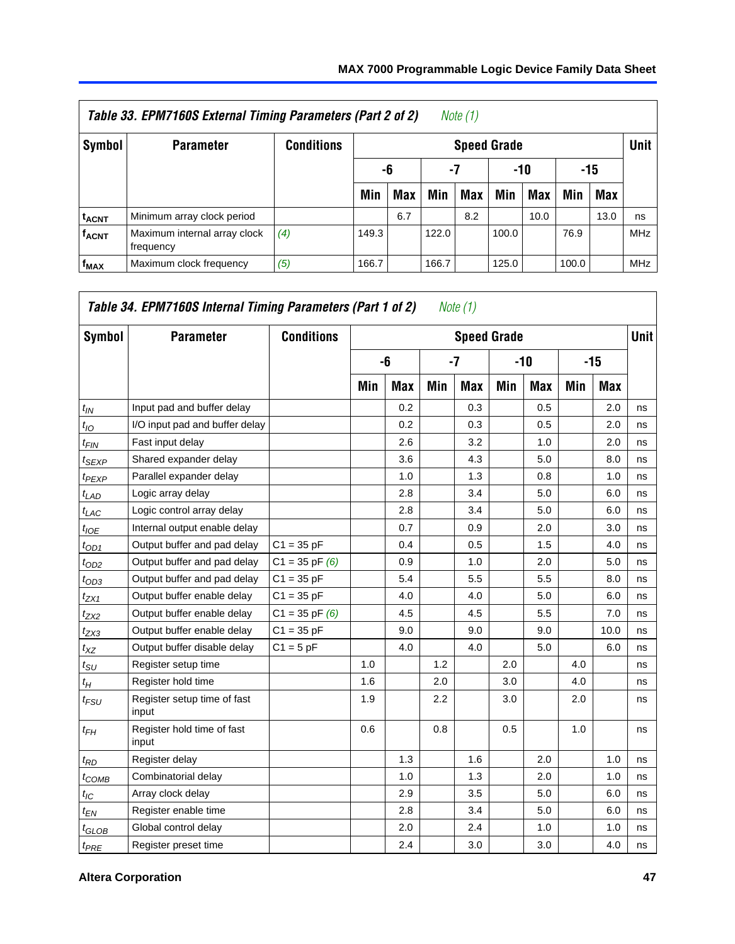<span id="page-46-0"></span>

|                         | Table 33. EPM7160S External Timing Parameters (Part 2 of 2) |                   |                        |            |       | Note (1)           |       |            |       |            |             |  |
|-------------------------|-------------------------------------------------------------|-------------------|------------------------|------------|-------|--------------------|-------|------------|-------|------------|-------------|--|
| Symbol                  | <b>Parameter</b>                                            | <b>Conditions</b> |                        |            |       | <b>Speed Grade</b> |       |            |       |            | <b>Unit</b> |  |
|                         |                                                             |                   | -7<br>-10<br>-15<br>-6 |            |       |                    |       |            |       |            |             |  |
|                         |                                                             |                   | Min                    | <b>Max</b> | Min   | Max                | Min   | <b>Max</b> | Min   | <b>Max</b> |             |  |
| <sup>t</sup> ACNT       | Minimum array clock period                                  |                   |                        | 6.7        |       | 8.2                |       | 10.0       |       | 13.0       | ns          |  |
| <b>f<sub>ACNT</sub></b> | Maximum internal array clock<br>frequency                   | (4)               | 149.3                  |            | 122.0 |                    | 100.0 |            | 76.9  |            | MHz         |  |
| $f_{MAX}$               | Maximum clock frequency                                     | (5)               | 166.7                  |            | 166.7 |                    | 125.0 |            | 100.0 |            | <b>MHz</b>  |  |

| Symbol            | <b>Parameter</b>                     | <b>Conditions</b>  |            |            |     | <b>Speed Grade</b> |     |     |     |            | <b>Unit</b> |
|-------------------|--------------------------------------|--------------------|------------|------------|-----|--------------------|-----|-----|-----|------------|-------------|
|                   |                                      |                    |            | -6         |     | $-7$               |     | -10 |     | $-15$      |             |
|                   |                                      |                    | <b>Min</b> | <b>Max</b> | Min | Max                | Min | Max | Min | <b>Max</b> |             |
| $t_{IN}$          | Input pad and buffer delay           |                    |            | 0.2        |     | 0.3                |     | 0.5 |     | 2.0        | ns          |
| $t_{IO}$          | I/O input pad and buffer delay       |                    |            | 0.2        |     | 0.3                |     | 0.5 |     | 2.0        | ns          |
| $t_{FIN}$         | Fast input delay                     |                    |            | 2.6        |     | 3.2                |     | 1.0 |     | 2.0        | ns          |
| $t_{SEXP}$        | Shared expander delay                |                    |            | 3.6        |     | 4.3                |     | 5.0 |     | 8.0        | ns          |
| $t_{PEXP}$        | Parallel expander delay              |                    |            | 1.0        |     | 1.3                |     | 0.8 |     | 1.0        | ns          |
| $t_{LAD}$         | Logic array delay                    |                    |            | 2.8        |     | 3.4                |     | 5.0 |     | 6.0        | ns          |
| $t_{LAC}$         | Logic control array delay            |                    |            | 2.8        |     | 3.4                |     | 5.0 |     | 6.0        | ns          |
| $t_{IOE}$         | Internal output enable delay         |                    |            | 0.7        |     | 0.9                |     | 2.0 |     | 3.0        | ns          |
| $t_{OD1}$         | Output buffer and pad delay          | $C1 = 35 pF$       |            | 0.4        |     | 0.5                |     | 1.5 |     | 4.0        | ns          |
| $t_{OD2}$         | Output buffer and pad delay          | $C1 = 35$ pF $(6)$ |            | 0.9        |     | 1.0                |     | 2.0 |     | 5.0        | ns          |
| $t_{OD3}$         | Output buffer and pad delay          | $C1 = 35 pF$       |            | 5.4        |     | 5.5                |     | 5.5 |     | 8.0        | ns          |
| t <sub>ZX1</sub>  | Output buffer enable delay           | $C1 = 35 pF$       |            | 4.0        |     | 4.0                |     | 5.0 |     | 6.0        | ns          |
| t <sub>ZX2</sub>  | Output buffer enable delay           | $C1 = 35$ pF $(6)$ |            | 4.5        |     | 4.5                |     | 5.5 |     | 7.0        | ns          |
| $t_{ZX3}$         | Output buffer enable delay           | $C1 = 35 pF$       |            | 9.0        |     | 9.0                |     | 9.0 |     | 10.0       | ns          |
| $t_{XZ}$          | Output buffer disable delay          | $C1 = 5pF$         |            | 4.0        |     | 4.0                |     | 5.0 |     | 6.0        | ns          |
| $t_{\text{SU}}$   | Register setup time                  |                    | 1.0        |            | 1.2 |                    | 2.0 |     | 4.0 |            | ns          |
| $t_H$             | Register hold time                   |                    | 1.6        |            | 2.0 |                    | 3.0 |     | 4.0 |            | ns          |
| $t_{FSU}$         | Register setup time of fast<br>input |                    | 1.9        |            | 2.2 |                    | 3.0 |     | 2.0 |            | ns          |
| $t_{FH}$          | Register hold time of fast<br>input  |                    | 0.6        |            | 0.8 |                    | 0.5 |     | 1.0 |            | ns          |
| $t_{RD}$          | Register delay                       |                    |            | 1.3        |     | 1.6                |     | 2.0 |     | 1.0        | ns          |
| $t_{COMB}$        | Combinatorial delay                  |                    |            | 1.0        |     | 1.3                |     | 2.0 |     | 1.0        | ns          |
| $t_{IC}$          | Array clock delay                    |                    |            | 2.9        |     | 3.5                |     | 5.0 |     | 6.0        | ns          |
| $t_{EN}$          | Register enable time                 |                    |            | 2.8        |     | 3.4                |     | 5.0 |     | 6.0        | ns          |
| $t_{\text{GLOB}}$ | Global control delay                 |                    |            | 2.0        |     | 2.4                |     | 1.0 |     | 1.0        | ns          |
| $t_{PRE}$         | Register preset time                 |                    |            | 2.4        |     | 3.0                |     | 3.0 |     | 4.0        | ns          |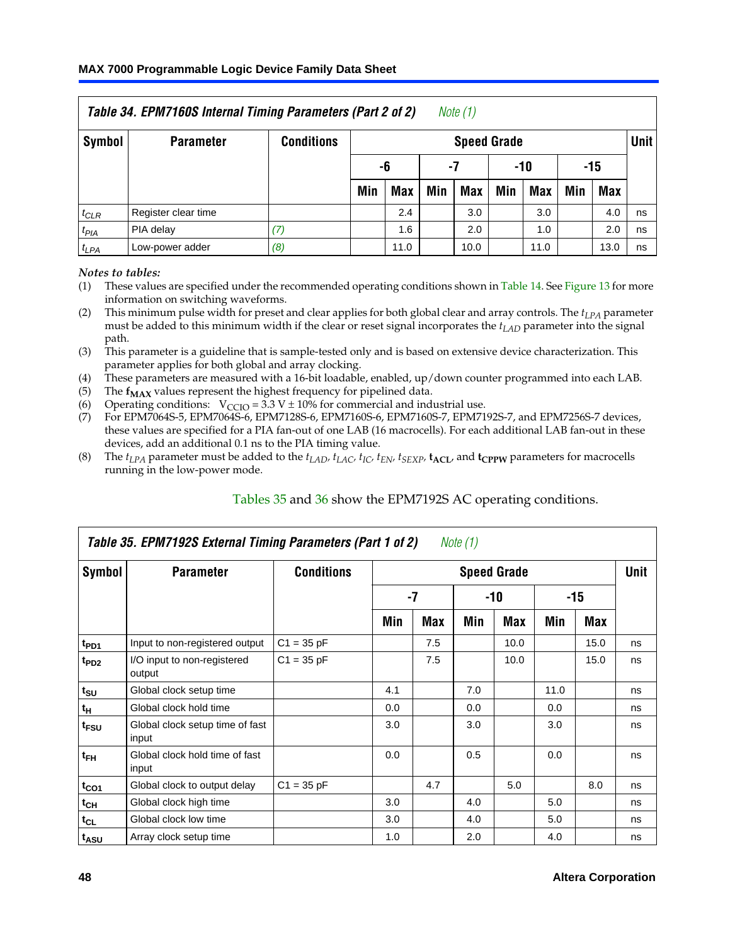<span id="page-47-0"></span>

|           | Table 34. EPM7160S Internal Timing Parameters (Part 2 of 2) |                   |                                                                    |      |  | Note (1)           |  |      |  |      |             |
|-----------|-------------------------------------------------------------|-------------------|--------------------------------------------------------------------|------|--|--------------------|--|------|--|------|-------------|
| Symbol    | <b>Parameter</b>                                            | <b>Conditions</b> |                                                                    |      |  | <b>Speed Grade</b> |  |      |  |      | <b>Unit</b> |
|           |                                                             |                   | -6<br>-10<br>-15<br>-7                                             |      |  |                    |  |      |  |      |             |
|           |                                                             |                   | Max<br>Min<br><b>Max</b><br><b>Max</b><br>Min<br>Max<br>Min<br>Min |      |  |                    |  |      |  |      |             |
| $t_{CLR}$ | Register clear time                                         |                   |                                                                    | 2.4  |  | 3.0                |  | 3.0  |  | 4.0  | ns          |
| $t_{PIA}$ | PIA delay                                                   | (7)               |                                                                    | 1.6  |  | 2.0                |  | 1.0  |  | 2.0  | ns          |
| $t_{LPA}$ | Low-power adder                                             | (8)               |                                                                    | 11.0 |  | 10.0               |  | 11.0 |  | 13.0 | ns          |

#### <span id="page-47-2"></span><span id="page-47-1"></span>*Notes to tables:*

- <span id="page-47-3"></span>(1) These values are specified under the recommended operating conditions shown in Table 14. See Figure 13 for more information on switching waveforms.
- <span id="page-47-4"></span>(2) This minimum pulse width for preset and clear applies for both global clear and array controls. The  $t_{LPA}$  parameter must be added to this minimum width if the clear or reset signal incorporates the *tLAD* parameter into the signal path.
- <span id="page-47-5"></span>(3) This parameter is a guideline that is sample-tested only and is based on extensive device characterization. This parameter applies for both global and array clocking.
- (4) These parameters are measured with a 16-bit loadable, enabled, up/down counter programmed into each LAB.
- (5) The  $f_{MAX}$  values represen[t the highest](#page-47-6) freq[uen](#page-48-0)cy for pipelined data.
- 
- (6) Operating conditions:  $V_{CCIO} = 3.3 V \pm 10\%$  for commercial and industrial use.<br>(7) For EPM7064S-5, EPM7064S-6, EPM7128S-6, EPM7160S-6, EPM7160S-7, EPM7192S-7, and EPM7256S-7 devices, these values are specified for a PIA fan-out of one LAB (16 macrocells[\). For ea](#page-49-0)ch additional LAB fan-out in these devices, add an additional 0.1 ns to the PIA timing value.
- <span id="page-47-6"></span>(8) The  $t_{LPA}$  parameter must be added to the  $t_{LAD}$ ,  $t_{LAC}$ ,  $t_{IC}$ ,  $t_{SN}$ ,  $t_{SEXP}$ ,  $t_{\text{ACL}}$ , and  $t_{CPPW}$  parameters for macrocells running in the low-power mode.

|                             | Table 35. EPM7192S External Timing Parameters (Part 1 of 2) |                   |     |      | Note $(1)$ |                    |      |       |             |
|-----------------------------|-------------------------------------------------------------|-------------------|-----|------|------------|--------------------|------|-------|-------------|
| Symbol                      | <b>Parameter</b>                                            | <b>Conditions</b> |     |      |            | <b>Speed Grade</b> |      |       | <b>Unit</b> |
|                             |                                                             |                   |     | $-7$ |            | -10                |      | $-15$ |             |
|                             |                                                             |                   | Min | Max  | Min        | Max                | Min  | Max   |             |
| t <sub>PD1</sub>            | Input to non-registered output                              | $C1 = 35 pF$      |     | 7.5  |            | 10.0               |      | 15.0  | ns          |
| $t_{PD2}$                   | I/O input to non-registered<br>output                       | $C1 = 35 pF$      |     | 7.5  |            | 10.0               |      | 15.0  | ns          |
| $t_{\scriptstyle\text{SU}}$ | Global clock setup time                                     |                   | 4.1 |      | 7.0        |                    | 11.0 |       | ns          |
| $t_H$                       | Global clock hold time                                      |                   | 0.0 |      | 0.0        |                    | 0.0  |       | ns          |
| t <sub>FSU</sub>            | Global clock setup time of fast<br>input                    |                   | 3.0 |      | 3.0        |                    | 3.0  |       | ns          |
| $t_{FH}$                    | Global clock hold time of fast<br>input                     |                   | 0.0 |      | 0.5        |                    | 0.0  |       | ns          |
| $t_{CO1}$                   | Global clock to output delay                                | $C1 = 35 pF$      |     | 4.7  |            | 5.0                |      | 8.0   | ns          |
| $t_{CH}$                    | Global clock high time                                      |                   | 3.0 |      | 4.0        |                    | 5.0  |       | ns          |
| $t_{CL}$                    | Global clock low time                                       |                   | 3.0 |      | 4.0        |                    | 5.0  |       | ns          |
| t <sub>ASU</sub>            | Array clock setup time                                      |                   | 1.0 |      | 2.0        |                    | 4.0  |       | ns          |

#### Tables 35 and 36 show the EPM7192S AC operating conditions.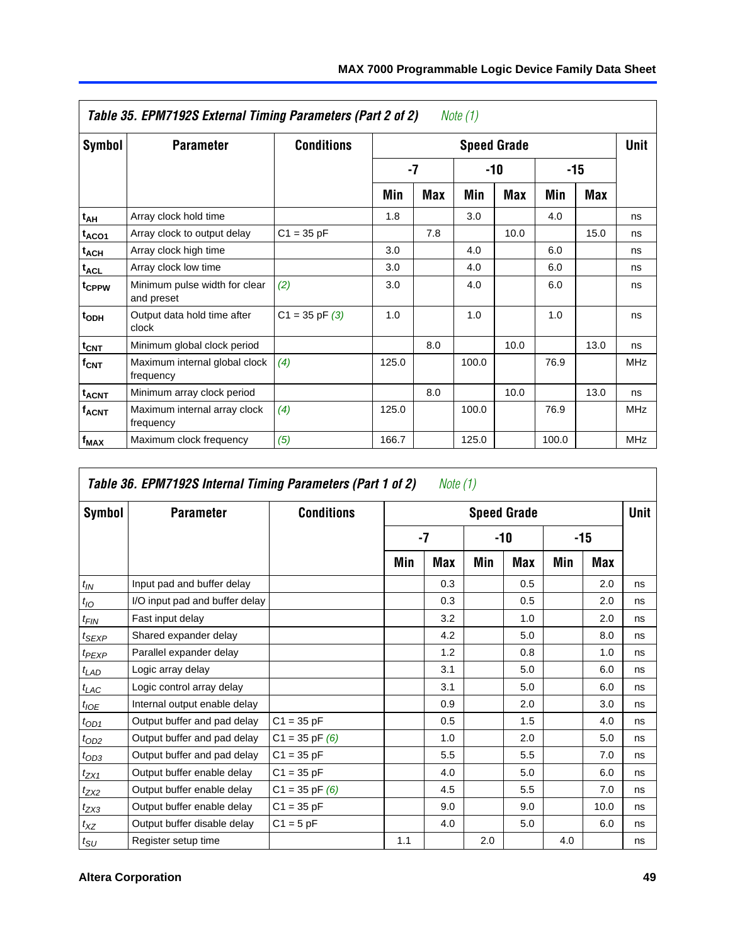|                         | Table 35. EPM7192S External Timing Parameters (Part 2 of 2) |                    |       |            | Note (1) |                    |       |       |             |
|-------------------------|-------------------------------------------------------------|--------------------|-------|------------|----------|--------------------|-------|-------|-------------|
| Symbol                  | <b>Parameter</b>                                            | <b>Conditions</b>  |       |            |          | <b>Speed Grade</b> |       |       | <b>Unit</b> |
|                         |                                                             |                    |       | $-7$       |          | $-10$              |       | $-15$ |             |
|                         |                                                             |                    | Min   | <b>Max</b> | Min      | <b>Max</b>         | Min   | Max   |             |
| $t_{AH}$                | Array clock hold time                                       |                    | 1.8   |            | 3.0      |                    | 4.0   |       | ns          |
| t <sub>ACO1</sub>       | Array clock to output delay                                 | $C1 = 35 pF$       |       | 7.8        |          | 10.0               |       | 15.0  | ns          |
| $t_{ACH}$               | Array clock high time                                       |                    | 3.0   |            | 4.0      |                    | 6.0   |       | ns          |
| $t_{\text{ACL}}$        | Array clock low time                                        |                    | 3.0   |            | 4.0      |                    | 6.0   |       | ns          |
| t <sub>CPPW</sub>       | Minimum pulse width for clear<br>and preset                 | (2)                | 3.0   |            | 4.0      |                    | 6.0   |       | ns          |
| $t_{ODH}$               | Output data hold time after<br>clock                        | $C1 = 35$ pF $(3)$ | 1.0   |            | 1.0      |                    | 1.0   |       | ns          |
| t <sub>CNT</sub>        | Minimum global clock period                                 |                    |       | 8.0        |          | 10.0               |       | 13.0  | ns          |
| $f_{\text{CNT}}$        | Maximum internal global clock<br>frequency                  | (4)                | 125.0 |            | 100.0    |                    | 76.9  |       | <b>MHz</b>  |
| <b>t<sub>ACNT</sub></b> | Minimum array clock period                                  |                    |       | 8.0        |          | 10.0               |       | 13.0  | ns          |
| <b>f<sub>ACNT</sub></b> | Maximum internal array clock<br>frequency                   | (4)                | 125.0 |            | 100.0    |                    | 76.9  |       | <b>MHz</b>  |
| f <sub>MAX</sub>        | Maximum clock frequency                                     | (5)                | 166.7 |            | 125.0    |                    | 100.0 |       | <b>MHz</b>  |

|                             | Table 36. EPM7192S Internal Timing Parameters (Part 1 of 2) |                    |     | Note (1) |     |                    |     |            |      |
|-----------------------------|-------------------------------------------------------------|--------------------|-----|----------|-----|--------------------|-----|------------|------|
| Symbol                      | <b>Parameter</b>                                            | <b>Conditions</b>  |     |          |     | <b>Speed Grade</b> |     |            | Unit |
|                             |                                                             |                    |     | $-7$     |     | -10                |     | $-15$      |      |
|                             |                                                             |                    | Min | Max      | Min | Max                | Min | <b>Max</b> |      |
| $t_{IN}$                    | Input pad and buffer delay                                  |                    |     | 0.3      |     | 0.5                |     | 2.0        | ns   |
| $t_{IO}$                    | I/O input pad and buffer delay                              |                    |     | 0.3      |     | 0.5                |     | 2.0        | ns   |
| $t_{\sf FIN}$               | Fast input delay                                            |                    |     | 3.2      |     | 1.0                |     | 2.0        | ns   |
| $t_{SEXP}$                  | Shared expander delay                                       |                    |     | 4.2      |     | 5.0                |     | 8.0        | ns   |
| $t_{PEXP}$                  | Parallel expander delay                                     |                    |     | 1.2      |     | 0.8                |     | 1.0        | ns   |
| $t_{LAD}$                   | Logic array delay                                           |                    |     | 3.1      |     | 5.0                |     | 6.0        | ns   |
| $t_{LAC}$                   | Logic control array delay                                   |                    |     | 3.1      |     | 5.0                |     | 6.0        | ns   |
| $t_{IOE}$                   | Internal output enable delay                                |                    |     | 0.9      |     | 2.0                |     | 3.0        | ns   |
| $t_{OD1}$                   | Output buffer and pad delay                                 | $C1 = 35 pF$       |     | 0.5      |     | 1.5                |     | 4.0        | ns   |
| $t_{OD2}$                   | Output buffer and pad delay                                 | $C1 = 35$ pF $(6)$ |     | 1.0      |     | 2.0                |     | 5.0        | ns   |
| $t_{OD3}$                   | Output buffer and pad delay                                 | $C1 = 35 pF$       |     | 5.5      |     | 5.5                |     | 7.0        | ns   |
| $t_{ZX1}$                   | Output buffer enable delay                                  | $C1 = 35 pF$       |     | 4.0      |     | 5.0                |     | 6.0        | ns   |
| $t_{ZX2}$                   | Output buffer enable delay                                  | $C1 = 35$ pF $(6)$ |     | 4.5      |     | 5.5                |     | 7.0        | ns   |
| $t_{ZX3}$                   | Output buffer enable delay                                  | $C1 = 35 pF$       |     | 9.0      |     | 9.0                |     | 10.0       | ns   |
| $t_{XZ}$                    | Output buffer disable delay                                 | $C1 = 5$ pF        |     | 4.0      |     | 5.0                |     | 6.0        | ns   |
| $t_{\scriptstyle\text{SU}}$ | Register setup time                                         |                    | 1.1 |          | 2.0 |                    | 4.0 |            | ns   |

<span id="page-48-0"></span>г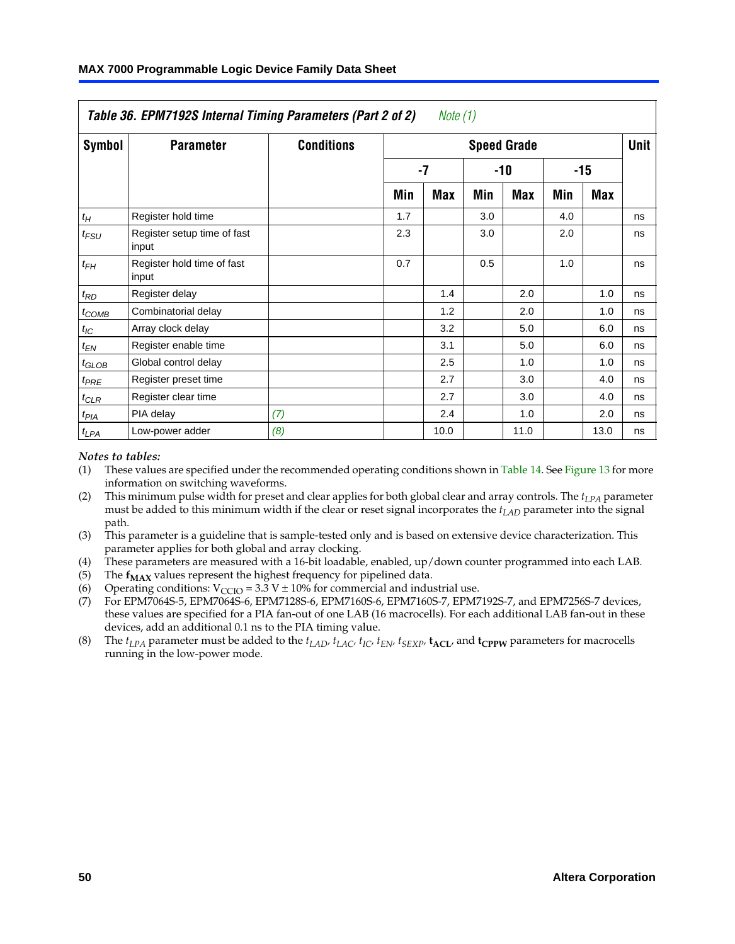|            | Table 36. EPM7192S Internal Timing Parameters (Part 2 of 2) |                   |     | Note (1) |     |                    |     |       |             |
|------------|-------------------------------------------------------------|-------------------|-----|----------|-----|--------------------|-----|-------|-------------|
| Symbol     | <b>Parameter</b>                                            | <b>Conditions</b> |     |          |     | <b>Speed Grade</b> |     |       | <b>Unit</b> |
|            |                                                             |                   |     | $-7$     |     | -10                |     | $-15$ |             |
|            |                                                             |                   | Min | Max      | Min | <b>Max</b>         | Min | Max   |             |
| $t_H\,$    | Register hold time                                          |                   | 1.7 |          | 3.0 |                    | 4.0 |       | ns          |
| $t_{FSU}$  | Register setup time of fast<br>input                        |                   | 2.3 |          | 3.0 |                    | 2.0 |       | ns          |
| $t_{FH}$   | Register hold time of fast<br>input                         |                   | 0.7 |          | 0.5 |                    | 1.0 |       | ns          |
| $t_{RD}$   | Register delay                                              |                   |     | 1.4      |     | 2.0                |     | 1.0   | ns          |
| $t_{COMB}$ | Combinatorial delay                                         |                   |     | 1.2      |     | 2.0                |     | 1.0   | ns          |
| $t_{IC}$   | Array clock delay                                           |                   |     | 3.2      |     | 5.0                |     | 6.0   | ns          |
| $t_{EN}$   | Register enable time                                        |                   |     | 3.1      |     | 5.0                |     | 6.0   | ns          |
| $t_{GLOB}$ | Global control delay                                        |                   |     | 2.5      |     | 1.0                |     | 1.0   | ns          |
| $t_{PRE}$  | Register preset time                                        |                   |     | 2.7      |     | 3.0                |     | 4.0   | ns          |
| $t_{CLR}$  | Register clear time                                         |                   |     | 2.7      |     | 3.0                |     | 4.0   | ns          |
| $t_{PIA}$  | PIA delay                                                   | (7)               |     | 2.4      |     | 1.0                |     | 2.0   | ns          |
| $t_{LPA}$  | Low-power adder                                             | (8)               |     | 10.0     |     | 11.0               |     | 13.0  | ns          |

#### <span id="page-49-3"></span><span id="page-49-1"></span><span id="page-49-0"></span>*Notes to tables:*

- <span id="page-49-4"></span><span id="page-49-2"></span>(1) These values are specified under the recommended operating conditions shown in Table 14. See Figure 13 for more information on switching waveforms.
- <span id="page-49-6"></span>(2) This minimum pulse width for preset and clear applies for both global clear and array controls. The *tLPA* parameter must be added to this minimum width if the clear or reset signal incorporates the *t<sub>LAD</sub>* parameter into the signal path.
- <span id="page-49-5"></span>(3) This parameter is a guideline that is sample-tested only and is based on extensive device characterization. This parameter applies for both global and array clocking.
- (4) These parameters are measured with a 16-bit loadable, enabled, up/down counter programmed into each LAB.
- (5) The  $f_{MAX}$  values represent the highest frequency for pipelined data.
- (6) Operating conditions:  $V_{\text{CCIO}} = 3.3 \text{ V} \pm 10\%$  for commercial and industrial use.
- (7) For EPM7064S-5, EPM7064S-6, EPM7128S-6, EPM7160S-6, EPM7160S-7, EPM7192S-7, and EPM7256S-7 devices, these values are specified for a PIA fan-out of one LAB (16 macrocells). For each additional LAB fan-out in these devices, add an additional 0.1 ns to the PIA timing value.
- (8) The  $t_{LPA}$  parameter must be added to the  $t_{LAD}$ ,  $t_{LAC}$ ,  $t_{IC}$ ,  $t_{EN}$ ,  $t_{SIX}$ ,  $t_{ACL}$ , and  $t_{CPW}$  parameters for macrocells running in the low-power mode.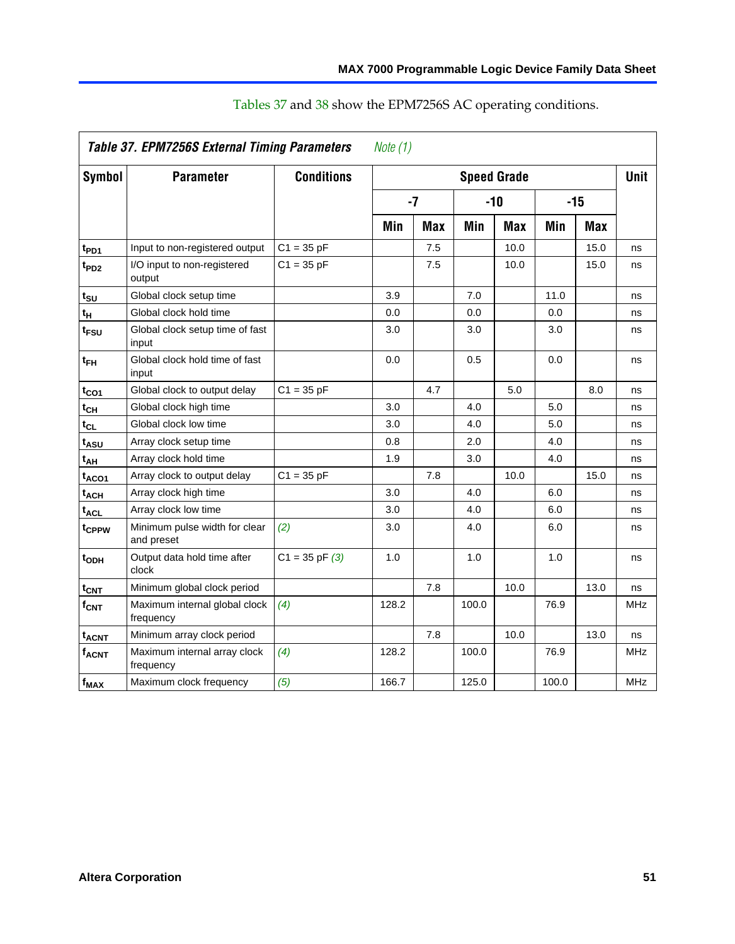|                               | Table 37. EPM7256S External Timing Parameters |                    | Note $(1)$ |            |       |                    |       |            |             |
|-------------------------------|-----------------------------------------------|--------------------|------------|------------|-------|--------------------|-------|------------|-------------|
| <b>Symbol</b>                 | <b>Parameter</b>                              | <b>Conditions</b>  |            |            |       | <b>Speed Grade</b> |       |            | <b>Unit</b> |
|                               |                                               |                    |            | $-7$       |       | -10                |       | $-15$      |             |
|                               |                                               |                    | Min        | <b>Max</b> | Min   | <b>Max</b>         | Min   | <b>Max</b> |             |
| t <sub>PD1</sub>              | Input to non-registered output                | $C1 = 35 pF$       |            | 7.5        |       | 10.0               |       | 15.0       | ns          |
| $t_{PD2}$                     | I/O input to non-registered<br>output         | $C1 = 35 pF$       |            | 7.5        |       | 10.0               |       | 15.0       | ns          |
| t <sub>su</sub>               | Global clock setup time                       |                    | 3.9        |            | 7.0   |                    | 11.0  |            | ns          |
| t <sub>H</sub>                | Global clock hold time                        |                    | 0.0        |            | 0.0   |                    | 0.0   |            | ns          |
| t <sub>FSU</sub>              | Global clock setup time of fast<br>input      |                    | 3.0        |            | 3.0   |                    | 3.0   |            | ns          |
| $t_{FH}$                      | Global clock hold time of fast<br>input       |                    | 0.0        |            | 0.5   |                    | 0.0   |            | ns          |
| $t_{CO1}$                     | Global clock to output delay                  | $C1 = 35 pF$       |            | 4.7        |       | 5.0                |       | 8.0        | ns          |
| $t_{\mathsf{CH}}$             | Global clock high time                        |                    | 3.0        |            | 4.0   |                    | 5.0   |            | ns          |
| $t_{CL}$                      | Global clock low time                         |                    | 3.0        |            | 4.0   |                    | 5.0   |            | ns          |
| t <sub>ASU</sub>              | Array clock setup time                        |                    | 0.8        |            | 2.0   |                    | 4.0   |            | ns          |
| t <sub>АН</sub>               | Array clock hold time                         |                    | 1.9        |            | 3.0   |                    | 4.0   |            | ns          |
| t <sub>ACO1</sub>             | Array clock to output delay                   | $C1 = 35 pF$       |            | 7.8        |       | 10.0               |       | 15.0       | ns          |
| t <sub>ACH</sub>              | Array clock high time                         |                    | 3.0        |            | 4.0   |                    | 6.0   |            | ns          |
| $t_{\sf ACL}$                 | Array clock low time                          |                    | 3.0        |            | 4.0   |                    | 6.0   |            | ns          |
| t <sub>CPPW</sub>             | Minimum pulse width for clear<br>and preset   | (2)                | 3.0        |            | 4.0   |                    | 6.0   |            | ns          |
| t <sub>ODH</sub>              | Output data hold time after<br>clock          | $C1 = 35$ pF $(3)$ | 1.0        |            | 1.0   |                    | 1.0   |            | ns          |
| $\mathfrak{t}_{\textsf{CNT}}$ | Minimum global clock period                   |                    |            | 7.8        |       | 10.0               |       | 13.0       | ns          |
| $f_{\mathsf{CNT}}$            | Maximum internal global clock<br>frequency    | (4)                | 128.2      |            | 100.0 |                    | 76.9  |            | MHz         |
| t <sub>ACNT</sub>             | Minimum array clock period                    |                    |            | 7.8        |       | 10.0               |       | 13.0       | ns          |
| $f_{ACNT}$                    | Maximum internal array clock<br>frequency     | (4)                | 128.2      |            | 100.0 |                    | 76.9  |            | MHz         |
| $f_{MAX}$                     | Maximum clock frequency                       | (5)                | 166.7      |            | 125.0 |                    | 100.0 |            | <b>MHz</b>  |

# Tables 37 and 38 show the EPM7256S AC operating conditions.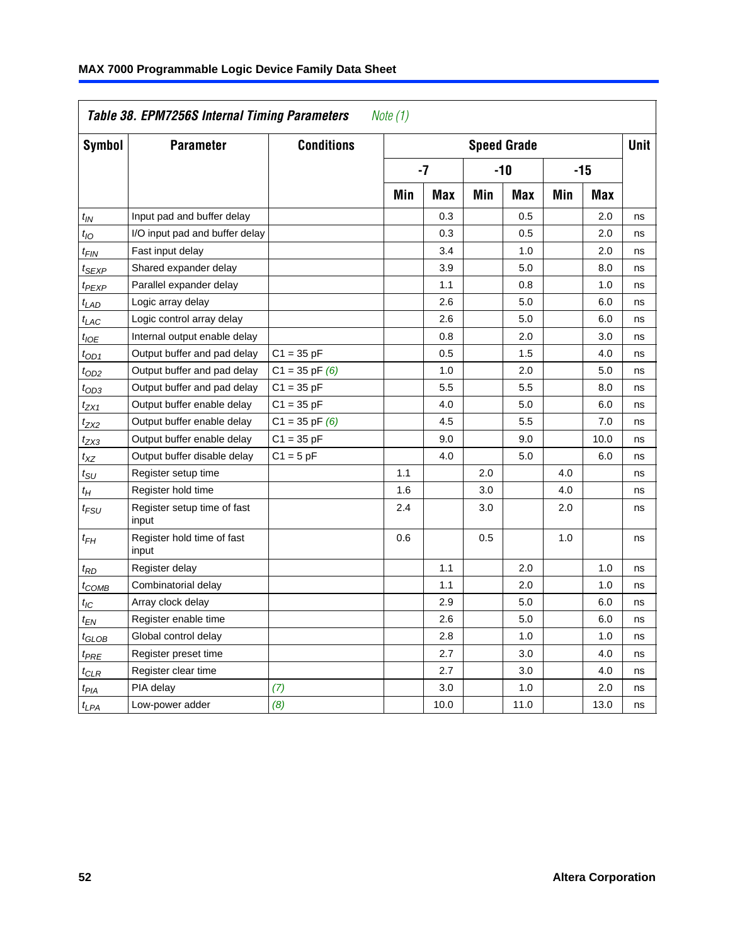| Table 38. EPM7256S Internal Timing Parameters<br>Note (1) |                                      |                    |                    |            |       |            |       |             |    |  |
|-----------------------------------------------------------|--------------------------------------|--------------------|--------------------|------------|-------|------------|-------|-------------|----|--|
| <b>Symbol</b>                                             | <b>Parameter</b>                     | <b>Conditions</b>  | <b>Speed Grade</b> |            |       |            |       | <b>Unit</b> |    |  |
|                                                           |                                      |                    | -7                 |            | $-10$ |            | $-15$ |             |    |  |
|                                                           |                                      |                    | Min                | <b>Max</b> | Min   | <b>Max</b> | Min   | <b>Max</b>  |    |  |
| t <sub>IN</sub>                                           | Input pad and buffer delay           |                    |                    | 0.3        |       | 0.5        |       | 2.0         | ns |  |
| $t_{IO}$                                                  | I/O input pad and buffer delay       |                    |                    | 0.3        |       | 0.5        |       | 2.0         | ns |  |
| $t_{\sf FIN}$                                             | Fast input delay                     |                    |                    | 3.4        |       | 1.0        |       | 2.0         | ns |  |
| tsexp                                                     | Shared expander delay                |                    |                    | 3.9        |       | 5.0        |       | 8.0         | ns |  |
| <sup>t</sup> PEXP                                         | Parallel expander delay              |                    |                    | 1.1        |       | 0.8        |       | 1.0         | ns |  |
| $t_{LAD}$                                                 | Logic array delay                    |                    |                    | 2.6        |       | 5.0        |       | 6.0         | ns |  |
| $t_{LAC}$                                                 | Logic control array delay            |                    |                    | 2.6        |       | 5.0        |       | 6.0         | ns |  |
| $t_{IOE}$                                                 | Internal output enable delay         |                    |                    | 0.8        |       | 2.0        |       | 3.0         | ns |  |
| $t_{OD1}$                                                 | Output buffer and pad delay          | $C1 = 35 pF$       |                    | 0.5        |       | 1.5        |       | 4.0         | ns |  |
| $t_{OD2}$                                                 | Output buffer and pad delay          | $C1 = 35 pF(6)$    |                    | 1.0        |       | 2.0        |       | 5.0         | ns |  |
| $t_{OD3}$                                                 | Output buffer and pad delay          | $C1 = 35 pF$       |                    | 5.5        |       | 5.5        |       | 8.0         | ns |  |
| t <sub>ZX1</sub>                                          | Output buffer enable delay           | $C1 = 35 pF$       |                    | 4.0        |       | 5.0        |       | 6.0         | ns |  |
| t <sub>ZX2</sub>                                          | Output buffer enable delay           | $C1 = 35$ pF $(6)$ |                    | 4.5        |       | 5.5        |       | 7.0         | ns |  |
| $t_{ZX3}$                                                 | Output buffer enable delay           | $C1 = 35 pF$       |                    | 9.0        |       | 9.0        |       | 10.0        | ns |  |
| $t_{\mathsf{XZ}}$                                         | Output buffer disable delay          | $C1 = 5pF$         |                    | 4.0        |       | 5.0        |       | 6.0         | ns |  |
| tsu                                                       | Register setup time                  |                    | 1.1                |            | 2.0   |            | 4.0   |             | ns |  |
| $t_H$                                                     | Register hold time                   |                    | 1.6                |            | 3.0   |            | 4.0   |             | ns |  |
| t <sub>FSU</sub>                                          | Register setup time of fast<br>input |                    | 2.4                |            | 3.0   |            | 2.0   |             | ns |  |
| $t_{FH}$                                                  | Register hold time of fast<br>input  |                    | 0.6                |            | 0.5   |            | 1.0   |             | ns |  |
| $t_{RD}$                                                  | Register delay                       |                    |                    | 1.1        |       | 2.0        |       | 1.0         | ns |  |
| $t_{COMB}$                                                | Combinatorial delay                  |                    |                    | 1.1        |       | 2.0        |       | 1.0         | ns |  |
| t <sub>IC</sub>                                           | Array clock delay                    |                    |                    | 2.9        |       | 5.0        |       | 6.0         | ns |  |
| $t_{EN}$                                                  | Register enable time                 |                    |                    | 2.6        |       | 5.0        |       | 6.0         | ns |  |
| t <sub>GLOB</sub>                                         | Global control delay                 |                    |                    | 2.8        |       | 1.0        |       | 1.0         | ns |  |
| t <sub>PRE</sub>                                          | Register preset time                 |                    |                    | 2.7        |       | 3.0        |       | 4.0         | ns |  |
| $t_{CLR}$                                                 | Register clear time                  |                    |                    | 2.7        |       | 3.0        |       | 4.0         | ns |  |
| $t_{PIA}$                                                 | PIA delay                            | (7)                |                    | 3.0        |       | 1.0        |       | 2.0         | ns |  |
| t <sub>LPA</sub>                                          | Low-power adder                      | (8)                |                    | 10.0       |       | 11.0       |       | 13.0        | ns |  |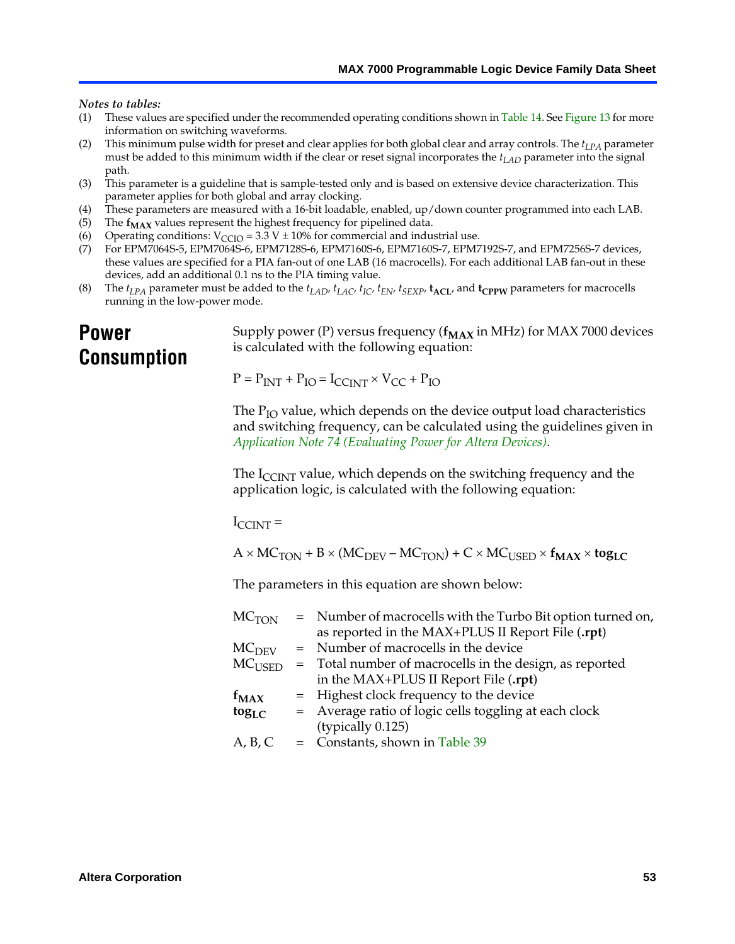<span id="page-52-2"></span><span id="page-52-1"></span><span id="page-52-0"></span>*Notes to tables:*

- <span id="page-52-5"></span><span id="page-52-3"></span>(1) These values are specified under the recommended operating conditions shown in Table 14. See Figure 13 for more information on switching waveforms.
- <span id="page-52-6"></span>(2) This minimum pulse width for preset and clear applies for both global clear and array controls. The  $t_{LPA}$  parameter must be added to this minimum width if the clear or reset signal incorporates the *tLAD* parameter into the signal path.
- <span id="page-52-4"></span>(3) This parameter is a guideline that is sample-tested only and is based on extensive device characterization. This parameter applies for both global and array clocking.
- (4) These parameters are measured with a 16-bit loadable, enabled, up/down counter programmed into each LAB.
- (5) The  $f_{MAX}$  values represent the highest frequency for pipelined data.
- (6) Operating conditions:  $V_{\text{CCIO}} = 3.3 \text{ V} \pm 10\%$  for commercial and industrial use.
- (7) For EPM7064S-5, EPM7064S-6, EPM7128S-6, EPM7160S-6, EPM7160S-7, EPM7192S-7, and EPM7256S-7 devices, these values are specified for a PIA fan-out of one LAB (16 macrocells). For each additional LAB fan-out in these devices, add an additional 0.1 ns to the PIA timing value.
- (8) The  $t_{LPA}$  parameter must be added to the  $t_{LAD}$ ,  $t_{LAC}$ ,  $t_{IC}$ ,  $t_{EN}$ ,  $t_{SEXP}$ ,  $t_{ACL}$ , and  $t_{CPPW}$  parameters for macrocells running in the low-power mode.

# **Power Consumption**

[Supply power \(P\) versus frequency \(](http://www.altera.com/literature/an/an074.pdf) $f_{MAX}$  in MHz) for MAX 7000 devices is calculated with the following equation:

 $P = P_{INT} + P_{IO} = I_{CCLNT} \times V_{CC} + P_{IO}$ 

The  $P_{IO}$  value, which depends on the device output load characteristics and switching frequency, can be calculated using the guidelines given in *Application Note 74 (Evaluating Power for Altera Devices)*.

The  $I_{\text{CCINT}}$  value, which depends on the switching frequency and the application logic, is calculated with the following equation:

 $I_{\text{CCTNT}} =$ 

 $A \times MC_{TON} + B \times (MC_{DEV} - MC_{TON}) + C \times MC_{USER} \times f_{MAX} \times tog_{LC}$ 

The parameters in this equation are shown below:

| $MC$ <sub>TON</sub> | = Number of macrocells with the Turbo Bit option turned on,                |
|---------------------|----------------------------------------------------------------------------|
|                     | as reported in the MAX+PLUS II Report File (.rpt)                          |
| MC <sub>DFV</sub>   | = Number of macrocells in the device                                       |
|                     | $MC_{\text{USED}}$ = Total number of macrocells in the design, as reported |
|                     | in the MAX+PLUS II Report File (.rpt)                                      |
| $f_{MAX}$           | = Highest clock frequency to the device                                    |
| $tog_{LC}$          | = Average ratio of logic cells toggling at each clock                      |
|                     | (typically 0.125)                                                          |
| A, B, C             | $=$ Constants, shown in Table 39                                           |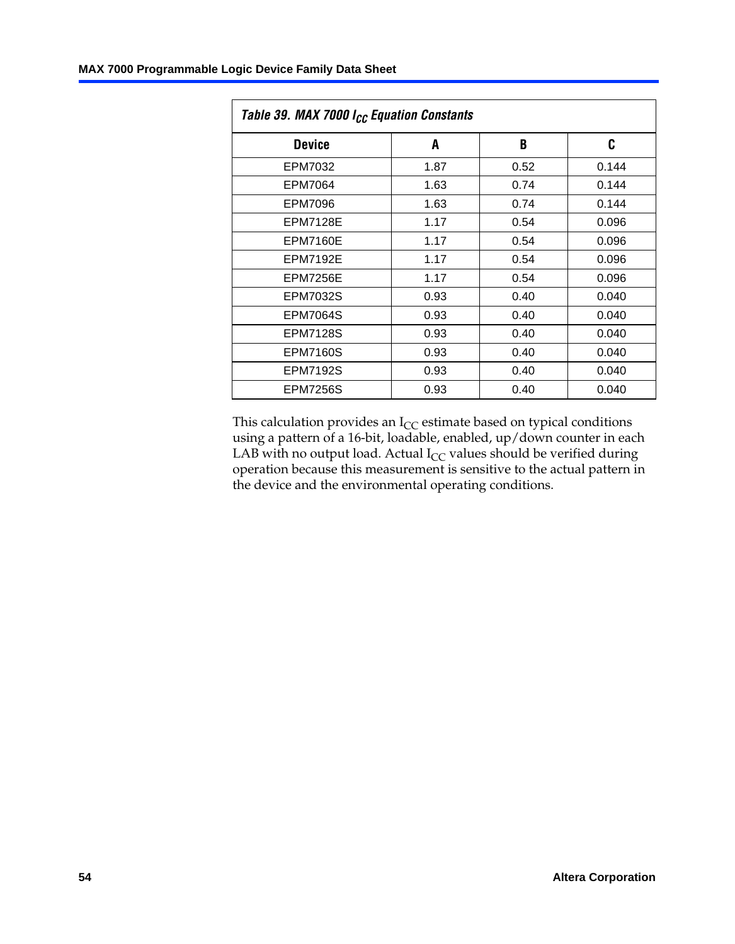<span id="page-53-0"></span>

| Table 39. MAX 7000 I <sub>CC</sub> Equation Constants |      |      |       |  |  |  |  |  |  |
|-------------------------------------------------------|------|------|-------|--|--|--|--|--|--|
| <b>Device</b>                                         | A    | B    | C     |  |  |  |  |  |  |
| EPM7032                                               | 1.87 | 0.52 | 0.144 |  |  |  |  |  |  |
| EPM7064                                               | 1.63 | 0.74 | 0.144 |  |  |  |  |  |  |
| EPM7096                                               | 1.63 | 0.74 | 0.144 |  |  |  |  |  |  |
| <b>EPM7128E</b>                                       | 1.17 | 0.54 | 0.096 |  |  |  |  |  |  |
| <b>EPM7160E</b>                                       | 1.17 | 0.54 | 0.096 |  |  |  |  |  |  |
| <b>EPM7192E</b>                                       | 1.17 | 0.54 | 0.096 |  |  |  |  |  |  |
| <b>EPM7256E</b>                                       | 1.17 | 0.54 | 0.096 |  |  |  |  |  |  |
| <b>EPM7032S</b>                                       | 0.93 | 0.40 | 0.040 |  |  |  |  |  |  |
| <b>EPM7064S</b>                                       | 0.93 | 0.40 | 0.040 |  |  |  |  |  |  |
| <b>EPM7128S</b>                                       | 0.93 | 0.40 | 0.040 |  |  |  |  |  |  |
| <b>EPM7160S</b>                                       | 0.93 | 0.40 | 0.040 |  |  |  |  |  |  |
| <b>EPM7192S</b>                                       | 0.93 | 0.40 | 0.040 |  |  |  |  |  |  |
| <b>EPM7256S</b>                                       | 0.93 | 0.40 | 0.040 |  |  |  |  |  |  |

This calculation provides an  $I_{CC}$  estimate based on typical conditions using a pattern of a 16-bit, loadable, enabled, up/down counter in each LAB with no output load. Actual  $I_{CC}$  values should be verified during operation because this measurement is sensitive to the actual pattern in the device and the environmental operating conditions.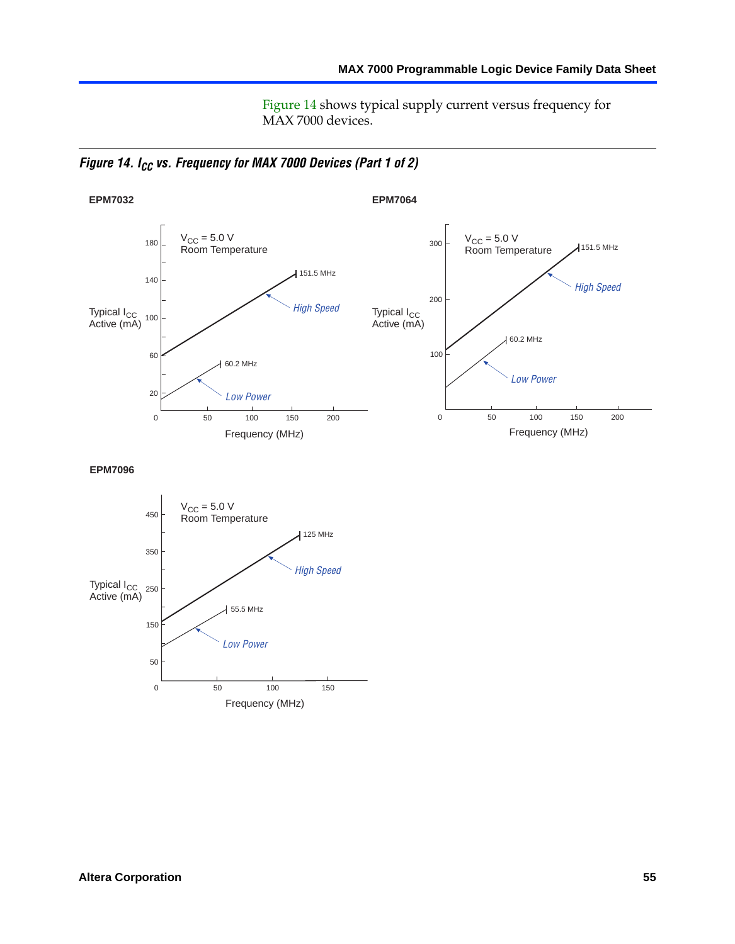Figure 14 shows typical supply current versus frequency for MAX 7000 devices.

*Figure 14. I<sub>CC</sub> vs. Frequency for MAX 7000 Devices (Part 1 of 2)* 



**EPM7096**

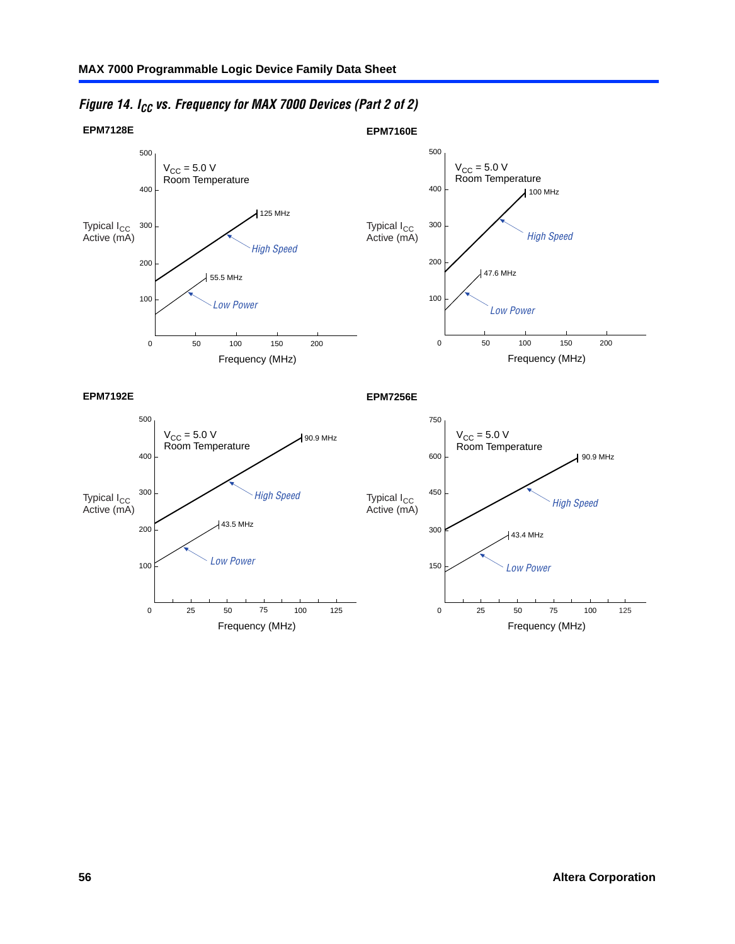

*Figure 14. ICC vs. Frequency for MAX 7000 Devices (Part 2 of 2)*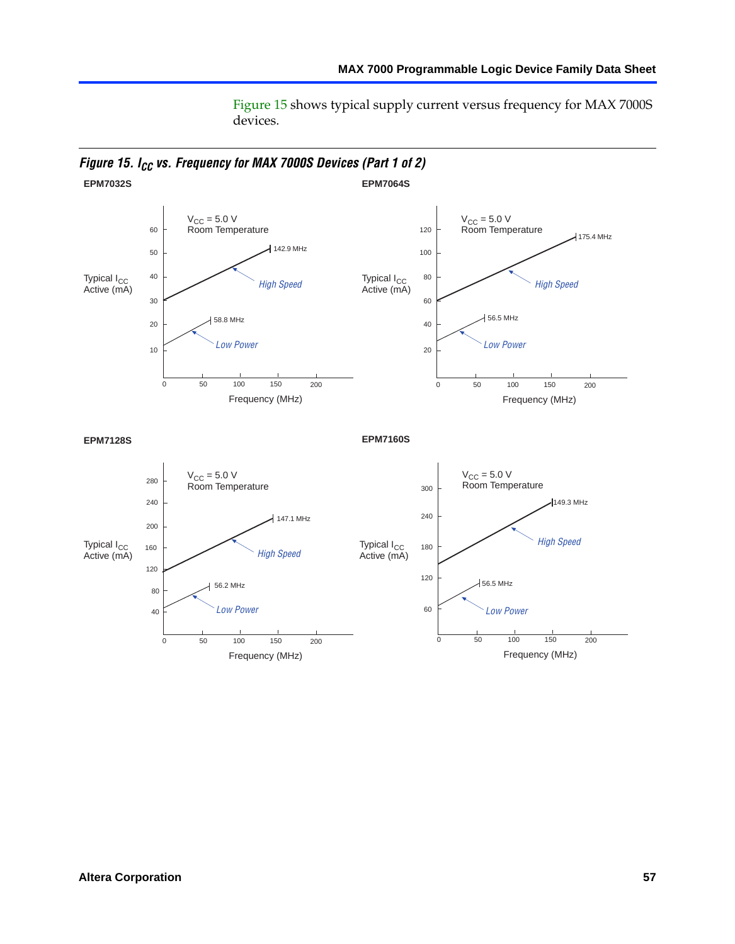Figure 15 shows typical supply current versus frequency for MAX 7000S devices.

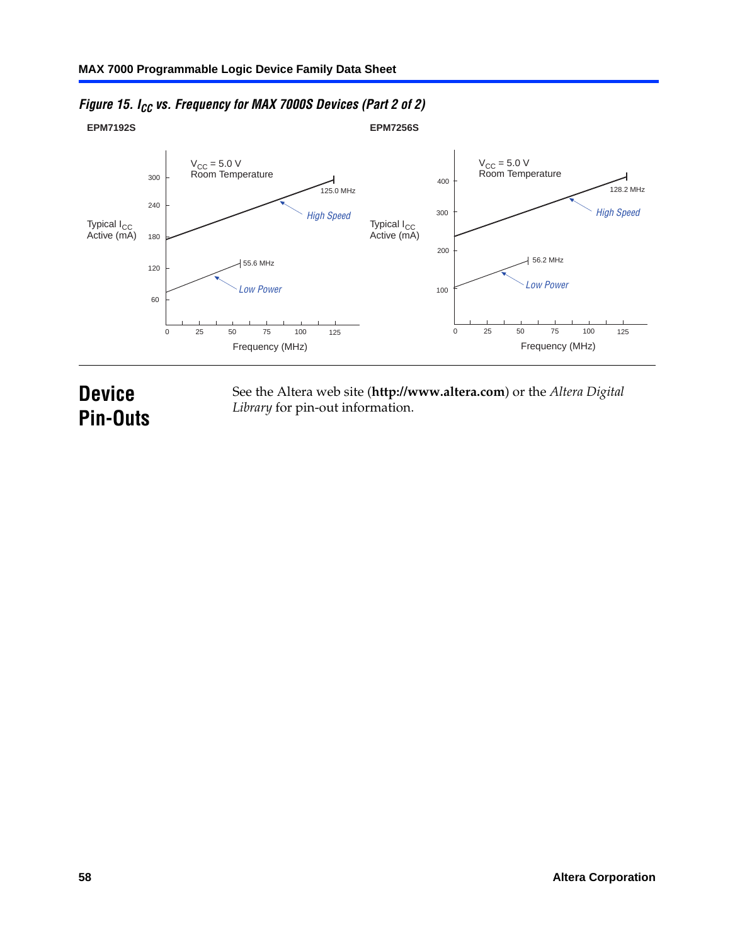

### *Figure 15. I<sub>CC</sub> vs. Frequency for MAX 7000S Devices (Part 2 of 2)*

# **Device Pin-Outs**

See the Altera web site (**http://www.altera.com**) or the *Altera Digital Library* for pin-out information.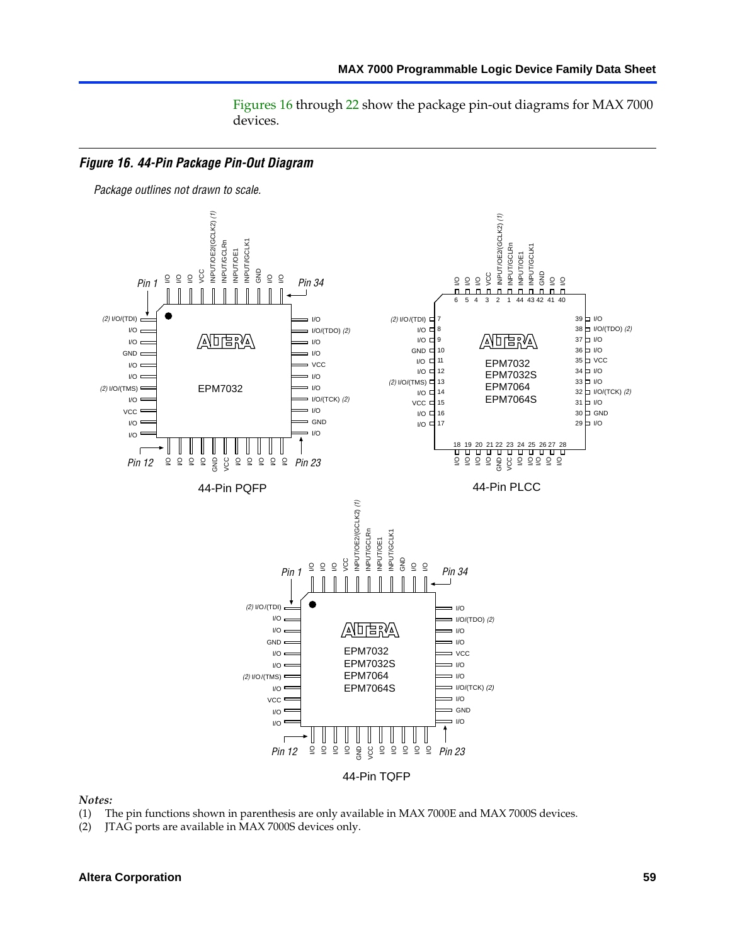Figures 16 through 22 show the package pin-out diagrams for MAX 7000 devices.



#### *Notes:*

- (1) The pin functions shown in parenthesis are only available in MAX 7000E and MAX 7000S devices.
- (2) JTAG ports are available in MAX 7000S devices only.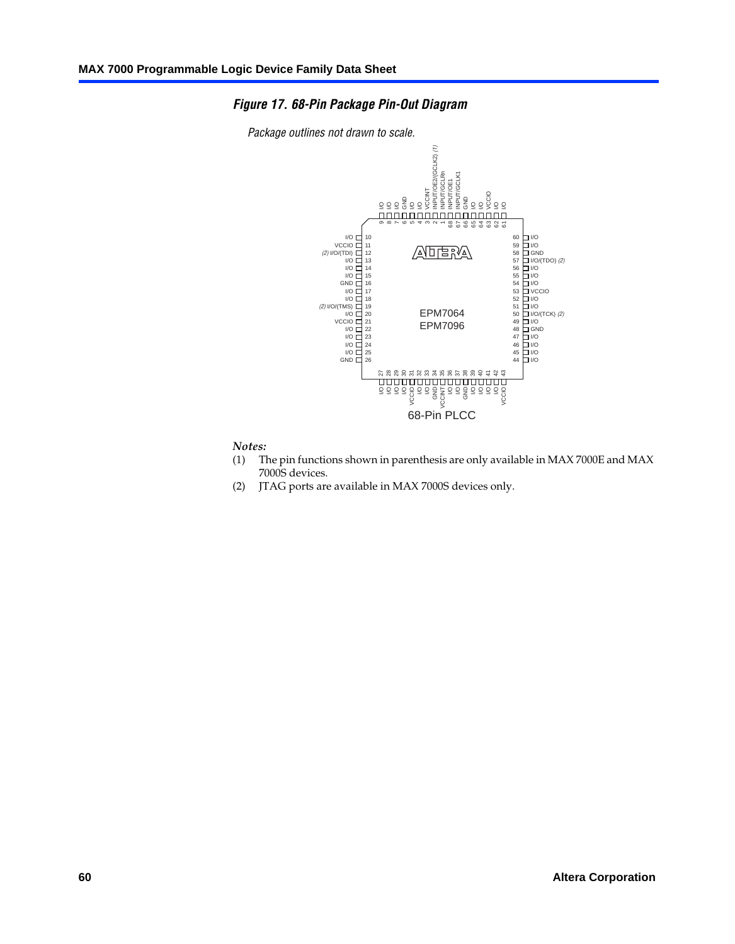#### *Figure 17. 68-Pin Package Pin-Out Diagram*





#### *Notes:*

- (1) The pin functions shown in parenthesis are only available in MAX 7000E and MAX 7000S devices.
- (2) JTAG ports are available in MAX 7000S devices only.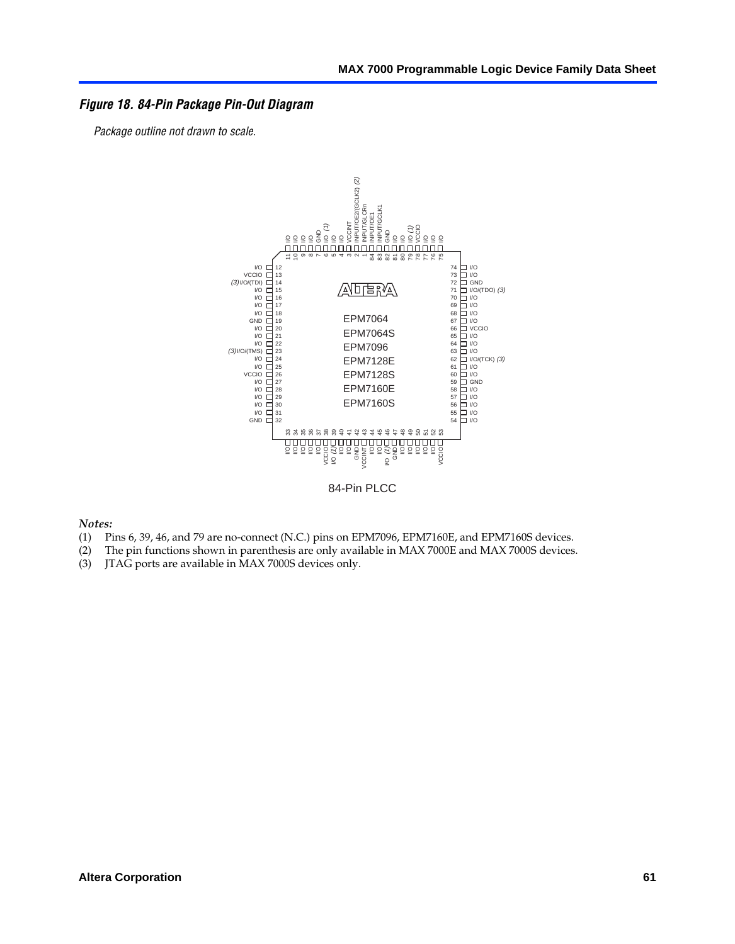#### *Figure 18. 84-Pin Package Pin-Out Diagram*

*Package outline not drawn to scale.*



84-Pin PLCC

*Notes:*

- (1) Pins 6, 39, 46, and 79 are no-connect (N.C.) pins on EPM7096, EPM7160E, and EPM7160S devices.
- (2) The pin functions shown in parenthesis are only available in MAX 7000E and MAX 7000S devices.
-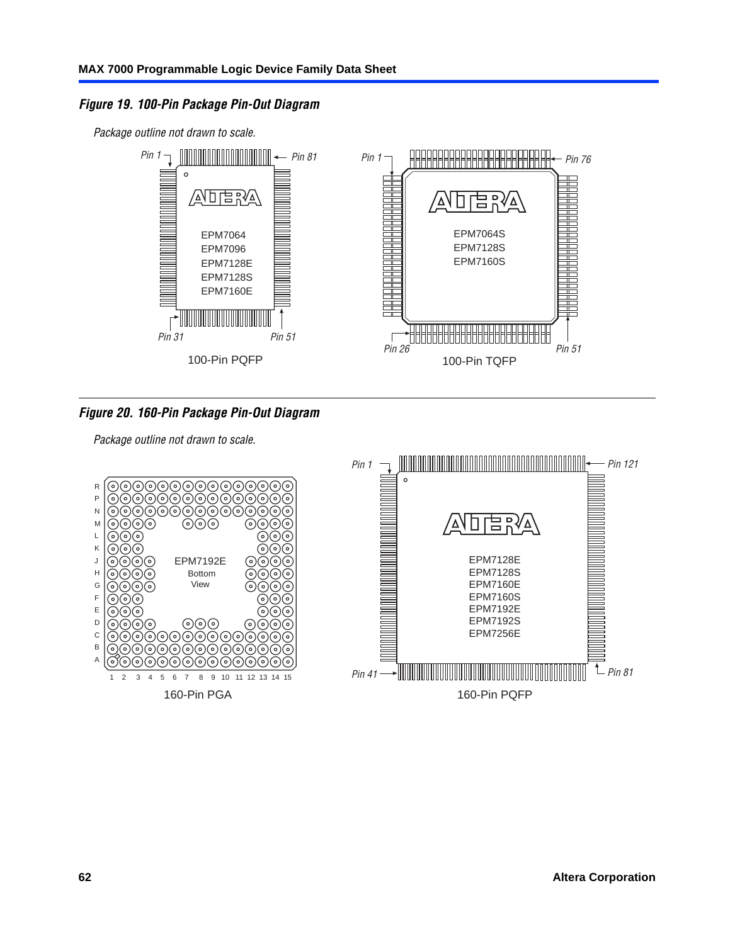### *Figure 19. 100-Pin Package Pin-Out Diagram*

*Package outline not drawn to scale.*



*Figure 20. 160-Pin Package Pin-Out Diagram*

*Package outline not drawn to scale.*

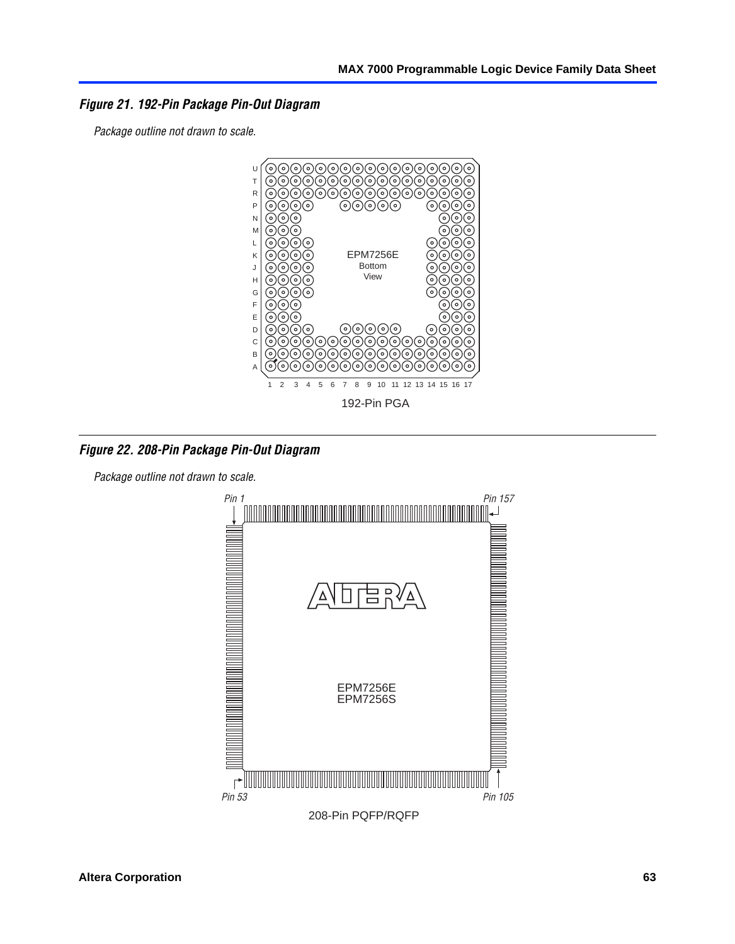*Figure 21. 192-Pin Package Pin-Out Diagram*

*Package outline not drawn to scale.*



*Figure 22. 208-Pin Package Pin-Out Diagram*

*Package outline not drawn to scale.*

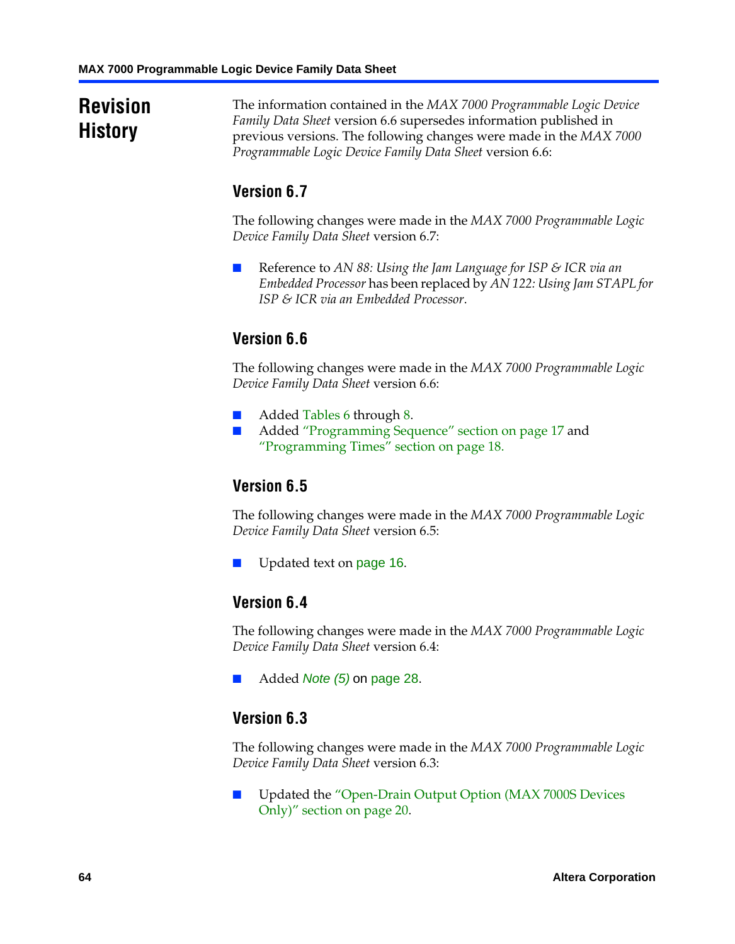# **Revision History**

The information contained in the *MAX 7000 Programmable Logic Device Family Data Sheet* version 6.6 supersedes information published in previous versions. The following changes were made in the *MAX 7000 Programmable Logic Device Family Data Sheet* version 6.6:

# **Version 6.7**

The following changes were made in the *MAX 7000 Programmable Logic Device Family Data Sheet* version 6.7:

■ Reference to *AN 88: Using the Jam Language for ISP & ICR via an Embedded Processor* has been replaced by *AN 122: Using Jam STAPL for ISP & I[CR via an](#page-18-2) Embedde[d](#page-18-1) Processor*.

# **[Version 6.6](#page-17-0)**

The following changes were made in the *MAX 7000 Programmable Logic Device Family Data Sheet* version 6.6:

- Added Tables 6 through 8.
- Added "Programming Sequence" section on page 17 and "Programming [Times" se](#page-15-0)ction on page 18.

### **Version 6.5**

The following changes were made in the *MAX 7000 Programmable Logic Device Family Data Sheet* version 6.5:

Update[d text on](#page-27-6) pa[ge 16](#page-27-11).

# **Version 6.4**

The following changes were made in the *MAX 7000 Programmable Logic Device Family Data Sheet* version 6.4:

■ Added *Note (5)* [on page 28.](#page-19-0)

### **[Version 6.3](#page-19-0)**

The following changes were made in the *MAX 7000 Programmable Logic Device Family Data Sheet* version 6.3:

■ Updated the "Open-Drain Output Option (MAX 7000S Devices Only)" section on page 20.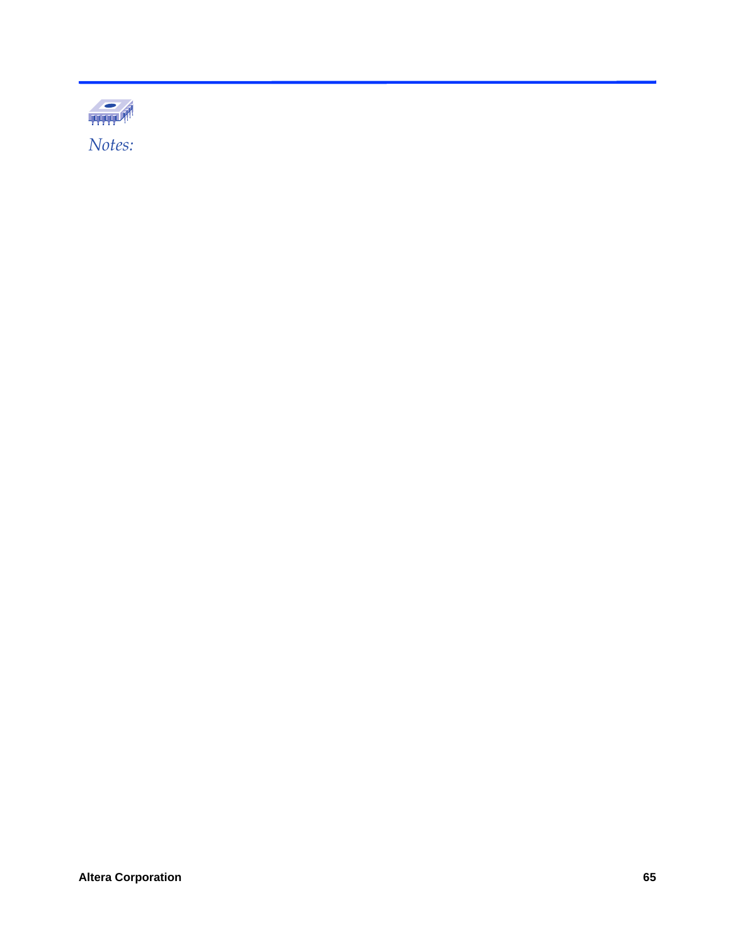